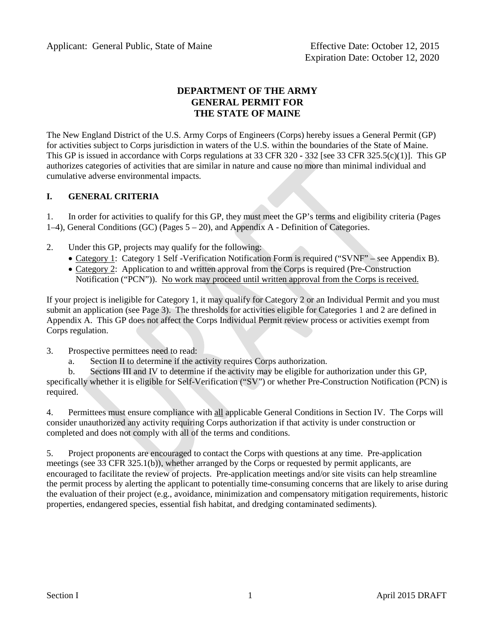### **DEPARTMENT OF THE ARMY GENERAL PERMIT FOR THE STATE OF MAINE**

The New England District of the U.S. Army Corps of Engineers (Corps) hereby issues a General Permit (GP) for activities subject to Corps jurisdiction in waters of the U.S. within the boundaries of the State of Maine. This GP is issued in accordance with Corps regulations at 33 CFR 320 **-** 332 [see 33 CFR 325.5(c)(1)]. This GP authorizes categories of activities that are similar in nature and cause no more than minimal individual and cumulative adverse environmental impacts.

### **I. GENERAL CRITERIA**

1. In order for activities to qualify for this GP, they must meet the GP's terms and eligibility criteria (Pages 1–4), General Conditions (GC) (Pages 5 – 20), and Appendix A - Definition of Categories.

- 2. Under this GP, projects may qualify for the following:
	- Category 1: Category 1 Self -Verification Notification Form is required ("SVNF" see Appendix B).
	- Category 2: Application to and written approval from the Corps is required (Pre-Construction Notification ("PCN")). No work may proceed until written approval from the Corps is received.

If your project is ineligible for Category 1, it may qualify for Category 2 or an Individual Permit and you must submit an application (see Page 3). The thresholds for activities eligible for Categories 1 and 2 are defined in Appendix A. This GP does not affect the Corps Individual Permit review process or activities exempt from Corps regulation.

- 3. Prospective permittees need to read:
	- a. Section II to determine if the activity requires Corps authorization.

b. Sections III and IV to determine if the activity may be eligible for authorization under this GP, specifically whether it is eligible for Self-Verification ("SV") or whether Pre-Construction Notification (PCN) is required.

4. Permittees must ensure compliance with all applicable General Conditions in Section IV. The Corps will consider unauthorized any activity requiring Corps authorization if that activity is under construction or completed and does not comply with all of the terms and conditions.

5. Project proponents are encouraged to contact the Corps with questions at any time. Pre-application meetings (see 33 CFR 325.1(b)), whether arranged by the Corps or requested by permit applicants, are encouraged to facilitate the review of projects. Pre-application meetings and/or site visits can help streamline the permit process by alerting the applicant to potentially time-consuming concerns that are likely to arise during the evaluation of their project (e.g., avoidance, minimization and compensatory mitigation requirements, historic properties, endangered species, essential fish habitat, and dredging contaminated sediments).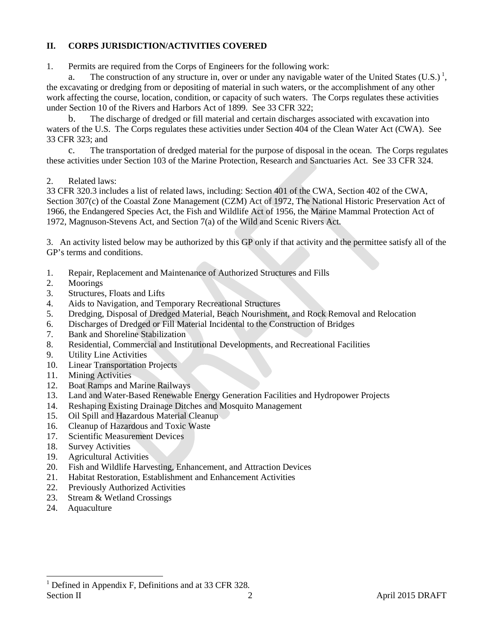### **II. CORPS JURISDICTION/ACTIVITIES COVERED**

1. Permits are required from the Corps of Engineers for the following work:

a. The construction of any structure in, over or under any navigable water of the United States (U.S.)<sup>[1](#page-1-0)</sup>, the excavating or dredging from or depositing of material in such waters, or the accomplishment of any other work affecting the course, location, condition, or capacity of such waters. The Corps regulates these activities under Section 10 of the Rivers and Harbors Act of 1899. See 33 CFR 322;

b. The discharge of dredged or fill material and certain discharges associated with excavation into waters of the U.S. The Corps regulates these activities under Section 404 of the Clean Water Act (CWA). See 33 CFR 323; and

c. The transportation of dredged material for the purpose of disposal in the ocean. The Corps regulates these activities under Section 103 of the Marine Protection, Research and Sanctuaries Act. See 33 CFR 324.

#### 2. Related laws:

33 CFR 320.3 includes a list of related laws, including: Section 401 of the CWA, Section 402 of the CWA, Section 307(c) of the Coastal Zone Management (CZM) Act of 1972, The National Historic Preservation Act of 1966, the Endangered Species Act, the Fish and Wildlife Act of 1956, the Marine Mammal Protection Act of 1972, Magnuson-Stevens Act, and Section 7(a) of the Wild and Scenic Rivers Act.

3. An activity listed below may be authorized by this GP only if that activity and the permittee satisfy all of the GP's terms and conditions.

- 1. Repair, Replacement and Maintenance of Authorized Structures and Fills
- 2. Moorings
- 3. Structures, Floats and Lifts
- 4. Aids to Navigation, and Temporary Recreational Structures
- 5. Dredging, Disposal of Dredged Material, Beach Nourishment, and Rock Removal and Relocation
- 6. Discharges of Dredged or Fill Material Incidental to the Construction of Bridges
- 7. Bank and Shoreline Stabilization
- 8. Residential, Commercial and Institutional Developments, and Recreational Facilities
- 9. Utility Line Activities
- 10. Linear Transportation Projects
- 11. Mining Activities
- 12. Boat Ramps and Marine Railways
- 13. Land and Water-Based Renewable Energy Generation Facilities and Hydropower Projects
- 14. Reshaping Existing Drainage Ditches and Mosquito Management
- 15. Oil Spill and Hazardous Material Cleanup
- 16. Cleanup of Hazardous and Toxic Waste
- 17. Scientific Measurement Devices
- 18. Survey Activities
- 19. Agricultural Activities
- 20. Fish and Wildlife Harvesting, Enhancement, and Attraction Devices
- 21. Habitat Restoration, Establishment and Enhancement Activities
- 22. Previously Authorized Activities
- 23. Stream & Wetland Crossings
- 24. Aquaculture

<span id="page-1-0"></span>Section II 2 April 2015 DRAFT Defined in Appendix F, Definitions and at 33 CFR 328.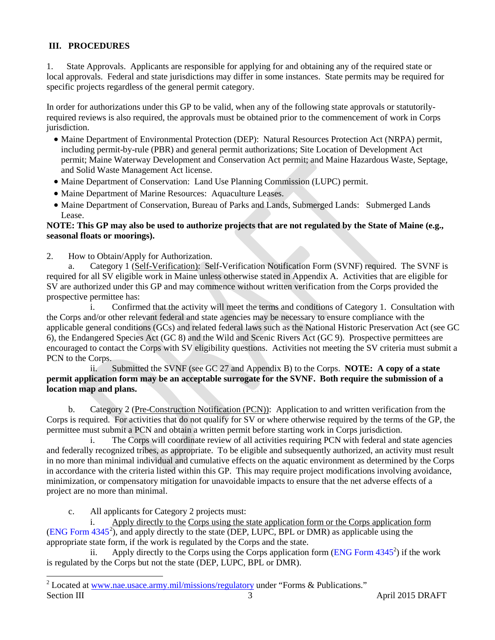### **III. PROCEDURES**

1. State Approvals. Applicants are responsible for applying for and obtaining any of the required state or local approvals. Federal and state jurisdictions may differ in some instances. State permits may be required for specific projects regardless of the general permit category.

In order for authorizations under this GP to be valid, when any of the following state approvals or statutorilyrequired reviews is also required, the approvals must be obtained prior to the commencement of work in Corps jurisdiction.

- Maine Department of Environmental Protection (DEP): Natural Resources Protection Act (NRPA) permit, including permit-by-rule (PBR) and general permit authorizations; Site Location of Development Act permit; Maine Waterway Development and Conservation Act permit; and Maine Hazardous Waste, Septage, and Solid Waste Management Act license.
- Maine Department of Conservation: Land Use Planning Commission (LUPC) permit.
- Maine Department of Marine Resources: Aquaculture Leases.
- Maine Department of Conservation, Bureau of Parks and Lands, Submerged Lands: Submerged Lands Lease.

#### **NOTE: This GP may also be used to authorize projects that are not regulated by the State of Maine (e.g., seasonal floats or moorings).**

2. How to Obtain/Apply for Authorization.

a. Category 1 (Self-Verification): Self-Verification Notification Form (SVNF) required. The SVNF is required for all SV eligible work in Maine unless otherwise stated in Appendix A. Activities that are eligible for SV are authorized under this GP and may commence without written verification from the Corps provided the prospective permittee has:

i. Confirmed that the activity will meet the terms and conditions of Category 1. Consultation with the Corps and/or other relevant federal and state agencies may be necessary to ensure compliance with the applicable general conditions (GCs) and related federal laws such as the National Historic Preservation Act (see GC 6), the Endangered Species Act (GC 8) and the Wild and Scenic Rivers Act (GC 9). Prospective permittees are encouraged to contact the Corps with SV eligibility questions. Activities not meeting the SV criteria must submit a PCN to the Corps.

#### ii. Submitted the SVNF (see GC 27 and Appendix B) to the Corps. **NOTE: A copy of a state permit application form may be an acceptable surrogate for the SVNF. Both require the submission of a location map and plans.**

b. Category 2 (Pre-Construction Notification (PCN)): Application to and written verification from the Corps is required. For activities that do not qualify for SV or where otherwise required by the terms of the GP, the permittee must submit a PCN and obtain a written permit before starting work in Corps jurisdiction.

i. The Corps will coordinate review of all activities requiring PCN with federal and state agencies and federally recognized tribes, as appropriate. To be eligible and subsequently authorized, an activity must result in no more than minimal individual and cumulative effects on the aquatic environment as determined by the Corps in accordance with the criteria listed within this GP. This may require project modifications involving avoidance, minimization, or compensatory mitigation for unavoidable impacts to ensure that the net adverse effects of a project are no more than minimal.

c. All applicants for Category 2 projects must:

i. Apply directly to the Corps using the state application form or the Corps application form [\(ENG Form 4345](http://www.nae.usace.army.mil/reg/Application.pdf)<sup>[2](#page-2-0)</sup>), and apply directly to the state (DEP, LUPC, BPL or DMR) as applicable using the appropriate state form, if the work is regulated by the Corps and the state.

ii. Apply directly to the Corps using the Corps application form  $(ENG\ Form\ 4345^2)$  if the work is regulated by the Corps but not the state (DEP, LUPC, BPL or DMR).

<span id="page-2-0"></span>Section III 3 April 2015 DRAFT <sup>2</sup> Located a[t www.nae.usace.army.mil/missions/regulatory](http://www.nae.usace.army.mil/missions/regulatory) under "Forms & Publications."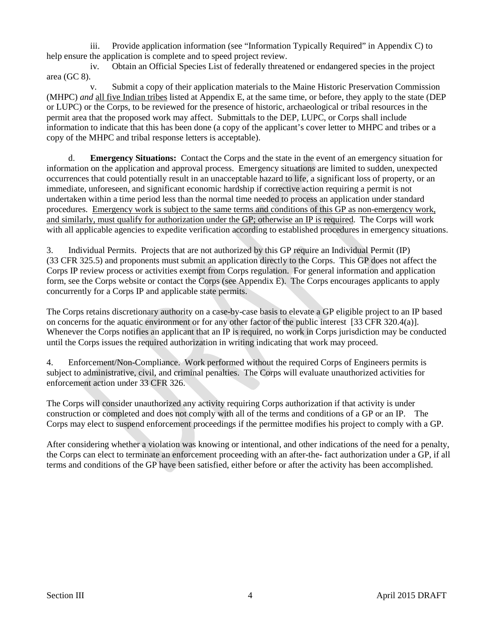iii. Provide application information (see "Information Typically Required" in Appendix C) to help ensure the application is complete and to speed project review.

iv. Obtain an Official Species List of federally threatened or endangered species in the project area (GC 8).

v. Submit a copy of their application materials to the Maine Historic Preservation Commission (MHPC) *and* all five Indian tribes listed at Appendix E, at the same time, or before, they apply to the state (DEP or LUPC) or the Corps, to be reviewed for the presence of historic, archaeological or tribal resources in the permit area that the proposed work may affect. Submittals to the DEP, LUPC, or Corps shall include information to indicate that this has been done (a copy of the applicant's cover letter to MHPC and tribes or a copy of the MHPC and tribal response letters is acceptable).

d. **Emergency Situations:** Contact the Corps and the state in the event of an emergency situation for information on the application and approval process. Emergency situations are limited to sudden, unexpected occurrences that could potentially result in an unacceptable hazard to life, a significant loss of property, or an immediate, unforeseen, and significant economic hardship if corrective action requiring a permit is not undertaken within a time period less than the normal time needed to process an application under standard procedures. Emergency work is subject to the same terms and conditions of this GP as non-emergency work, and similarly, must qualify for authorization under the GP; otherwise an IP is required. The Corps will work with all applicable agencies to expedite verification according to established procedures in emergency situations.

3. Individual Permits. Projects that are not authorized by this GP require an Individual Permit (IP) (33 CFR 325.5) and proponents must submit an application directly to the Corps. This GP does not affect the Corps IP review process or activities exempt from Corps regulation. For general information and application form, see the Corps website or contact the Corps (see Appendix E). The Corps encourages applicants to apply concurrently for a Corps IP and applicable state permits.

The Corps retains discretionary authority on a case-by-case basis to elevate a GP eligible project to an IP based on concerns for the aquatic environment or for any other factor of the public interest [33 CFR 320.4(a)]. Whenever the Corps notifies an applicant that an IP is required, no work in Corps jurisdiction may be conducted until the Corps issues the required authorization in writing indicating that work may proceed.

4. Enforcement/Non-Compliance. Work performed without the required Corps of Engineers permits is subject to administrative, civil, and criminal penalties. The Corps will evaluate unauthorized activities for enforcement action under 33 CFR 326.

The Corps will consider unauthorized any activity requiring Corps authorization if that activity is under construction or completed and does not comply with all of the terms and conditions of a GP or an IP. The Corps may elect to suspend enforcement proceedings if the permittee modifies his project to comply with a GP.

After considering whether a violation was knowing or intentional, and other indications of the need for a penalty, the Corps can elect to terminate an enforcement proceeding with an after-the- fact authorization under a GP, if all terms and conditions of the GP have been satisfied, either before or after the activity has been accomplished.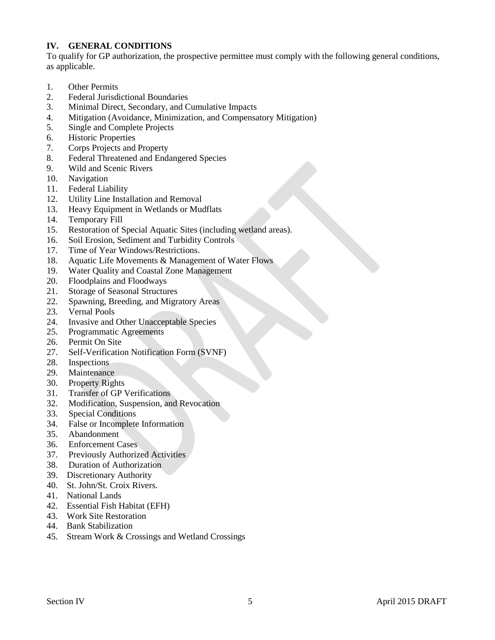### **IV. GENERAL CONDITIONS**

To qualify for GP authorization, the prospective permittee must comply with the following general conditions, as applicable.

- 1. Other Permits
- 2. Federal Jurisdictional Boundaries
- 3. Minimal Direct, Secondary, and Cumulative Impacts
- 4. Mitigation (Avoidance, Minimization, and Compensatory Mitigation)
- 5. Single and Complete Projects
- 6. Historic Properties
- 7. Corps Projects and Property
- 8. Federal Threatened and Endangered Species
- 9. Wild and Scenic Rivers
- 10. Navigation
- 11. Federal Liability
- 12. Utility Line Installation and Removal
- 13. Heavy Equipment in Wetlands or Mudflats
- 14. Temporary Fill
- 15. Restoration of Special Aquatic Sites (including wetland areas).
- 16. Soil Erosion, Sediment and Turbidity Controls
- 17. Time of Year Windows/Restrictions.
- 18. Aquatic Life Movements & Management of Water Flows
- 19. Water Quality and Coastal Zone Management
- 20. Floodplains and Floodways
- 21. Storage of Seasonal Structures
- 22. Spawning, Breeding, and Migratory Areas
- 23. Vernal Pools
- 24. Invasive and Other Unacceptable Species
- 25. Programmatic Agreements
- 26. Permit On Site
- 27. Self-Verification Notification Form (SVNF)
- 28. Inspections
- 29. Maintenance
- 30. Property Rights
- 31. Transfer of GP Verifications
- 32. Modification, Suspension, and Revocation
- 33. Special Conditions
- 34. False or Incomplete Information
- 35. Abandonment
- 36. Enforcement Cases
- 37. Previously Authorized Activities
- 38. Duration of Authorization
- 39. Discretionary Authority
- 40. St. John/St. Croix Rivers.
- 41. National Lands
- 42. Essential Fish Habitat (EFH)
- 43. Work Site Restoration
- 44. Bank Stabilization
- 45. Stream Work & Crossings and Wetland Crossings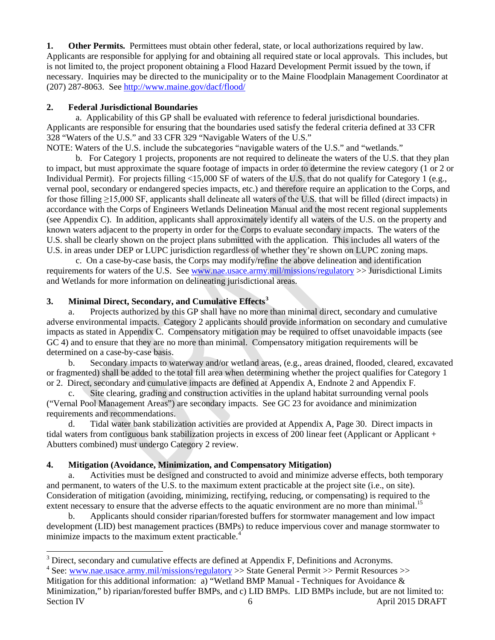**1.** Other Permits. Permittees must obtain other federal, state, or local authorizations required by law. Applicants are responsible for applying for and obtaining all required state or local approvals. This includes, but is not limited to, the project proponent obtaining a Flood Hazard Development Permit issued by the town, if necessary. Inquiries may be directed to the municipality or to the Maine Floodplain Management Coordinator at (207) 287-8063. See http://www.maine.gov/dacf/flood/

#### **2. Federal Jurisdictional Boundaries**

a. Applicability of this GP shall be evaluated with reference to federal jurisdictional boundaries. Applicants are responsible for ensuring that the boundaries used satisfy the federal criteria defined at 33 CFR 328 "Waters of the U.S." and 33 CFR 329 "Navigable Waters of the U.S."

NOTE: Waters of the U.S. include the subcategories "navigable waters of the U.S." and "wetlands."

b. For Category 1 projects, proponents are not required to delineate the waters of the U.S. that they plan to impact, but must approximate the square footage of impacts in order to determine the review category (1 or 2 or Individual Permit). For projects filling <15,000 SF of waters of the U.S. that do not qualify for Category 1 (e.g., vernal pool, secondary or endangered species impacts, etc.) and therefore require an application to the Corps, and for those filling ≥15,000 SF, applicants shall delineate all waters of the U.S. that will be filled (direct impacts) in accordance with the Corps of Engineers Wetlands Delineation Manual and the most recent regional supplements (see Appendix C). In addition, applicants shall approximately identify all waters of the U.S. on the property and known waters adjacent to the property in order for the Corps to evaluate secondary impacts. The waters of the U.S. shall be clearly shown on the project plans submitted with the application. This includes all waters of the U.S. in areas under DEP or LUPC jurisdiction regardless of whether they're shown on LUPC zoning maps.

c. On a case-by-case basis, the Corps may modify/refine the above delineation and identification requirements for waters of the U.S. See [www.nae.usace.army.mil/missions/regulatory](http://www.nae.usace.army.mil/missions/regulatory) >> Jurisdictional Limits and Wetlands for more information on delineating jurisdictional areas.

#### **3. Minimal Direct, Secondary, and Cumulative Effects[3](#page-5-0)**

a. Projects authorized by this GP shall have no more than minimal direct, secondary and cumulative adverse environmental impacts. Category 2 applicants should provide information on secondary and cumulative impacts as stated in Appendix C. Compensatory mitigation may be required to offset unavoidable impacts (see GC 4) and to ensure that they are no more than minimal. Compensatory mitigation requirements will be determined on a case-by-case basis.

b. Secondary impacts to waterway and/or wetland areas, (e.g., areas drained, flooded, cleared, excavated or fragmented) shall be added to the total fill area when determining whether the project qualifies for Category 1 or 2. Direct, secondary and cumulative impacts are defined at Appendix A, Endnote 2 and Appendix F.

c. Site clearing, grading and construction activities in the upland habitat surrounding vernal pools ("Vernal Pool Management Areas") are secondary impacts. See GC 23 for avoidance and minimization requirements and recommendations.

d. Tidal water bank stabilization activities are provided at Appendix A, Page 30. Direct impacts in tidal waters from contiguous bank stabilization projects in excess of 200 linear feet (Applicant or Applicant  $+$ Abutters combined) must undergo Category 2 review.

### **4. Mitigation (Avoidance, Minimization, and Compensatory Mitigation)**

a. Activities must be designed and constructed to avoid and minimize adverse effects, both temporary and permanent, to waters of the U.S. to the maximum extent practicable at the project site (i.e., on site). Consideration of mitigation (avoiding, minimizing, rectifying, reducing, or compensating) is required to the extent necessary to ensure that the adverse effects to the aquatic environment are no more than minimal.<sup>15</sup>

b. Applicants should consider riparian/forested buffers for stormwater management and low impact development (LID) best management practices (BMPs) to reduce impervious cover and manage stormwater to minimize impacts to the maximum extent practicable.<sup>[4](#page-5-1)</sup>

<span id="page-5-0"></span> $3$  Direct, secondary and cumulative effects are defined at Appendix F, Definitions and Acronyms.

<span id="page-5-1"></span>Section IV 6 and 12015 DRAFT 6 and 12015 DRAFT 6 and 12015 DRAFT <sup>4</sup> See: [www.nae.usace.army.mil/missions/regulatory](http://www.nae.usace.army.mil/missions/regulatory) >> State General Permit >> Permit Resources >> Mitigation for this additional information: a) "Wetland BMP Manual - Techniques for Avoidance & Minimization," b) riparian/forested buffer BMPs, and c) LID BMPs. LID BMPs include, but are not limited to: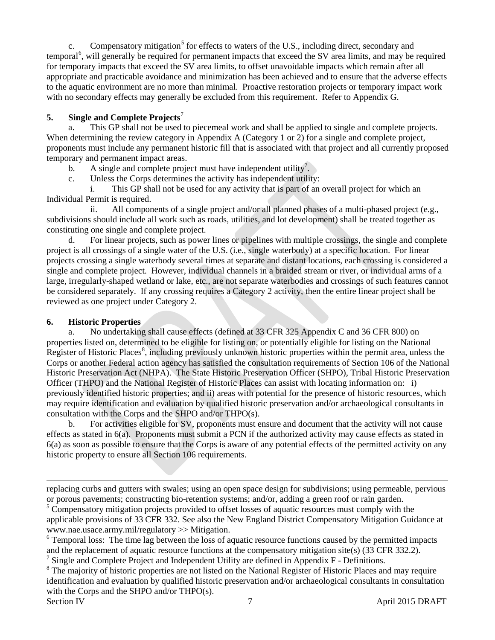c. Compensatory mitigation<sup>[5](#page-6-0)</sup> for effects to waters of the U.S., including direct, secondary and temporal<sup>[6](#page-6-1)</sup>, will generally be required for permanent impacts that exceed the SV area limits, and may be required for temporary impacts that exceed the SV area limits, to offset unavoidable impacts which remain after all appropriate and practicable avoidance and minimization has been achieved and to ensure that the adverse effects to the aquatic environment are no more than minimal. Proactive restoration projects or temporary impact work with no secondary effects may generally be excluded from this requirement. Refer to Appendix G.

### **5.** Single and Complete Projects<sup>[7](#page-6-2)</sup>

a. This GP shall not be used to piecemeal work and shall be applied to single and complete projects. When determining the review category in Appendix A (Category 1 or 2) for a single and complete project, proponents must include any permanent historic fill that is associated with that project and all currently proposed temporary and permanent impact areas.

b. A single and complete project must have independent utility<sup>7</sup>.

c. Unless the Corps determines the activity has independent utility:

i. This GP shall not be used for any activity that is part of an overall project for which an Individual Permit is required.

ii. All components of a single project and/or all planned phases of a multi-phased project (e.g., subdivisions should include all work such as roads, utilities, and lot development) shall be treated together as constituting one single and complete project.

d. For linear projects, such as power lines or pipelines with multiple crossings, the single and complete project is all crossings of a single water of the U.S. (i.e., single waterbody) at a specific location. For linear projects crossing a single waterbody several times at separate and distant locations, each crossing is considered a single and complete project. However, individual channels in a braided stream or river, or individual arms of a large, irregularly-shaped wetland or lake, etc., are not separate waterbodies and crossings of such features cannot be considered separately. If any crossing requires a Category 2 activity, then the entire linear project shall be reviewed as one project under Category 2.

#### **6. Historic Properties**

-

a. No undertaking shall cause effects (defined at 33 CFR 325 Appendix C and 36 CFR 800) on properties listed on, determined to be eligible for listing on, or potentially eligible for listing on the National Register of Historic Places<sup>[8](#page-6-3)</sup>, including previously unknown historic properties within the permit area, unless the Corps or another Federal action agency has satisfied the consultation requirements of Section 106 of the National Historic Preservation Act (NHPA). The State Historic Preservation Officer (SHPO), Tribal Historic Preservation Officer (THPO) and the National Register of Historic Places can assist with locating information on: i) previously identified historic properties; and ii) areas with potential for the presence of historic resources, which may require identification and evaluation by qualified historic preservation and/or archaeological consultants in consultation with the Corps and the SHPO and/or THPO(s).

b. For activities eligible for SV, proponents must ensure and document that the activity will not cause effects as stated in 6(a). Proponents must submit a PCN if the authorized activity may cause effects as stated in 6(a) as soon as possible to ensure that the Corps is aware of any potential effects of the permitted activity on any historic property to ensure all Section 106 requirements.

replacing curbs and gutters with swales; using an open space design for subdivisions; using permeable, pervious or porous pavements; constructing bio-retention systems; and/or, adding a green roof or rain garden.

<span id="page-6-0"></span> $<sup>5</sup>$  Compensatory mitigation projects provided to offset losses of aquatic resources must comply with the</sup> applicable provisions of 33 CFR 332. See also the New England District Compensatory Mitigation Guidance at www.nae.usace.army.mil/regulatory >> Mitigation.

<span id="page-6-1"></span><sup>6</sup> Temporal loss: The time lag between the loss of aquatic resource functions caused by the permitted impacts and the replacement of aquatic resource functions at the compensatory mitigation site(s) (33 CFR 332.2).

<span id="page-6-2"></span><sup>7</sup> Single and Complete Project and Independent Utility are defined in Appendix  $F$  - Definitions.

<span id="page-6-3"></span>Section IV and the section of the section of the section of the section of the section of the section of the section of the section of the section of the section of the section of the section of the section of the section <sup>8</sup> The majority of historic properties are not listed on the National Register of Historic Places and may require identification and evaluation by qualified historic preservation and/or archaeological consultants in consultation with the Corps and the SHPO and/or THPO(s).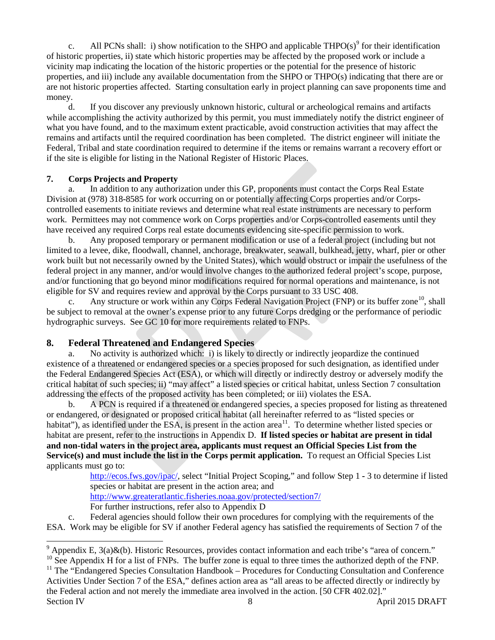c. All PCNs shall: i) show notification to the SHPO and applicable  $THPO(s)$ <sup>[9](#page-7-0)</sup> for their identification of historic properties, ii) state which historic properties may be affected by the proposed work or include a vicinity map indicating the location of the historic properties or the potential for the presence of historic properties, and iii) include any available documentation from the SHPO or THPO(s) indicating that there are or are not historic properties affected. Starting consultation early in project planning can save proponents time and money.

d. If you discover any previously unknown historic, cultural or archeological remains and artifacts while accomplishing the activity authorized by this permit, you must immediately notify the district engineer of what you have found, and to the maximum extent practicable, avoid construction activities that may affect the remains and artifacts until the required coordination has been completed. The district engineer will initiate the Federal, Tribal and state coordination required to determine if the items or remains warrant a recovery effort or if the site is eligible for listing in the National Register of Historic Places.

#### **7. Corps Projects and Property**

a. In addition to any authorization under this GP, proponents must contact the Corps Real Estate Division at (978) 318-8585 for work occurring on or potentially affecting Corps properties and/or Corpscontrolled easements to initiate reviews and determine what real estate instruments are necessary to perform work. Permittees may not commence work on Corps properties and/or Corps-controlled easements until they have received any required Corps real estate documents evidencing site-specific permission to work.

b. Any proposed temporary or permanent modification or use of a federal project (including but not limited to a levee, dike, floodwall, channel, anchorage, breakwater, seawall, bulkhead, jetty, wharf, pier or other work built but not necessarily owned by the United States), which would obstruct or impair the usefulness of the federal project in any manner, and/or would involve changes to the authorized federal project's scope, purpose, and/or functioning that go beyond minor modifications required for normal operations and maintenance, is not eligible for SV and requires review and approval by the Corps pursuant to 33 USC 408.

c. Any structure or work within any Corps Federal Navigation Project (FNP) or its buffer zone<sup>10</sup>, shall be subject to removal at the owner's expense prior to any future Corps dredging or the performance of periodic hydrographic surveys. See GC 10 for more requirements related to FNPs.

### **8. Federal Threatened and Endangered Species**

a. No activity is authorized which: i) is likely to directly or indirectly jeopardize the continued existence of a threatened or endangered species or a species proposed for such designation, as identified under the Federal Endangered Species Act (ESA), or which will directly or indirectly destroy or adversely modify the critical habitat of such species; ii) "may affect" a listed species or critical habitat, unless Section 7 consultation addressing the effects of the proposed activity has been completed; or iii) violates the ESA.

b. A PCN is required if a threatened or endangered species, a species proposed for listing as threatened or endangered, or designated or proposed critical habitat (all hereinafter referred to as "listed species or habitat"), as identified under the ESA, is present in the action area<sup>[11](#page-7-2)</sup>. To determine whether listed species or habitat are present, refer to the instructions in Appendix D. **If listed species or habitat are present in tidal and non-tidal waters in the project area, applicants must request an Official Species List from the Service(s) and must include the list in the Corps permit application.** To request an Official Species List applicants must go to:

[http://ecos.fws.gov/ipac/,](http://ecos.fws.gov/ipac/) select "Initial Project Scoping," and follow Step 1 **-** 3 to determine if listed species or habitat are present in the action area; and

<http://www.greateratlantic.fisheries.noaa.gov/protected/section7/>

For further instructions, refer also to Appendix D

c. Federal agencies should follow their own procedures for complying with the requirements of the ESA. Work may be eligible for SV if another Federal agency has satisfied the requirements of Section 7 of the

<span id="page-7-1"></span> $10 \text{ See }$  Appendix H for a list of FNPs. The buffer zone is equal to three times the authorized depth of the FNP.

<span id="page-7-2"></span>Section IV 8 April 2015 DRAFT <sup>11</sup> The "Endangered Species Consultation Handbook – Procedures for Conducting Consultation and Conference Activities Under Section 7 of the ESA," defines action area as "all areas to be affected directly or indirectly by the Federal action and not merely the immediate area involved in the action. [50 CFR 402.02]."

<span id="page-7-0"></span><sup>&</sup>lt;sup>9</sup> Appendix E,  $3(a)$ &(b). Historic Resources, provides contact information and each tribe's "area of concern."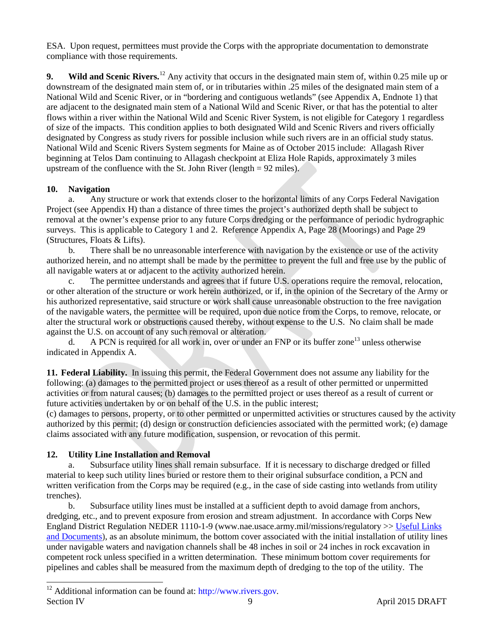ESA. Upon request, permittees must provide the Corps with the appropriate documentation to demonstrate compliance with those requirements.

**9. Wild and Scenic Rivers.**[12](#page-8-0) Any activity that occurs in the designated main stem of, within 0.25 mile up or downstream of the designated main stem of, or in tributaries within .25 miles of the designated main stem of a National Wild and Scenic River, or in "bordering and contiguous wetlands" (see Appendix A, Endnote 1) that are adjacent to the designated main stem of a National Wild and Scenic River, or that has the potential to alter flows within a river within the National Wild and Scenic River System, is not eligible for Category 1 regardless of size of the impacts. This condition applies to both designated Wild and Scenic Rivers and rivers officially designated by Congress as study rivers for possible inclusion while such rivers are in an official study status. National Wild and Scenic Rivers System segments for Maine as of October 2015 include: Allagash River beginning at Telos Dam continuing to Allagash checkpoint at Eliza Hole Rapids, approximately 3 miles upstream of the confluence with the St. John River (length  $= 92$  miles).

#### **10. Navigation**

a.Any structure or work that extends closer to the horizontal limits of any Corps Federal Navigation Project (see Appendix H) than a distance of three times the project's authorized depth shall be subject to removal at the owner's expense prior to any future Corps dredging or the performance of periodic hydrographic surveys. This is applicable to Category 1 and 2. Reference Appendix A, Page 28 (Moorings) and Page 29 (Structures, Floats & Lifts).

b. There shall be no unreasonable interference with navigation by the existence or use of the activity authorized herein, and no attempt shall be made by the permittee to prevent the full and free use by the public of all navigable waters at or adjacent to the activity authorized herein.

c. The permittee understands and agrees that if future U.S. operations require the removal, relocation, or other alteration of the structure or work herein authorized, or if, in the opinion of the Secretary of the Army or his authorized representative, said structure or work shall cause unreasonable obstruction to the free navigation of the navigable waters, the permittee will be required, upon due notice from the Corps, to remove, relocate, or alter the structural work or obstructions caused thereby, without expense to the U.S. No claim shall be made against the U.S. on account of any such removal or alteration.

d. A PCN is required for all work in, over or under an FNP or its buffer zone<sup>13</sup> unless otherwise indicated in Appendix A.

**11. Federal Liability.** In issuing this permit, the Federal Government does not assume any liability for the following: (a) damages to the permitted project or uses thereof as a result of other permitted or unpermitted activities or from natural causes; (b) damages to the permitted project or uses thereof as a result of current or future activities undertaken by or on behalf of the U.S. in the public interest;

(c) damages to persons, property, or to other permitted or unpermitted activities or structures caused by the activity authorized by this permit; (d) design or construction deficiencies associated with the permitted work; (e) damage claims associated with any future modification, suspension, or revocation of this permit.

### **12. Utility Line Installation and Removal**

a. Subsurface utility lines shall remain subsurface. If it is necessary to discharge dredged or filled material to keep such utility lines buried or restore them to their original subsurface condition, a PCN and written verification from the Corps may be required (e.g., in the case of side casting into wetlands from utility trenches).

b. Subsurface utility lines must be installed at a sufficient depth to avoid damage from anchors, dredging, etc., and to prevent exposure from erosion and stream adjustment. In accordance with Corps New England District Regulation NEDER 1110-1-9 (www.nae.usace.army.mil/missions/regulatory >> [Useful Links](http://www.nae.usace.army.mil/Missions/Regulatory/UsefulLinks.aspx)  [and Documents\)](http://www.nae.usace.army.mil/Missions/Regulatory/UsefulLinks.aspx), as an absolute minimum, the bottom cover associated with the initial installation of utility lines under navigable waters and navigation channels shall be 48 inches in soil or 24 inches in rock excavation in competent rock unless specified in a written determination. These minimum bottom cover requirements for pipelines and cables shall be measured from the maximum depth of dredging to the top of the utility. The

<span id="page-8-0"></span>Section IV 8 April 2015 DRAFT  $12$  Additional information can be found at: http://www.rivers.gov.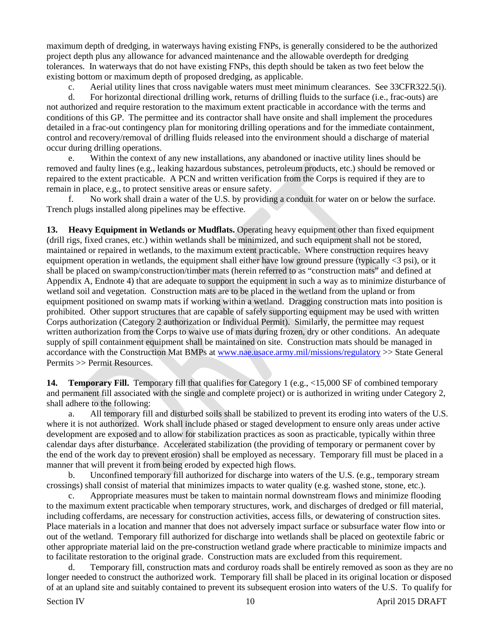maximum depth of dredging, in waterways having existing FNPs, is generally considered to be the authorized project depth plus any allowance for advanced maintenance and the allowable overdepth for dredging tolerances. In waterways that do not have existing FNPs, this depth should be taken as two feet below the existing bottom or maximum depth of proposed dredging, as applicable.

c. Aerial utility lines that cross navigable waters must meet minimum clearances. See 33CFR322.5(i).

d. For horizontal directional drilling work, returns of drilling fluids to the surface (i.e., frac-outs) are not authorized and require restoration to the maximum extent practicable in accordance with the terms and conditions of this GP. The permittee and its contractor shall have onsite and shall implement the procedures detailed in a frac-out contingency plan for monitoring drilling operations and for the immediate containment, control and recovery/removal of drilling fluids released into the environment should a discharge of material occur during drilling operations.

e. Within the context of any new installations, any abandoned or inactive utility lines should be removed and faulty lines (e.g., leaking hazardous substances, petroleum products, etc.) should be removed or repaired to the extent practicable. A PCN and written verification from the Corps is required if they are to remain in place, e.g., to protect sensitive areas or ensure safety.

f. No work shall drain a water of the U.S. by providing a conduit for water on or below the surface. Trench plugs installed along pipelines may be effective.

**13. Heavy Equipment in Wetlands or Mudflats.** Operating heavy equipment other than fixed equipment (drill rigs, fixed cranes, etc.) within wetlands shall be minimized, and such equipment shall not be stored, maintained or repaired in wetlands, to the maximum extent practicable. Where construction requires heavy equipment operation in wetlands, the equipment shall either have low ground pressure (typically <3 psi), or it shall be placed on swamp/construction/timber mats (herein referred to as "construction mats" and defined at Appendix A, Endnote 4) that are adequate to support the equipment in such a way as to minimize disturbance of wetland soil and vegetation. Construction mats are to be placed in the wetland from the upland or from equipment positioned on swamp mats if working within a wetland. Dragging construction mats into position is prohibited. Other support structures that are capable of safely supporting equipment may be used with written Corps authorization (Category 2 authorization or Individual Permit). Similarly, the permittee may request written authorization from the Corps to waive use of mats during frozen, dry or other conditions. An adequate supply of spill containment equipment shall be maintained on site. Construction mats should be managed in accordance with the Construction Mat BMPs at [www.nae.usace.army.mil/missions/regulatory](http://www.nae.usace.army.mil/missions/regulatory) >> State General Permits >> Permit Resources.

**14. Temporary Fill.** Temporary fill that qualifies for Category 1 (e.g., <15,000 SF of combined temporary and permanent fill associated with the single and complete project) or is authorized in writing under Category 2, shall adhere to the following:

a. All temporary fill and disturbed soils shall be stabilized to prevent its eroding into waters of the U.S. where it is not authorized. Work shall include phased or staged development to ensure only areas under active development are exposed and to allow for stabilization practices as soon as practicable, typically within three calendar days after disturbance. Accelerated stabilization (the providing of temporary or permanent cover by the end of the work day to prevent erosion) shall be employed as necessary. Temporary fill must be placed in a manner that will prevent it from being eroded by expected high flows.

b. Unconfined temporary fill authorized for discharge into waters of the U.S. (e.g., temporary stream crossings) shall consist of material that minimizes impacts to water quality (e.g. washed stone, stone, etc.).

c. Appropriate measures must be taken to maintain normal downstream flows and minimize flooding to the maximum extent practicable when temporary structures, work, and discharges of dredged or fill material, including cofferdams, are necessary for construction activities, access fills, or dewatering of construction sites. Place materials in a location and manner that does not adversely impact surface or subsurface water flow into or out of the wetland. Temporary fill authorized for discharge into wetlands shall be placed on geotextile fabric or other appropriate material laid on the pre-construction wetland grade where practicable to minimize impacts and to facilitate restoration to the original grade. Construction mats are excluded from this requirement.

d. Temporary fill, construction mats and corduroy roads shall be entirely removed as soon as they are no longer needed to construct the authorized work. Temporary fill shall be placed in its original location or disposed of at an upland site and suitably contained to prevent its subsequent erosion into waters of the U.S. To qualify for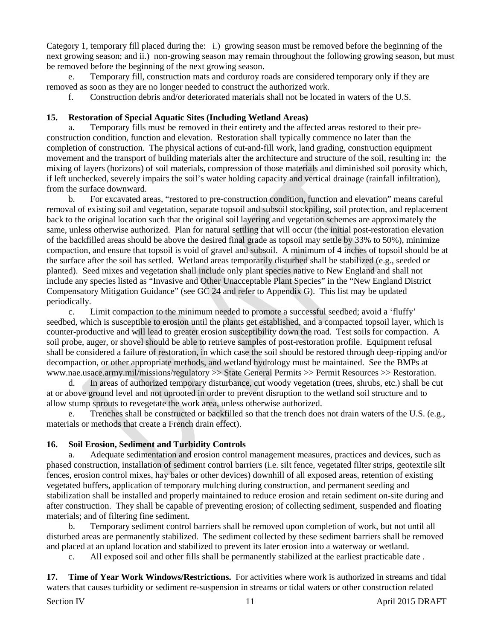Category 1, temporary fill placed during the: i.) growing season must be removed before the beginning of the next growing season; and ii.) non-growing season may remain throughout the following growing season, but must be removed before the beginning of the next growing season.

e. Temporary fill, construction mats and corduroy roads are considered temporary only if they are removed as soon as they are no longer needed to construct the authorized work.

f. Construction debris and/or deteriorated materials shall not be located in waters of the U.S.

#### **15. Restoration of Special Aquatic Sites (Including Wetland Areas)**

a. Temporary fills must be removed in their entirety and the affected areas restored to their preconstruction condition, function and elevation. Restoration shall typically commence no later than the completion of construction. The physical actions of cut-and-fill work, land grading, construction equipment movement and the transport of building materials alter the architecture and structure of the soil, resulting in: the mixing of layers (horizons) of soil materials, compression of those materials and diminished soil porosity which, if left unchecked, severely impairs the soil's water holding capacity and vertical drainage (rainfall infiltration), from the surface downward.

b. For excavated areas, "restored to pre-construction condition, function and elevation" means careful removal of existing soil and vegetation, separate topsoil and subsoil stockpiling, soil protection, and replacement back to the original location such that the original soil layering and vegetation schemes are approximately the same, unless otherwise authorized. Plan for natural settling that will occur (the initial post-restoration elevation of the backfilled areas should be above the desired final grade as topsoil may settle by 33% to 50%), minimize compaction, and ensure that topsoil is void of gravel and subsoil. A minimum of 4 inches of topsoil should be at the surface after the soil has settled. Wetland areas temporarily disturbed shall be stabilized (e.g., seeded or planted). Seed mixes and vegetation shall include only plant species native to New England and shall not include any species listed as "Invasive and Other Unacceptable Plant Species" in the "New England District Compensatory Mitigation Guidance" (see GC 24 and refer to Appendix G). This list may be updated periodically.

c. Limit compaction to the minimum needed to promote a successful seedbed; avoid a 'fluffy' seedbed, which is susceptible to erosion until the plants get established, and a compacted topsoil layer, which is counter-productive and will lead to greater erosion susceptibility down the road. Test soils for compaction. A soil probe, auger, or shovel should be able to retrieve samples of post-restoration profile. Equipment refusal shall be considered a failure of restoration, in which case the soil should be restored through deep-ripping and/or decompaction, or other appropriate methods, and wetland hydrology must be maintained. See the BMPs at www.nae.usace.army.mil/missions/regulatory >> State General Permits >> Permit Resources >> Restoration.

d. In areas of authorized temporary disturbance, cut woody vegetation (trees, shrubs, etc.) shall be cut at or above ground level and not uprooted in order to prevent disruption to the wetland soil structure and to allow stump sprouts to revegetate the work area, unless otherwise authorized.

e. Trenches shall be constructed or backfilled so that the trench does not drain waters of the U.S. (e.g., materials or methods that create a French drain effect).

### **16. Soil Erosion, Sediment and Turbidity Controls**

a. Adequate sedimentation and erosion control management measures, practices and devices, such as phased construction, installation of sediment control barriers (i.e. silt fence, vegetated filter strips, geotextile silt fences, erosion control mixes, hay bales or other devices) downhill of all exposed areas, retention of existing vegetated buffers, application of temporary mulching during construction, and permanent seeding and stabilization shall be installed and properly maintained to reduce erosion and retain sediment on-site during and after construction. They shall be capable of preventing erosion; of collecting sediment, suspended and floating materials; and of filtering fine sediment.

b. Temporary sediment control barriers shall be removed upon completion of work, but not until all disturbed areas are permanently stabilized. The sediment collected by these sediment barriers shall be removed and placed at an upland location and stabilized to prevent its later erosion into a waterway or wetland.

c. All exposed soil and other fills shall be permanently stabilized at the earliest practicable date .

**17. Time of Year Work Windows/Restrictions.** For activities where work is authorized in streams and tidal waters that causes turbidity or sediment re-suspension in streams or tidal waters or other construction related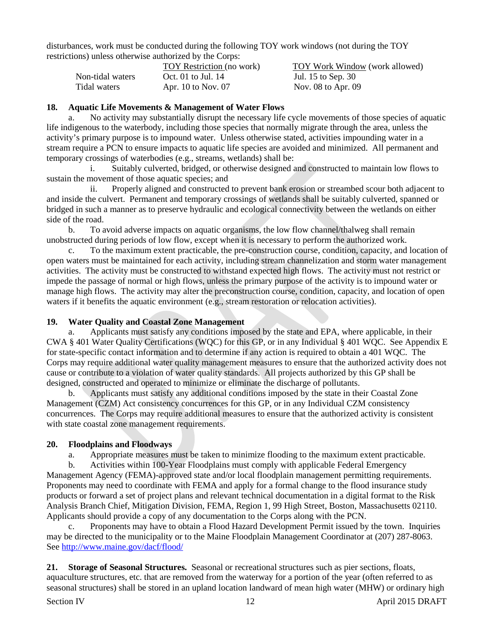disturbances, work must be conducted during the following TOY work windows (not during the TOY restrictions) unless otherwise authorized by the Corps:

|                  | TOY Restriction (no work) | TOY Work Window (work allowed) |
|------------------|---------------------------|--------------------------------|
| Non-tidal waters | Oct. 01 to Jul. 14        | Jul. 15 to Sep. 30             |
| Tidal waters     | Apr. 10 to Nov. $07$      | Nov. 08 to Apr. 09             |

#### **18. Aquatic Life Movements & Management of Water Flows**

a. No activity may substantially disrupt the necessary life cycle movements of those species of aquatic life indigenous to the waterbody, including those species that normally migrate through the area, unless the activity's primary purpose is to impound water. Unless otherwise stated, activities impounding water in a stream require a PCN to ensure impacts to aquatic life species are avoided and minimized. All permanent and temporary crossings of waterbodies (e.g., streams, wetlands) shall be:

i. Suitably culverted, bridged, or otherwise designed and constructed to maintain low flows to sustain the movement of those aquatic species; and

ii. Properly aligned and constructed to prevent bank erosion or streambed scour both adjacent to and inside the culvert. Permanent and temporary crossings of wetlands shall be suitably culverted, spanned or bridged in such a manner as to preserve hydraulic and ecological connectivity between the wetlands on either side of the road.

b. To avoid adverse impacts on aquatic organisms, the low flow channel/thalweg shall remain unobstructed during periods of low flow, except when it is necessary to perform the authorized work.

c. To the maximum extent practicable, the pre-construction course, condition, capacity, and location of open waters must be maintained for each activity, including stream channelization and storm water management activities. The activity must be constructed to withstand expected high flows. The activity must not restrict or impede the passage of normal or high flows, unless the primary purpose of the activity is to impound water or manage high flows. The activity may alter the preconstruction course, condition, capacity, and location of open waters if it benefits the aquatic environment (e.g., stream restoration or relocation activities).

#### **19. Water Quality and Coastal Zone Management**

a. Applicants must satisfy any conditions imposed by the state and EPA, where applicable, in their CWA § 401 Water Quality Certifications (WQC) for this GP, or in any Individual § 401 WQC. See Appendix E for state-specific contact information and to determine if any action is required to obtain a 401 WQC. The Corps may require additional water quality management measures to ensure that the authorized activity does not cause or contribute to a violation of water quality standards. All projects authorized by this GP shall be designed, constructed and operated to minimize or eliminate the discharge of pollutants.

b. Applicants must satisfy any additional conditions imposed by the state in their Coastal Zone Management (CZM) Act consistency concurrences for this GP, or in any Individual CZM consistency concurrences. The Corps may require additional measures to ensure that the authorized activity is consistent with state coastal zone management requirements.

#### **20. Floodplains and Floodways**

a. Appropriate measures must be taken to minimize flooding to the maximum extent practicable.

b. Activities within 100-Year Floodplains must comply with applicable Federal Emergency Management Agency (FEMA)-approved state and/or local floodplain management permitting requirements. Proponents may need to coordinate with FEMA and apply for a formal change to the flood insurance study products or forward a set of project plans and relevant technical documentation in a digital format to the Risk Analysis Branch Chief, Mitigation Division, FEMA, Region 1, 99 High Street, Boston, Massachusetts 02110. Applicants should provide a copy of any documentation to the Corps along with the PCN.

c. Proponents may have to obtain a Flood Hazard Development Permit issued by the town. Inquiries may be directed to the municipality or to the Maine Floodplain Management Coordinator at (207) 287-8063. See http://www.maine.gov/dacf/flood/

**21. Storage of Seasonal Structures.** Seasonal or recreational structures such as pier sections, floats, aquaculture structures, etc. that are removed from the waterway for a portion of the year (often referred to as seasonal structures) shall be stored in an upland location landward of mean high water (MHW) or ordinary high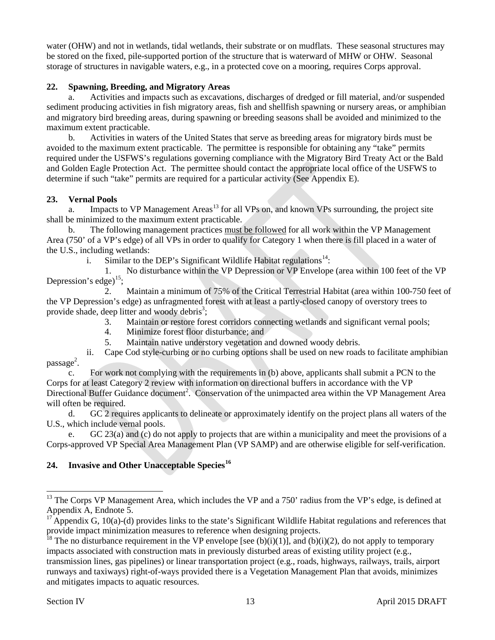water (OHW) and not in wetlands, tidal wetlands, their substrate or on mudflats. These seasonal structures may be stored on the fixed, pile-supported portion of the structure that is waterward of MHW or OHW. Seasonal storage of structures in navigable waters, e.g., in a protected cove on a mooring, requires Corps approval.

### **22. Spawning, Breeding, and Migratory Areas**

a. Activities and impacts such as excavations, discharges of dredged or fill material, and/or suspended sediment producing activities in fish migratory areas, fish and shellfish spawning or nursery areas, or amphibian and migratory bird breeding areas, during spawning or breeding seasons shall be avoided and minimized to the maximum extent practicable.

b. Activities in waters of the United States that serve as breeding areas for migratory birds must be avoided to the maximum extent practicable. The permittee is responsible for obtaining any "take" permits required under the USFWS's regulations governing compliance with the Migratory Bird Treaty Act or the Bald and Golden Eagle Protection Act. The permittee should contact the appropriate local office of the USFWS to determine if such "take" permits are required for a particular activity (See Appendix E).

### **23. Vernal Pools**

a. Impacts to VP Management Areas<sup>[13](#page-12-0)</sup> for all VPs on, and known VPs surrounding, the project site shall be minimized to the maximum extent practicable.

b. The following management practices must be followed for all work within the VP Management Area (750' of a VP's edge) of all VPs in order to qualify for Category 1 when there is fill placed in a water of the U.S., including wetlands:

i. Similar to the DEP's Significant Wildlife Habitat regulations<sup>14</sup>:

1. No disturbance within the VP Depression or VP Envelope (area within 100 feet of the VP Depression's edge)<sup>15</sup>;

2. Maintain a minimum of 75% of the Critical Terrestrial Habitat (area within 100-750 feet of the VP Depression's edge) as unfragmented forest with at least a partly-closed canopy of overstory trees to provide shade, deep litter and woody debris<sup>3</sup>;

- 3. Maintain or restore forest corridors connecting wetlands and significant vernal pools;
- 4. Minimize forest floor disturbance; and
- 5. Maintain native understory vegetation and downed woody debris.

ii. Cape Cod style-curbing or no curbing options shall be used on new roads to facilitate amphibian passage<sup>2</sup>.

c. For work not complying with the requirements in (b) above, applicants shall submit a PCN to the Corps for at least Category 2 review with information on directional buffers in accordance with the VP Directional Buffer Guidance document<sup>2</sup>. Conservation of the unimpacted area within the VP Management Area will often be required.

d. GC 2 requires applicants to delineate or approximately identify on the project plans all waters of the U.S., which include vernal pools.

e. GC 23(a) and (c) do not apply to projects that are within a municipality and meet the provisions of a Corps-approved VP Special Area Management Plan (VP SAMP) and are otherwise eligible for self-verification.

## **24. Invasive and Other Unacceptable Species[16](#page-12-3)**

<span id="page-12-0"></span><sup>&</sup>lt;sup>13</sup> The Corps VP Management Area, which includes the VP and a 750' radius from the VP's edge, is defined at Appendix A, Endnote 5.

Appendix G,  $10(a)$ -(d) provides links to the state's Significant Wildlife Habitat regulations and references that provide impact minimization measures to reference when designing projects.

<span id="page-12-3"></span><span id="page-12-1"></span><sup>&</sup>lt;sup>18</sup> The no disturbance requirement in the VP envelope [see (b)(i)(1)], and (b)(i)(2), do not apply to temporary impacts associated with construction mats in previously disturbed areas of existing utility project (e.g.,

<span id="page-12-2"></span>transmission lines, gas pipelines) or linear transportation project (e.g., roads, highways, railways, trails, airport runways and taxiways) right-of-ways provided there is a Vegetation Management Plan that avoids, minimizes and mitigates impacts to aquatic resources.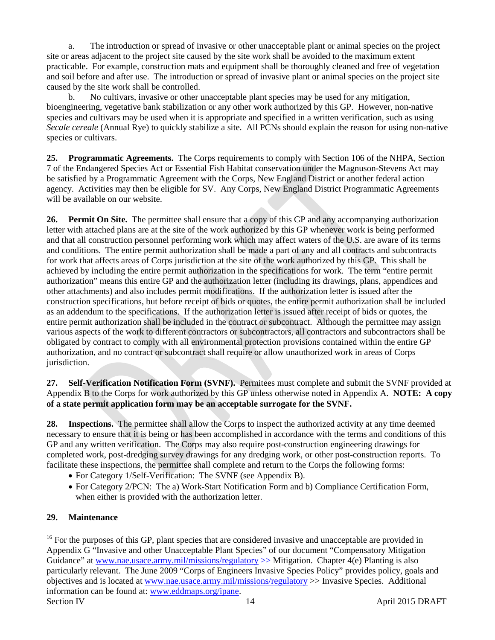a. The introduction or spread of invasive or other unacceptable plant or animal species on the project site or areas adjacent to the project site caused by the site work shall be avoided to the maximum extent practicable. For example, construction mats and equipment shall be thoroughly cleaned and free of vegetation and soil before and after use. The introduction or spread of invasive plant or animal species on the project site caused by the site work shall be controlled.

b. No cultivars, invasive or other unacceptable plant species may be used for any mitigation, bioengineering, vegetative bank stabilization or any other work authorized by this GP. However, non-native species and cultivars may be used when it is appropriate and specified in a written verification, such as using *Secale cereale* (Annual Rye) to quickly stabilize a site. All PCNs should explain the reason for using non-native species or cultivars.

**25. Programmatic Agreements.** The Corps requirements to comply with Section 106 of the NHPA, Section 7 of the Endangered Species Act or Essential Fish Habitat conservation under the Magnuson-Stevens Act may be satisfied by a Programmatic Agreement with the Corps, New England District or another federal action agency. Activities may then be eligible for SV. Any Corps, New England District Programmatic Agreements will be available on our website.

**26. Permit On Site.** The permittee shall ensure that a copy of this GP and any accompanying authorization letter with attached plans are at the site of the work authorized by this GP whenever work is being performed and that all construction personnel performing work which may affect waters of the U.S. are aware of its terms and conditions. The entire permit authorization shall be made a part of any and all contracts and subcontracts for work that affects areas of Corps jurisdiction at the site of the work authorized by this GP. This shall be achieved by including the entire permit authorization in the specifications for work. The term "entire permit authorization" means this entire GP and the authorization letter (including its drawings, plans, appendices and other attachments) and also includes permit modifications. If the authorization letter is issued after the construction specifications, but before receipt of bids or quotes, the entire permit authorization shall be included as an addendum to the specifications. If the authorization letter is issued after receipt of bids or quotes, the entire permit authorization shall be included in the contract or subcontract. Although the permittee may assign various aspects of the work to different contractors or subcontractors, all contractors and subcontractors shall be obligated by contract to comply with all environmental protection provisions contained within the entire GP authorization, and no contract or subcontract shall require or allow unauthorized work in areas of Corps jurisdiction.

**27. Self-Verification Notification Form (SVNF).** Permitees must complete and submit the SVNF provided at Appendix B to the Corps for work authorized by this GP unless otherwise noted in Appendix A. **NOTE: A copy of a state permit application form may be an acceptable surrogate for the SVNF.** 

**28. Inspections.** The permittee shall allow the Corps to inspect the authorized activity at any time deemed necessary to ensure that it is being or has been accomplished in accordance with the terms and conditions of this GP and any written verification. The Corps may also require post-construction engineering drawings for completed work, post-dredging survey drawings for any dredging work, or other post-construction reports. To facilitate these inspections, the permittee shall complete and return to the Corps the following forms:

- For Category 1/Self-Verification: The SVNF (see Appendix B).
- For Category 2/PCN: The a) Work-Start Notification Form and b) Compliance Certification Form, when either is provided with the authorization letter.

## **29. Maintenance**

Section IV 14 April 2015 DRAFT <sup>16</sup> For the purposes of this GP, plant species that are considered invasive and unacceptable are provided in Appendix G "Invasive and other Unacceptable Plant Species" of our document "Compensatory Mitigation Guidance" at [www.nae.usace.army.mil/missions/regulatory](http://www.nae.usace.army.mil/missions/regulatory)  $\gg$  Mitigation. Chapter 4(e) Planting is also particularly relevant. The June 2009 "Corps of Engineers Invasive Species Policy" provides policy, goals and objectives and is located at [www.nae.usace.army.mil/missions/regulatory](http://www.nae.usace.army.mil/missions/regulatory) >> Invasive Species. Additional information can be found at: [www.eddmaps.org/ipane.](http://www.eddmaps.org/ipane/)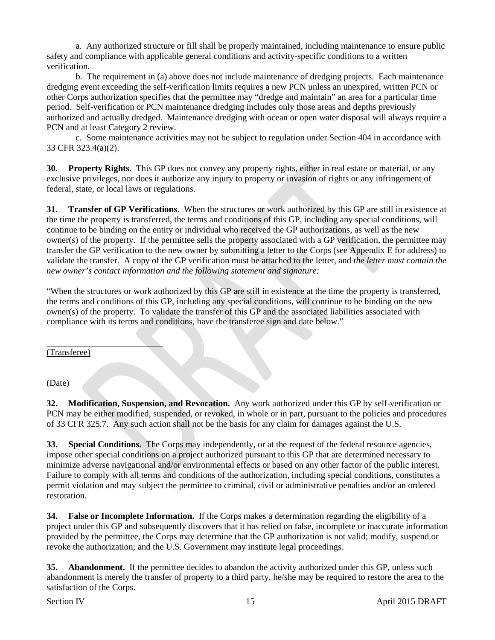a. Any authorized structure or fill shall be properly maintained, including maintenance to ensure public safety and compliance with applicable general conditions and activity-specific conditions to a written verification.

b. The requirement in (a) above does not include maintenance of dredging projects. Each maintenance dredging event exceeding the self-verification limits requires a new PCN unless an unexpired, written PCN or other Corps authorization specifies that the permittee may "dredge and maintain" an area for a particular time period. Self-verification or PCN maintenance dredging includes only those areas and depths previously authorized and actually dredged. Maintenance dredging with ocean or open water disposal will always require a PCN and at least Category 2 review.

c. Some maintenance activities may not be subject to regulation under Section 404 in accordance with 33 CFR 323.4(a)(2).

**30. Property Rights.** This GP does not convey any property rights, either in real estate or material, or any exclusive privileges, nor does it authorize any injury to property or invasion of rights or any infringement of federal, state, or local laws or regulations.

**31. Transfer of GP Verifications**. When the structures or work authorized by this GP are still in existence at the time the property is transferred, the terms and conditions of this GP, including any special conditions, will continue to be binding on the entity or individual who received the GP authorizations, as well as the new owner(s) of the property. If the permittee sells the property associated with a GP verification, the permittee may transfer the GP verification to the new owner by submitting a letter to the Corps (see Appendix E for address) to validate the transfer. A copy of the GP verification must be attached to the letter, and *the letter must contain the new owner's contact information and the following statement and signature:*

"When the structures or work authorized by this GP are still in existence at the time the property is transferred, the terms and conditions of this GP, including any special conditions, will continue to be binding on the new owner(s) of the property. To validate the transfer of this GP and the associated liabilities associated with compliance with its terms and conditions, have the transferee sign and date below."

(Transferee)

(Date)

**32. Modification, Suspension, and Revocation.** Any work authorized under this GP by self-verification or PCN may be either modified, suspended, or revoked, in whole or in part, pursuant to the policies and procedures of 33 CFR 325.7. Any such action shall not be the basis for any claim for damages against the U.S.

**33.** Special Conditions. The Corps may independently, or at the request of the federal resource agencies, impose other special conditions on a project authorized pursuant to this GP that are determined necessary to minimize adverse navigational and/or environmental effects or based on any other factor of the public interest. Failure to comply with all terms and conditions of the authorization, including special conditions, constitutes a permit violation and may subject the permittee to criminal, civil or administrative penalties and/or an ordered restoration.

**34. False or Incomplete Information.** If the Corps makes a determination regarding the eligibility of a project under this GP and subsequently discovers that it has relied on false, incomplete or inaccurate information provided by the permittee, the Corps may determine that the GP authorization is not valid; modify, suspend or revoke the authorization; and the U.S. Government may institute legal proceedings.

**35. Abandonment.** If the permittee decides to abandon the activity authorized under this GP, unless such abandonment is merely the transfer of property to a third party, he/she may be required to restore the area to the satisfaction of the Corps.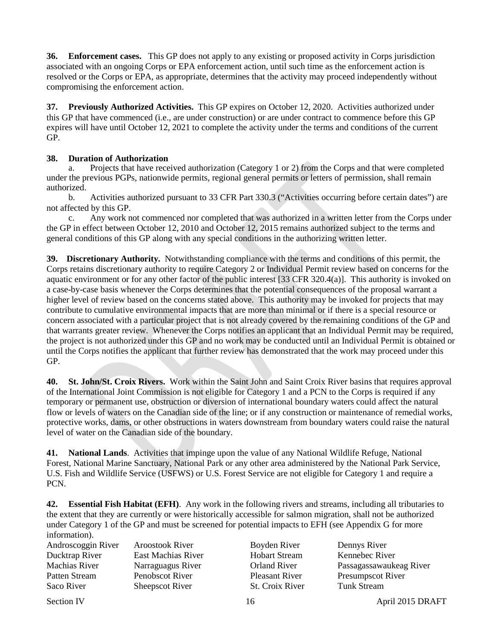**36. Enforcement cases.** This GP does not apply to any existing or proposed activity in Corps jurisdiction associated with an ongoing Corps or EPA enforcement action, until such time as the enforcement action is resolved or the Corps or EPA, as appropriate, determines that the activity may proceed independently without compromising the enforcement action.

**37. Previously Authorized Activities.** This GP expires on October 12, 2020. Activities authorized under this GP that have commenced (i.e., are under construction) or are under contract to commence before this GP expires will have until October 12, 2021 to complete the activity under the terms and conditions of the current GP.

### **38. Duration of Authorization**

a. Projects that have received authorization (Category 1 or 2) from the Corps and that were completed under the previous PGPs, nationwide permits, regional general permits or letters of permission, shall remain authorized.

b. Activities authorized pursuant to 33 CFR Part 330.3 ("Activities occurring before certain dates") are not affected by this GP.

c. Any work not commenced nor completed that was authorized in a written letter from the Corps under the GP in effect between October 12, 2010 and October 12, 2015 remains authorized subject to the terms and general conditions of this GP along with any special conditions in the authorizing written letter.

**39. Discretionary Authority.** Notwithstanding compliance with the terms and conditions of this permit, the Corps retains discretionary authority to require Category 2 or Individual Permit review based on concerns for the aquatic environment or for any other factor of the public interest [33 CFR 320.4(a)]. This authority is invoked on a case-by-case basis whenever the Corps determines that the potential consequences of the proposal warrant a higher level of review based on the concerns stated above. This authority may be invoked for projects that may contribute to cumulative environmental impacts that are more than minimal or if there is a special resource or concern associated with a particular project that is not already covered by the remaining conditions of the GP and that warrants greater review. Whenever the Corps notifies an applicant that an Individual Permit may be required, the project is not authorized under this GP and no work may be conducted until an Individual Permit is obtained or until the Corps notifies the applicant that further review has demonstrated that the work may proceed under this GP.

**40. St. John/St. Croix Rivers.** Work within the Saint John and Saint Croix River basins that requires approval of the International Joint Commission is not eligible for Category 1 and a PCN to the Corps is required if any temporary or permanent use, obstruction or diversion of international boundary waters could affect the natural flow or levels of waters on the Canadian side of the line; or if any construction or maintenance of remedial works, protective works, dams, or other obstructions in waters downstream from boundary waters could raise the natural level of water on the Canadian side of the boundary.

**41. National Lands**. Activities that impinge upon the value of any National Wildlife Refuge, National Forest, National Marine Sanctuary, National Park or any other area administered by the National Park Service, U.S. Fish and Wildlife Service (USFWS) or U.S. Forest Service are not eligible for Category 1 and require a PCN.

**42. Essential Fish Habitat (EFH)**. Any work in the following rivers and streams, including all tributaries to the extent that they are currently or were historically accessible for salmon migration, shall not be authorized under Category 1 of the GP and must be screened for potential impacts to EFH (see Appendix G for more information).

Androscoggin River Aroostook River Boyden River Dennys River Ducktrap River East Machias River Hobart Stream Kennebec River Patten Stream Penobscot River Pleasant River Presumpscot River Saco River Sheepscot River St. Croix River Tunk Stream

Machias River Narraguagus River Orland River Passagassawaukeag River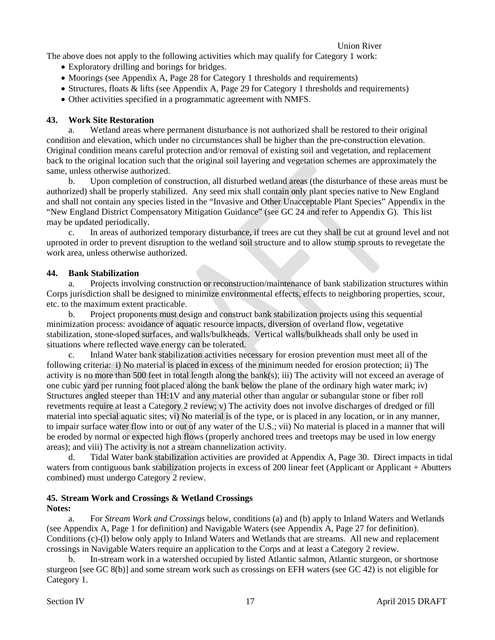#### Union River

The above does not apply to the following activities which may qualify for Category 1 work:

- Exploratory drilling and borings for bridges.
- Moorings (see Appendix A, Page 28 for Category 1 thresholds and requirements)
- Structures, floats & lifts (see Appendix A, Page 29 for Category 1 thresholds and requirements)
- Other activities specified in a programmatic agreement with NMFS.

### **43. Work Site Restoration**

a. Wetland areas where permanent disturbance is not authorized shall be restored to their original condition and elevation, which under no circumstances shall be higher than the pre-construction elevation. Original condition means careful protection and/or removal of existing soil and vegetation, and replacement back to the original location such that the original soil layering and vegetation schemes are approximately the same, unless otherwise authorized.

b. Upon completion of construction, all disturbed wetland areas (the disturbance of these areas must be authorized) shall be properly stabilized. Any seed mix shall contain only plant species native to New England and shall not contain any species listed in the "Invasive and Other Unacceptable Plant Species" Appendix in the "New England District Compensatory Mitigation Guidance" (see GC 24 and refer to Appendix G). This list may be updated periodically.

c. In areas of authorized temporary disturbance, if trees are cut they shall be cut at ground level and not uprooted in order to prevent disruption to the wetland soil structure and to allow stump sprouts to revegetate the work area, unless otherwise authorized.

### **44. Bank Stabilization**

a. Projects involving construction or reconstruction/maintenance of bank stabilization structures within Corps jurisdiction shall be designed to minimize environmental effects, effects to neighboring properties, scour, etc. to the maximum extent practicable.

b. Project proponents must design and construct bank stabilization projects using this sequential minimization process: avoidance of aquatic resource impacts, diversion of overland flow, vegetative stabilization, stone-sloped surfaces, and walls/bulkheads. Vertical walls/bulkheads shall only be used in situations where reflected wave energy can be tolerated.

c. Inland Water bank stabilization activities necessary for erosion prevention must meet all of the following criteria: i) No material is placed in excess of the minimum needed for erosion protection; ii) The activity is no more than 500 feet in total length along the bank(s); iii) The activity will not exceed an average of one cubic yard per running foot placed along the bank below the plane of the ordinary high water mark; iv) Structures angled steeper than 1H:1V and any material other than angular or subangular stone or fiber roll revetments require at least a Category 2 review; v) The activity does not involve discharges of dredged or fill material into special aquatic sites; vi) No material is of the type, or is placed in any location, or in any manner, to impair surface water flow into or out of any water of the U.S.; vii) No material is placed in a manner that will be eroded by normal or expected high flows (properly anchored trees and treetops may be used in low energy areas); and viii) The activity is not a stream channelization activity.

d. Tidal Water bank stabilization activities are provided at Appendix A, Page 30. Direct impacts in tidal waters from contiguous bank stabilization projects in excess of 200 linear feet (Applicant or Applicant + Abutters combined) must undergo Category 2 review.

#### **45. Stream Work and Crossings & Wetland Crossings Notes:**

a. For *Stream Work and Crossings* below, conditions (a) and (b) apply to Inland Waters and Wetlands (see Appendix A, Page 1 for definition) and Navigable Waters (see Appendix A, Page 27 for definition). Conditions (c)-(l) below only apply to Inland Waters and Wetlands that are streams. All new and replacement crossings in Navigable Waters require an application to the Corps and at least a Category 2 review.

b. In-stream work in a watershed occupied by listed Atlantic salmon, Atlantic sturgeon, or shortnose sturgeon [see GC 8(b)] and some stream work such as crossings on EFH waters (see GC 42) is not eligible for Category 1.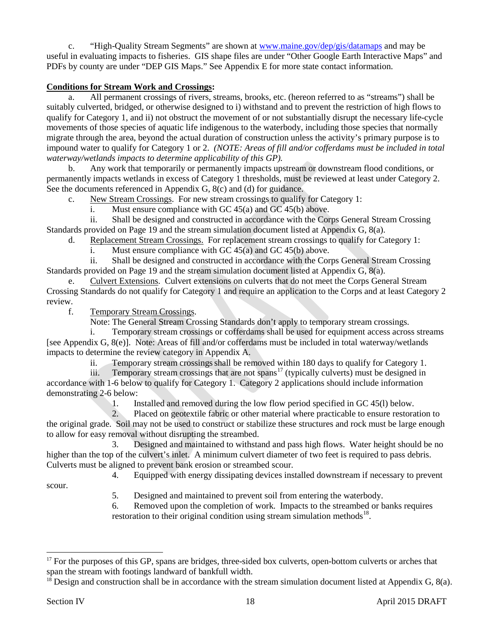c. "High-Quality Stream Segments" are shown at www.maine.gov/dep/gis/datamaps and may be useful in evaluating impacts to fisheries. GIS shape files are under "Other Google Earth Interactive Maps" and PDFs by county are under "DEP GIS Maps." See Appendix E for more state contact information.

### **Conditions for Stream Work and Crossings:**

a. All permanent crossings of rivers, streams, brooks, etc. (hereon referred to as "streams") shall be suitably culverted, bridged, or otherwise designed to i) withstand and to prevent the restriction of high flows to qualify for Category 1, and ii) not obstruct the movement of or not substantially disrupt the necessary life-cycle movements of those species of aquatic life indigenous to the waterbody, including those species that normally migrate through the area, beyond the actual duration of construction unless the activity's primary purpose is to impound water to qualify for Category 1 or 2. *(NOTE: Areas of fill and/or cofferdams must be included in total waterway/wetlands impacts to determine applicability of this GP).*

b. Any work that temporarily or permanently impacts upstream or downstream flood conditions, or permanently impacts wetlands in excess of Category 1 thresholds, must be reviewed at least under Category 2. See the documents referenced in Appendix G, 8(c) and (d) for guidance.

c. New Stream Crossings. For new stream crossings to qualify for Category 1:

i. Must ensure compliance with GC  $45(a)$  and GC  $45(b)$  above.

ii. Shall be designed and constructed in accordance with the Corps General Stream Crossing Standards provided on Page 19 and the stream simulation document listed at Appendix G, 8(a).

d. Replacement Stream Crossings. For replacement stream crossings to qualify for Category 1:

i. Must ensure compliance with GC 45(a) and GC 45(b) above.

ii. Shall be designed and constructed in accordance with the Corps General Stream Crossing Standards provided on Page 19 and the stream simulation document listed at Appendix G, 8(a).

e. Culvert Extensions. Culvert extensions on culverts that do not meet the Corps General Stream Crossing Standards do not qualify for Category 1 and require an application to the Corps and at least Category 2 review.

f. Temporary Stream Crossings.

Note: The General Stream Crossing Standards don't apply to temporary stream crossings.

i. Temporary stream crossings or cofferdams shall be used for equipment access across streams [see Appendix G, 8(e)]. Note: Areas of fill and/or cofferdams must be included in total waterway/wetlands impacts to determine the review category in Appendix A.

ii. Temporary stream crossingsshall be removed within 180 days to qualify for Category 1.

iii. Temporary stream crossings that are not spans<sup>[17](#page-17-0)</sup> (typically culverts) must be designed in accordance with 1-6 below to qualify for Category 1. Category 2 applications should include information demonstrating 2-6 below:

1. Installed and removed during the low flow period specified in GC 45(l) below.<br>2. Placed on geotextile fabric or other material where practicable to ensure restoral

2. Placed on geotextile fabric or other material where practicable to ensure restoration to the original grade. Soil may not be used to construct or stabilize these structures and rock must be large enough to allow for easy removal without disrupting the streambed.

3. Designed and maintained to withstand and pass high flows. Water height should be no higher than the top of the culvert's inlet. A minimum culvert diameter of two feet is required to pass debris. Culverts must be aligned to prevent bank erosion or streambed scour.

4. Equipped with energy dissipating devices installed downstream if necessary to prevent

scour.

5. Designed and maintained to prevent soil from entering the waterbody.

6. Removed upon the completion of work. Impacts to the streambed or banks requires restoration to their original condition using stream simulation methods<sup>[18](#page-17-1)</sup>.

<span id="page-17-0"></span> $17$  For the purposes of this GP, spans are bridges, three-sided box culverts, open-bottom culverts or arches that span the stream with footings landward of bankfull width.

<span id="page-17-1"></span><sup>&</sup>lt;sup>18</sup> Design and construction shall be in accordance with the stream simulation document listed at Appendix G,  $8(a)$ .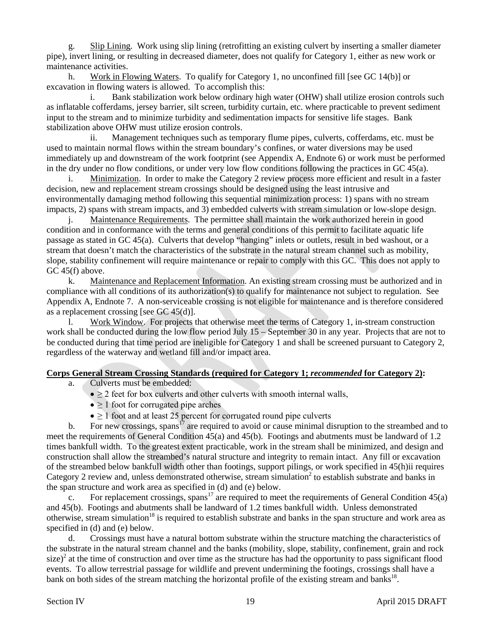g. Slip Lining. Work using slip lining (retrofitting an existing culvert by inserting a smaller diameter pipe), invert lining, or resulting in decreased diameter, does not qualify for Category 1, either as new work or maintenance activities.

h. Work in Flowing Waters. To qualify for Category 1, no unconfined fill [see GC 14(b)] or excavation in flowing waters is allowed. To accomplish this:

i. Bank stabilization work below ordinary high water (OHW) shall utilize erosion controls such as inflatable cofferdams, jersey barrier, silt screen, turbidity curtain, etc. where practicable to prevent sediment input to the stream and to minimize turbidity and sedimentation impacts for sensitive life stages. Bank stabilization above OHW must utilize erosion controls.

ii. Management techniques such as temporary flume pipes, culverts, cofferdams, etc. must be used to maintain normal flows within the stream boundary's confines, or water diversions may be used immediately up and downstream of the work footprint (see Appendix A, Endnote 6) or work must be performed in the dry under no flow conditions, or under very low flow conditions following the practices in GC 45(a).

i. Minimization. In order to make the Category 2 review process more efficient and result in a faster decision, new and replacement stream crossings should be designed using the least intrusive and environmentally damaging method following this sequential minimization process: 1) spans with no stream impacts, 2) spans with stream impacts, and 3) embedded culverts with stream simulation or low-slope design.

j. Maintenance Requirements. The permittee shall maintain the work authorized herein in good condition and in conformance with the terms and general conditions of this permit to facilitate aquatic life passage as stated in GC 45(a). Culverts that develop "hanging" inlets or outlets, result in bed washout, or a stream that doesn't match the characteristics of the substrate in the natural stream channel such as mobility, slope, stability confinement will require maintenance or repair to comply with this GC. This does not apply to GC 45(f) above.

k. Maintenance and Replacement Information. An existing stream crossing must be authorized and in compliance with all conditions of its authorization(s) to qualify for maintenance not subject to regulation. See Appendix A, Endnote 7. A non-serviceable crossing is not eligible for maintenance and is therefore considered as a replacement crossing [see GC 45(d)].

Work Window. For projects that otherwise meet the terms of Category 1, in-stream construction work shall be conducted during the low flow period July 15 – September 30 in any year. Projects that are not to be conducted during that time period are ineligible for Category 1 and shall be screened pursuant to Category 2, regardless of the waterway and wetland fill and/or impact area.

### **Corps General Stream Crossing Standards (required for Category 1;** *recommended* **for Category 2):**

- a. Culverts must be embedded:
	- $\geq$  2 feet for box culverts and other culverts with smooth internal walls,
	- $\geq 1$  foot for corrugated pipe arches
	- $\bullet \geq 1$  foot and at least 25 percent for corrugated round pipe culverts

b. For new crossings, spans<sup>17</sup> are required to avoid or cause minimal disruption to the streambed and to meet the requirements of General Condition 45(a) and 45(b). Footings and abutments must be landward of 1.2 times bankfull width. To the greatest extent practicable, work in the stream shall be minimized, and design and construction shall allow the streambed's natural structure and integrity to remain intact. Any fill or excavation of the streambed below bankfull width other than footings, support pilings, or work specified in 45(h)ii requires Category 2 review and, unless demonstrated otherwise, stream simulation<sup>2</sup> to establish substrate and banks in the span structure and work area as specified in (d) and (e) below.

c. For replacement crossings, spans<sup>17</sup> are required to meet the requirements of General Condition 45(a) and 45(b). Footings and abutments shall be landward of 1.2 times bankfull width. Unless demonstrated otherwise, stream simulation<sup>18</sup> is required to establish substrate and banks in the span structure and work area as specified in (d) and (e) below.

d. Crossings must have a natural bottom substrate within the structure matching the characteristics of the substrate in the natural stream channel and the banks (mobility, slope, stability, confinement, grain and rock size)<sup>2</sup> at the time of construction and over time as the structure has had the opportunity to pass significant flood events. To allow terrestrial passage for wildlife and prevent undermining the footings, crossings shall have a bank on both sides of the stream matching the horizontal profile of the existing stream and banks<sup>18</sup>.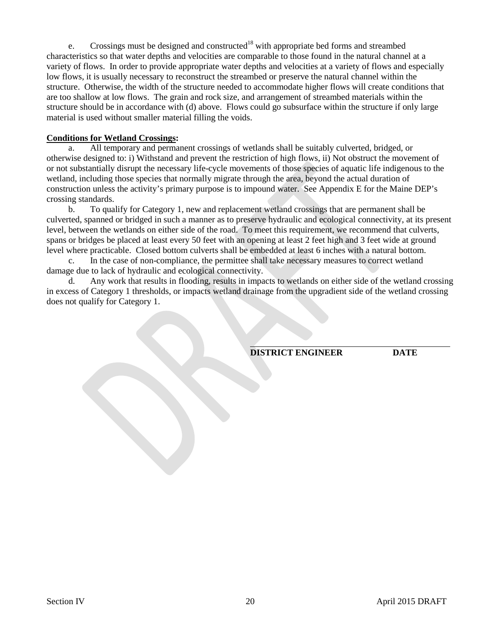e. Crossings must be designed and constructed<sup>18</sup> with appropriate bed forms and streambed characteristics so that water depths and velocities are comparable to those found in the natural channel at a variety of flows. In order to provide appropriate water depths and velocities at a variety of flows and especially low flows, it is usually necessary to reconstruct the streambed or preserve the natural channel within the structure. Otherwise, the width of the structure needed to accommodate higher flows will create conditions that are too shallow at low flows. The grain and rock size, and arrangement of streambed materials within the structure should be in accordance with (d) above. Flows could go subsurface within the structure if only large material is used without smaller material filling the voids.

#### **Conditions for Wetland Crossings:**

a. All temporary and permanent crossings of wetlands shall be suitably culverted, bridged, or otherwise designed to: i) Withstand and prevent the restriction of high flows, ii) Not obstruct the movement of or not substantially disrupt the necessary life-cycle movements of those species of aquatic life indigenous to the wetland, including those species that normally migrate through the area, beyond the actual duration of construction unless the activity's primary purpose is to impound water. See Appendix E for the Maine DEP's crossing standards.

b. To qualify for Category 1, new and replacement wetland crossings that are permanent shall be culverted, spanned or bridged in such a manner as to preserve hydraulic and ecological connectivity, at its present level, between the wetlands on either side of the road. To meet this requirement, we recommend that culverts, spans or bridges be placed at least every 50 feet with an opening at least 2 feet high and 3 feet wide at ground level where practicable. Closed bottom culverts shall be embedded at least 6 inches with a natural bottom.

c. In the case of non-compliance, the permittee shall take necessary measures to correct wetland damage due to lack of hydraulic and ecological connectivity.

d. Any work that results in flooding, results in impacts to wetlands on either side of the wetland crossing in excess of Category 1 thresholds, or impacts wetland drainage from the upgradient side of the wetland crossing does not qualify for Category 1.

**DISTRICT ENGINEER DATE**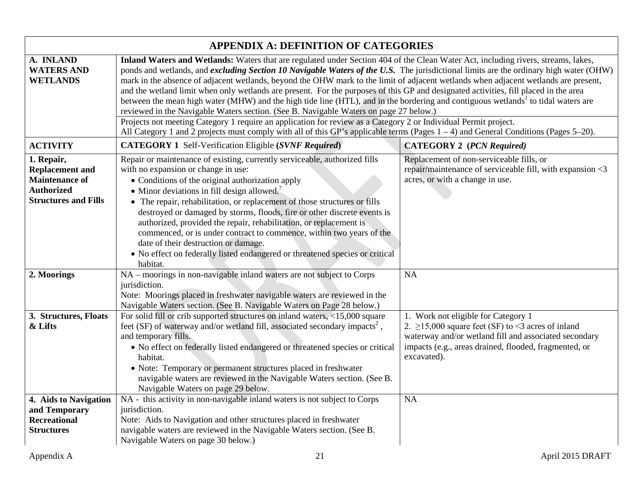| <b>APPENDIX A: DEFINITION OF CATEGORIES</b>                                                                       |                                                                                                                                                                                                                                                                                                                                                                                                                                                                                                                                                                                                                                                                                                                                                                                                                                                                                                                                                                                                                                                                     |                                                                                                                                                                                                                                 |
|-------------------------------------------------------------------------------------------------------------------|---------------------------------------------------------------------------------------------------------------------------------------------------------------------------------------------------------------------------------------------------------------------------------------------------------------------------------------------------------------------------------------------------------------------------------------------------------------------------------------------------------------------------------------------------------------------------------------------------------------------------------------------------------------------------------------------------------------------------------------------------------------------------------------------------------------------------------------------------------------------------------------------------------------------------------------------------------------------------------------------------------------------------------------------------------------------|---------------------------------------------------------------------------------------------------------------------------------------------------------------------------------------------------------------------------------|
| A. INLAND<br><b>WATERS AND</b><br><b>WETLANDS</b>                                                                 | Inland Waters and Wetlands: Waters that are regulated under Section 404 of the Clean Water Act, including rivers, streams, lakes,<br>ponds and wetlands, and excluding Section 10 Navigable Waters of the U.S. The jurisdictional limits are the ordinary high water (OHW)<br>mark in the absence of adjacent wetlands, beyond the OHW mark to the limit of adjacent wetlands when adjacent wetlands are present,<br>and the wetland limit when only wetlands are present. For the purposes of this GP and designated activities, fill placed in the area<br>between the mean high water (MHW) and the high tide line (HTL), and in the bordering and contiguous wetlands <sup>1</sup> to tidal waters are<br>reviewed in the Navigable Waters section. (See B. Navigable Waters on page 27 below.)<br>Projects not meeting Category 1 require an application for review as a Category 2 or Individual Permit project.<br>All Category 1 and 2 projects must comply with all of this GP's applicable terms (Pages $1 - 4$ ) and General Conditions (Pages $5-20$ ). |                                                                                                                                                                                                                                 |
| <b>ACTIVITY</b>                                                                                                   | <b>CATEGORY 1 Self-Verification Eligible (SVNF Required)</b>                                                                                                                                                                                                                                                                                                                                                                                                                                                                                                                                                                                                                                                                                                                                                                                                                                                                                                                                                                                                        | <b>CATEGORY 2 (PCN Required)</b>                                                                                                                                                                                                |
| 1. Repair,<br><b>Replacement and</b><br><b>Maintenance of</b><br><b>Authorized</b><br><b>Structures and Fills</b> | Repair or maintenance of existing, currently serviceable, authorized fills<br>with no expansion or change in use:<br>• Conditions of the original authorization apply<br>• Minor deviations in fill design allowed. <sup>7</sup><br>• The repair, rehabilitation, or replacement of those structures or fills<br>destroyed or damaged by storms, floods, fire or other discrete events is<br>authorized, provided the repair, rehabilitation, or replacement is<br>commenced, or is under contract to commence, within two years of the<br>date of their destruction or damage.<br>• No effect on federally listed endangered or threatened species or critical<br>habitat.                                                                                                                                                                                                                                                                                                                                                                                         | Replacement of non-serviceable fills, or<br>repair/maintenance of serviceable fill, with expansion $\leq$ 3<br>acres, or with a change in use.                                                                                  |
| 2. Moorings                                                                                                       | NA - moorings in non-navigable inland waters are not subject to Corps<br>jurisdiction.<br>Note: Moorings placed in freshwater navigable waters are reviewed in the<br>Navigable Waters section. (See B. Navigable Waters on Page 28 below.)                                                                                                                                                                                                                                                                                                                                                                                                                                                                                                                                                                                                                                                                                                                                                                                                                         | NA                                                                                                                                                                                                                              |
| 3. Structures, Floats<br>& Lifts                                                                                  | For solid fill or crib supported structures on inland waters, <15,000 square<br>feet (SF) of waterway and/or wetland fill, associated secondary impacts <sup>2</sup> ,<br>and temporary fills.<br>• No effect on federally listed endangered or threatened species or critical<br>habitat.<br>• Note: Temporary or permanent structures placed in freshwater<br>navigable waters are reviewed in the Navigable Waters section. (See B.<br>Navigable Waters on page 29 below.                                                                                                                                                                                                                                                                                                                                                                                                                                                                                                                                                                                        | 1. Work not eligible for Category 1<br>2. $\geq$ 15,000 square feet (SF) to <3 acres of inland<br>waterway and/or wetland fill and associated secondary<br>impacts (e.g., areas drained, flooded, fragmented, or<br>excavated). |
| 4. Aids to Navigation<br>and Temporary<br><b>Recreational</b><br><b>Structures</b>                                | NA - this activity in non-navigable inland waters is not subject to Corps<br>jurisdiction.<br>Note: Aids to Navigation and other structures placed in freshwater<br>navigable waters are reviewed in the Navigable Waters section. (See B.<br>Navigable Waters on page 30 below.)                                                                                                                                                                                                                                                                                                                                                                                                                                                                                                                                                                                                                                                                                                                                                                                   | NA                                                                                                                                                                                                                              |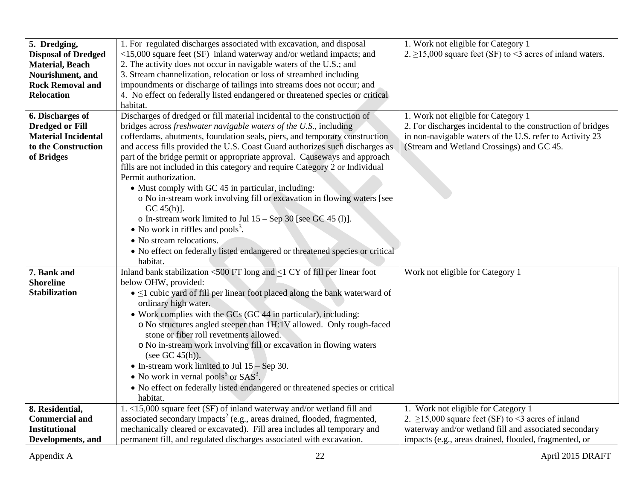| 5. Dredging,<br><b>Disposal of Dredged</b><br><b>Material</b> , Beach<br>Nourishment, and                     | 1. For regulated discharges associated with excavation, and disposal<br>$\langle 15,000 \rangle$ square feet (SF) inland waterway and/or wetland impacts; and<br>2. The activity does not occur in navigable waters of the U.S.; and<br>3. Stream channelization, relocation or loss of streambed including                                                                                                                                                                                                                                                                                                                                                                                                                                                                                                                                                                        | 1. Work not eligible for Category 1<br>2. $\geq$ 15,000 square feet (SF) to <3 acres of inland waters.                                                                                                      |
|---------------------------------------------------------------------------------------------------------------|------------------------------------------------------------------------------------------------------------------------------------------------------------------------------------------------------------------------------------------------------------------------------------------------------------------------------------------------------------------------------------------------------------------------------------------------------------------------------------------------------------------------------------------------------------------------------------------------------------------------------------------------------------------------------------------------------------------------------------------------------------------------------------------------------------------------------------------------------------------------------------|-------------------------------------------------------------------------------------------------------------------------------------------------------------------------------------------------------------|
| <b>Rock Removal and</b><br><b>Relocation</b>                                                                  | impoundments or discharge of tailings into streams does not occur; and<br>4. No effect on federally listed endangered or threatened species or critical<br>habitat.                                                                                                                                                                                                                                                                                                                                                                                                                                                                                                                                                                                                                                                                                                                |                                                                                                                                                                                                             |
| 6. Discharges of<br><b>Dredged or Fill</b><br><b>Material Incidental</b><br>to the Construction<br>of Bridges | Discharges of dredged or fill material incidental to the construction of<br>bridges across freshwater navigable waters of the U.S., including<br>cofferdams, abutments, foundation seals, piers, and temporary construction<br>and access fills provided the U.S. Coast Guard authorizes such discharges as<br>part of the bridge permit or appropriate approval. Causeways and approach<br>fills are not included in this category and require Category 2 or Individual<br>Permit authorization.<br>• Must comply with GC 45 in particular, including:<br>o No in-stream work involving fill or excavation in flowing waters [see<br>$GC 45(h)$ ].<br>o In-stream work limited to Jul $15$ – Sep 30 [see GC 45 (1)].<br>• No work in riffles and pools <sup>3</sup> .<br>• No stream relocations.<br>• No effect on federally listed endangered or threatened species or critical | 1. Work not eligible for Category 1<br>2. For discharges incidental to the construction of bridges<br>in non-navigable waters of the U.S. refer to Activity 23<br>(Stream and Wetland Crossings) and GC 45. |
| 7. Bank and                                                                                                   | habitat.<br>Inland bank stabilization <500 FT long and $\leq$ 1 CY of fill per linear foot                                                                                                                                                                                                                                                                                                                                                                                                                                                                                                                                                                                                                                                                                                                                                                                         | Work not eligible for Category 1                                                                                                                                                                            |
| <b>Shoreline</b>                                                                                              | below OHW, provided:                                                                                                                                                                                                                                                                                                                                                                                                                                                                                                                                                                                                                                                                                                                                                                                                                                                               |                                                                                                                                                                                                             |
| <b>Stabilization</b>                                                                                          | $\bullet$ $\leq$ 1 cubic yard of fill per linear foot placed along the bank waterward of<br>ordinary high water.<br>• Work complies with the GCs (GC 44 in particular), including:<br>o No structures angled steeper than 1H:1V allowed. Only rough-faced<br>stone or fiber roll revetments allowed.<br>o No in-stream work involving fill or excavation in flowing waters<br>(see GC $45(h)$ ).<br>• In-stream work limited to Jul $15$ – Sep 30.<br>• No work in vernal pools <sup>5</sup> or $SAS3$ .<br>• No effect on federally listed endangered or threatened species or critical<br>habitat.                                                                                                                                                                                                                                                                               |                                                                                                                                                                                                             |
| 8. Residential,                                                                                               | 1. <15,000 square feet (SF) of inland waterway and/or wetland fill and                                                                                                                                                                                                                                                                                                                                                                                                                                                                                                                                                                                                                                                                                                                                                                                                             | 1. Work not eligible for Category 1                                                                                                                                                                         |
| <b>Commercial and</b>                                                                                         | associated secondary impacts <sup>2</sup> (e.g., areas drained, flooded, fragmented,                                                                                                                                                                                                                                                                                                                                                                                                                                                                                                                                                                                                                                                                                                                                                                                               | 2. $\geq$ 15,000 square feet (SF) to <3 acres of inland                                                                                                                                                     |
| <b>Institutional</b><br>Developments, and                                                                     | mechanically cleared or excavated). Fill area includes all temporary and<br>permanent fill, and regulated discharges associated with excavation.                                                                                                                                                                                                                                                                                                                                                                                                                                                                                                                                                                                                                                                                                                                                   | waterway and/or wetland fill and associated secondary<br>impacts (e.g., areas drained, flooded, fragmented, or                                                                                              |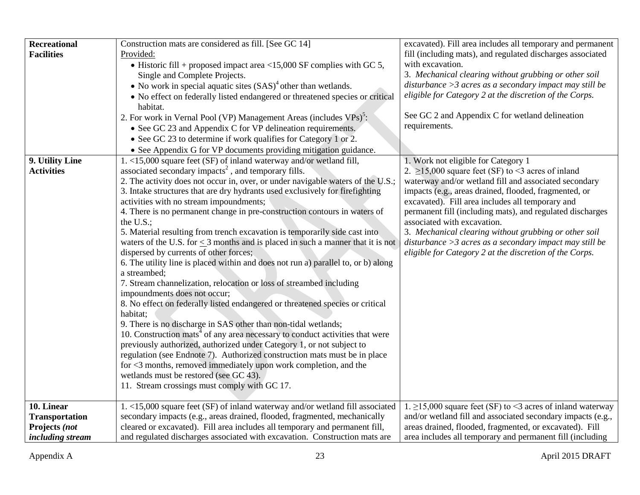| <b>Recreational</b>   | Construction mats are considered as fill. [See GC 14]                                     | excavated). Fill area includes all temporary and permanent       |
|-----------------------|-------------------------------------------------------------------------------------------|------------------------------------------------------------------|
| <b>Facilities</b>     | Provided:                                                                                 | fill (including mats), and regulated discharges associated       |
|                       | • Historic fill + proposed impact area $\langle 15,000 \text{ SF}$ complies with GC 5,    | with excavation.                                                 |
|                       | Single and Complete Projects.                                                             | 3. Mechanical clearing without grubbing or other soil            |
|                       | • No work in special aquatic sites $(SAS)^4$ other than wetlands.                         | disturbance $>3$ acres as a secondary impact may still be        |
|                       | • No effect on federally listed endangered or threatened species or critical              | eligible for Category 2 at the discretion of the Corps.          |
|                       | habitat.                                                                                  |                                                                  |
|                       | 2. For work in Vernal Pool (VP) Management Areas (includes VPs) <sup>5</sup> :            | See GC 2 and Appendix C for wetland delineation                  |
|                       | • See GC 23 and Appendix C for VP delineation requirements.                               | requirements.                                                    |
|                       | • See GC 23 to determine if work qualifies for Category 1 or 2.                           |                                                                  |
|                       | • See Appendix G for VP documents providing mitigation guidance.                          |                                                                  |
| 9. Utility Line       | 1. <15,000 square feet (SF) of inland waterway and/or wetland fill,                       | 1. Work not eligible for Category 1                              |
| <b>Activities</b>     | associated secondary impacts <sup>2</sup> , and temporary fills.                          | 2. $\geq$ 15,000 square feet (SF) to <3 acres of inland          |
|                       | 2. The activity does not occur in, over, or under navigable waters of the U.S.;           | waterway and/or wetland fill and associated secondary            |
|                       | 3. Intake structures that are dry hydrants used exclusively for firefighting              | impacts (e.g., areas drained, flooded, fragmented, or            |
|                       | activities with no stream impoundments;                                                   | excavated). Fill area includes all temporary and                 |
|                       | 4. There is no permanent change in pre-construction contours in waters of                 | permanent fill (including mats), and regulated discharges        |
|                       | the $U.S.$ ;                                                                              | associated with excavation.                                      |
|                       | 5. Material resulting from trench excavation is temporarily side cast into                | 3. Mechanical clearing without grubbing or other soil            |
|                       | waters of the U.S. for $\leq$ 3 months and is placed in such a manner that it is not      | disturbance $>3$ acres as a secondary impact may still be        |
|                       | dispersed by currents of other forces;                                                    | eligible for Category 2 at the discretion of the Corps.          |
|                       | 6. The utility line is placed within and does not run a) parallel to, or b) along         |                                                                  |
|                       | a streambed;                                                                              |                                                                  |
|                       | 7. Stream channelization, relocation or loss of streambed including                       |                                                                  |
|                       | impoundments does not occur;                                                              |                                                                  |
|                       | 8. No effect on federally listed endangered or threatened species or critical<br>habitat; |                                                                  |
|                       | 9. There is no discharge in SAS other than non-tidal wetlands;                            |                                                                  |
|                       | 10. Construction mats <sup>4</sup> of any area necessary to conduct activities that were  |                                                                  |
|                       | previously authorized, authorized under Category 1, or not subject to                     |                                                                  |
|                       | regulation (see Endnote 7). Authorized construction mats must be in place                 |                                                                  |
|                       | for <3 months, removed immediately upon work completion, and the                          |                                                                  |
|                       | wetlands must be restored (see GC 43).                                                    |                                                                  |
|                       | 11. Stream crossings must comply with GC 17.                                              |                                                                  |
|                       |                                                                                           |                                                                  |
| 10. Linear            | 1. <15,000 square feet (SF) of inland waterway and/or wetland fill associated             | 1. $\geq$ 15,000 square feet (SF) to <3 acres of inland waterway |
| <b>Transportation</b> | secondary impacts (e.g., areas drained, flooded, fragmented, mechanically                 | and/or wetland fill and associated secondary impacts (e.g.,      |
| Projects (not         | cleared or excavated). Fill area includes all temporary and permanent fill,               | areas drained, flooded, fragmented, or excavated). Fill          |
| including stream      | and regulated discharges associated with excavation. Construction mats are                | area includes all temporary and permanent fill (including        |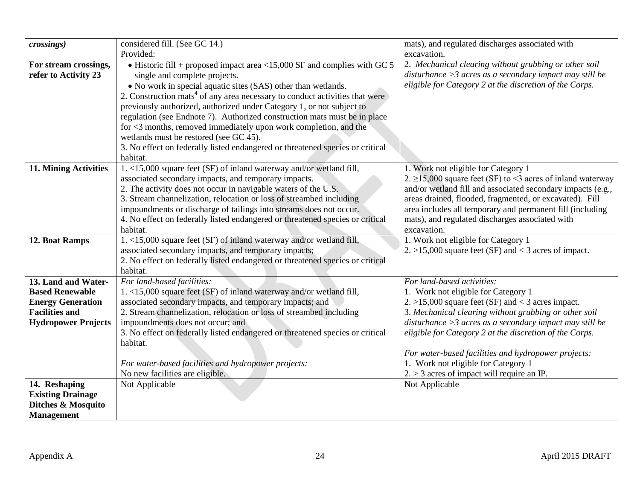| crossings)                 | considered fill. (See GC 14.)                                                                                                                       | mats), and regulated discharges associated with                                                              |
|----------------------------|-----------------------------------------------------------------------------------------------------------------------------------------------------|--------------------------------------------------------------------------------------------------------------|
|                            | Provided:                                                                                                                                           | excavation.                                                                                                  |
| For stream crossings,      | $\bullet$ Historic fill + proposed impact area <15,000 SF and complies with GC 5                                                                    | 2. Mechanical clearing without grubbing or other soil                                                        |
| refer to Activity 23       | single and complete projects.                                                                                                                       | disturbance $>3$ acres as a secondary impact may still be                                                    |
|                            | • No work in special aquatic sites (SAS) other than wetlands.                                                                                       | eligible for Category 2 at the discretion of the Corps.                                                      |
|                            | 2. Construction mats <sup>4</sup> of any area necessary to conduct activities that were                                                             |                                                                                                              |
|                            | previously authorized, authorized under Category 1, or not subject to                                                                               |                                                                                                              |
|                            | regulation (see Endnote 7). Authorized construction mats must be in place                                                                           |                                                                                                              |
|                            | for <3 months, removed immediately upon work completion, and the                                                                                    |                                                                                                              |
|                            | wetlands must be restored (see GC 45).                                                                                                              |                                                                                                              |
|                            | 3. No effect on federally listed endangered or threatened species or critical                                                                       |                                                                                                              |
|                            | habitat.                                                                                                                                            |                                                                                                              |
| 11. Mining Activities      | 1. <15,000 square feet (SF) of inland waterway and/or wetland fill,                                                                                 | 1. Work not eligible for Category 1                                                                          |
|                            | associated secondary impacts, and temporary impacts.                                                                                                | 2. $\geq$ 15,000 square feet (SF) to <3 acres of inland waterway                                             |
|                            | 2. The activity does not occur in navigable waters of the U.S.                                                                                      | and/or wetland fill and associated secondary impacts (e.g.,                                                  |
|                            | 3. Stream channelization, relocation or loss of streambed including                                                                                 | areas drained, flooded, fragmented, or excavated). Fill                                                      |
|                            | impoundments or discharge of tailings into streams does not occur.<br>4. No effect on federally listed endangered or threatened species or critical | area includes all temporary and permanent fill (including<br>mats), and regulated discharges associated with |
|                            | habitat.                                                                                                                                            | excavation.                                                                                                  |
| 12. Boat Ramps             | 1. <15,000 square feet (SF) of inland waterway and/or wetland fill,                                                                                 | 1. Work not eligible for Category 1                                                                          |
|                            | associated secondary impacts, and temporary impacts;                                                                                                | 2. >15,000 square feet (SF) and < 3 acres of impact.                                                         |
|                            | 2. No effect on federally listed endangered or threatened species or critical                                                                       |                                                                                                              |
|                            | habitat.                                                                                                                                            |                                                                                                              |
| 13. Land and Water-        | For land-based facilities:                                                                                                                          | For land-based activities:                                                                                   |
| <b>Based Renewable</b>     | 1. <15,000 square feet (SF) of inland waterway and/or wetland fill,                                                                                 | 1. Work not eligible for Category 1                                                                          |
| <b>Energy Generation</b>   | associated secondary impacts, and temporary impacts; and                                                                                            | 2. >15,000 square feet (SF) and < 3 acres impact.                                                            |
| <b>Facilities and</b>      | 2. Stream channelization, relocation or loss of streambed including                                                                                 | 3. Mechanical clearing without grubbing or other soil                                                        |
| <b>Hydropower Projects</b> | impoundments does not occur; and                                                                                                                    | disturbance $>3$ acres as a secondary impact may still be                                                    |
|                            | 3. No effect on federally listed endangered or threatened species or critical                                                                       | eligible for Category 2 at the discretion of the Corps.                                                      |
|                            | habitat.                                                                                                                                            |                                                                                                              |
|                            |                                                                                                                                                     | For water-based facilities and hydropower projects:                                                          |
|                            | For water-based facilities and hydropower projects:                                                                                                 | 1. Work not eligible for Category 1                                                                          |
|                            | No new facilities are eligible.                                                                                                                     | $2. > 3$ acres of impact will require an IP.                                                                 |
| 14. Reshaping              | Not Applicable                                                                                                                                      | Not Applicable                                                                                               |
| <b>Existing Drainage</b>   |                                                                                                                                                     |                                                                                                              |
| Ditches & Mosquito         |                                                                                                                                                     |                                                                                                              |
| <b>Management</b>          |                                                                                                                                                     |                                                                                                              |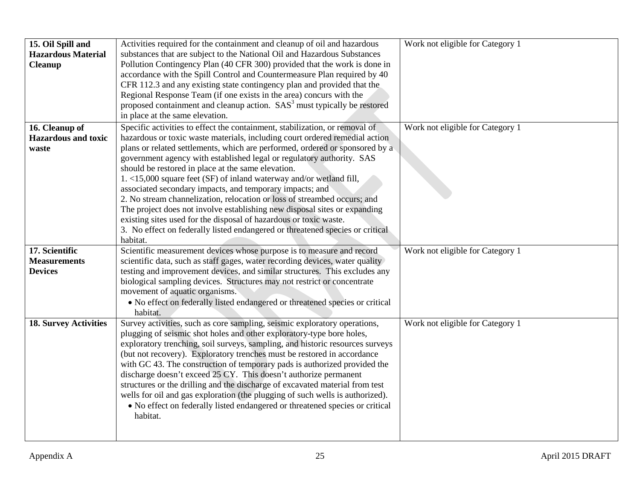| 15. Oil Spill and<br><b>Hazardous Material</b><br><b>Cleanup</b> | Activities required for the containment and cleanup of oil and hazardous<br>substances that are subject to the National Oil and Hazardous Substances<br>Pollution Contingency Plan (40 CFR 300) provided that the work is done in<br>accordance with the Spill Control and Countermeasure Plan required by 40<br>CFR 112.3 and any existing state contingency plan and provided that the<br>Regional Response Team (if one exists in the area) concurs with the<br>proposed containment and cleanup action. SAS <sup>3</sup> must typically be restored<br>in place at the same elevation.                                                                                                                                                                                                                                  | Work not eligible for Category 1 |
|------------------------------------------------------------------|-----------------------------------------------------------------------------------------------------------------------------------------------------------------------------------------------------------------------------------------------------------------------------------------------------------------------------------------------------------------------------------------------------------------------------------------------------------------------------------------------------------------------------------------------------------------------------------------------------------------------------------------------------------------------------------------------------------------------------------------------------------------------------------------------------------------------------|----------------------------------|
| 16. Cleanup of<br><b>Hazardous and toxic</b><br>waste            | Specific activities to effect the containment, stabilization, or removal of<br>hazardous or toxic waste materials, including court ordered remedial action<br>plans or related settlements, which are performed, ordered or sponsored by a<br>government agency with established legal or regulatory authority. SAS<br>should be restored in place at the same elevation.<br>1. <15,000 square feet (SF) of inland waterway and/or wetland fill,<br>associated secondary impacts, and temporary impacts; and<br>2. No stream channelization, relocation or loss of streambed occurs; and<br>The project does not involve establishing new disposal sites or expanding<br>existing sites used for the disposal of hazardous or toxic waste.<br>3. No effect on federally listed endangered or threatened species or critical | Work not eligible for Category 1 |
| 17. Scientific<br><b>Measurements</b><br><b>Devices</b>          | habitat.<br>Scientific measurement devices whose purpose is to measure and record<br>scientific data, such as staff gages, water recording devices, water quality<br>testing and improvement devices, and similar structures. This excludes any<br>biological sampling devices. Structures may not restrict or concentrate<br>movement of aquatic organisms.<br>• No effect on federally listed endangered or threatened species or critical<br>habitat.                                                                                                                                                                                                                                                                                                                                                                    | Work not eligible for Category 1 |
| <b>18. Survey Activities</b>                                     | Survey activities, such as core sampling, seismic exploratory operations,<br>plugging of seismic shot holes and other exploratory-type bore holes,<br>exploratory trenching, soil surveys, sampling, and historic resources surveys<br>(but not recovery). Exploratory trenches must be restored in accordance<br>with GC 43. The construction of temporary pads is authorized provided the<br>discharge doesn't exceed 25 CY. This doesn't authorize permanent<br>structures or the drilling and the discharge of excavated material from test<br>wells for oil and gas exploration (the plugging of such wells is authorized).<br>• No effect on federally listed endangered or threatened species or critical<br>habitat.                                                                                                | Work not eligible for Category 1 |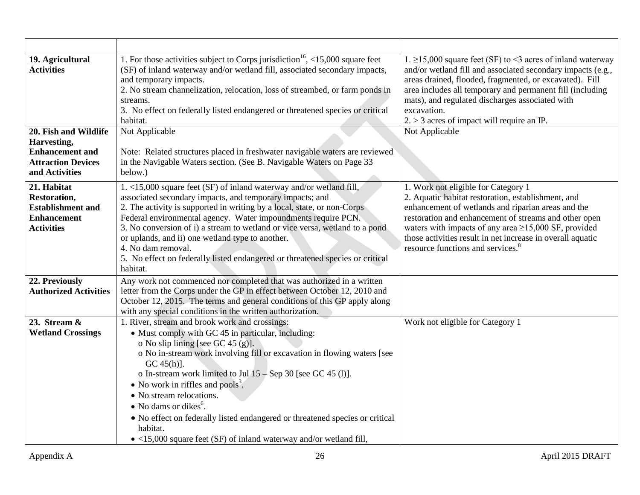| 19. Agricultural<br><b>Activities</b><br>20. Fish and Wildlife                                            | 1. For those activities subject to Corps jurisdiction <sup>16</sup> , <15,000 square feet<br>(SF) of inland waterway and/or wetland fill, associated secondary impacts,<br>and temporary impacts.<br>2. No stream channelization, relocation, loss of streambed, or farm ponds in<br>streams.<br>3. No effect on federally listed endangered or threatened species or critical<br>habitat.<br>Not Applicable                                                                                                                                                                                                                                                        | 1. $\geq$ 15,000 square feet (SF) to <3 acres of inland waterway<br>and/or wetland fill and associated secondary impacts (e.g.,<br>areas drained, flooded, fragmented, or excavated). Fill<br>area includes all temporary and permanent fill (including<br>mats), and regulated discharges associated with<br>excavation.<br>$2.$ > 3 acres of impact will require an IP.<br>Not Applicable |
|-----------------------------------------------------------------------------------------------------------|---------------------------------------------------------------------------------------------------------------------------------------------------------------------------------------------------------------------------------------------------------------------------------------------------------------------------------------------------------------------------------------------------------------------------------------------------------------------------------------------------------------------------------------------------------------------------------------------------------------------------------------------------------------------|---------------------------------------------------------------------------------------------------------------------------------------------------------------------------------------------------------------------------------------------------------------------------------------------------------------------------------------------------------------------------------------------|
| Harvesting,<br><b>Enhancement</b> and<br><b>Attraction Devices</b>                                        | Note: Related structures placed in freshwater navigable waters are reviewed<br>in the Navigable Waters section. (See B. Navigable Waters on Page 33                                                                                                                                                                                                                                                                                                                                                                                                                                                                                                                 |                                                                                                                                                                                                                                                                                                                                                                                             |
| and Activities                                                                                            | below.)                                                                                                                                                                                                                                                                                                                                                                                                                                                                                                                                                                                                                                                             |                                                                                                                                                                                                                                                                                                                                                                                             |
| 21. Habitat<br><b>Restoration,</b><br><b>Establishment and</b><br><b>Enhancement</b><br><b>Activities</b> | 1. <15,000 square feet (SF) of inland waterway and/or wetland fill,<br>associated secondary impacts, and temporary impacts; and<br>2. The activity is supported in writing by a local, state, or non-Corps<br>Federal environmental agency. Water impoundments require PCN.<br>3. No conversion of i) a stream to wetland or vice versa, wetland to a pond<br>or uplands, and ii) one wetland type to another.<br>4. No dam removal.<br>5. No effect on federally listed endangered or threatened species or critical<br>habitat.                                                                                                                                   | 1. Work not eligible for Category 1<br>2. Aquatic habitat restoration, establishment, and<br>enhancement of wetlands and riparian areas and the<br>restoration and enhancement of streams and other open<br>waters with impacts of any area $\geq$ 15,000 SF, provided<br>those activities result in net increase in overall aquatic<br>resource functions and services. <sup>8</sup>       |
| 22. Previously<br><b>Authorized Activities</b>                                                            | Any work not commenced nor completed that was authorized in a written<br>letter from the Corps under the GP in effect between October 12, 2010 and<br>October 12, 2015. The terms and general conditions of this GP apply along                                                                                                                                                                                                                                                                                                                                                                                                                                     |                                                                                                                                                                                                                                                                                                                                                                                             |
| 23. Stream &<br><b>Wetland Crossings</b>                                                                  | with any special conditions in the written authorization.<br>1. River, stream and brook work and crossings:<br>• Must comply with GC 45 in particular, including:<br>o No slip lining [see GC 45 $(g)$ ].<br>o No in-stream work involving fill or excavation in flowing waters [see<br>$GC 45(h)$ ].<br>o In-stream work limited to Jul $15 -$ Sep 30 [see GC 45 (1)].<br>• No work in riffles and pools <sup>3</sup> .<br>• No stream relocations.<br>• No dams or dikes <sup>6</sup> .<br>• No effect on federally listed endangered or threatened species or critical<br>habitat.<br>$\bullet$ <15,000 square feet (SF) of inland waterway and/or wetland fill, | Work not eligible for Category 1                                                                                                                                                                                                                                                                                                                                                            |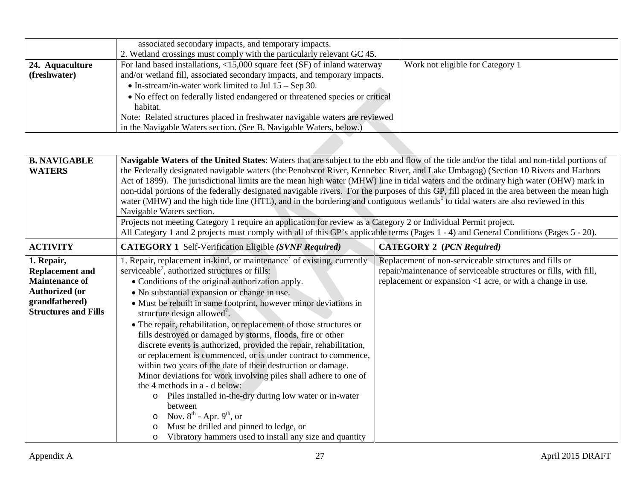|                 | associated secondary impacts, and temporary impacts.<br>2. Wetland crossings must comply with the particularly relevant GC 45. |                                  |
|-----------------|--------------------------------------------------------------------------------------------------------------------------------|----------------------------------|
| 24. Aquaculture | For land based installations, $\langle 15,000 \rangle$ square feet (SF) of inland waterway                                     | Work not eligible for Category 1 |
| (freshwater)    | and/or wetland fill, associated secondary impacts, and temporary impacts.                                                      |                                  |
|                 | • In-stream/in-water work limited to Jul $15$ – Sep 30.                                                                        |                                  |
|                 | • No effect on federally listed endangered or threatened species or critical<br>habitat.                                       |                                  |
|                 | Note: Related structures placed in freshwater navigable waters are reviewed                                                    |                                  |
|                 | in the Navigable Waters section. (See B. Navigable Waters, below.)                                                             |                                  |
|                 |                                                                                                                                |                                  |

| <b>B. NAVIGABLE</b><br><b>WATERS</b>                                                                                                    | Navigable Waters of the United States: Waters that are subject to the ebb and flow of the tide and/or the tidal and non-tidal portions of<br>the Federally designated navigable waters (the Penobscot River, Kennebec River, and Lake Umbagog) (Section 10 Rivers and Harbors<br>Act of 1899). The jurisdictional limits are the mean high water (MHW) line in tidal waters and the ordinary high water (OHW) mark in<br>non-tidal portions of the federally designated navigable rivers. For the purposes of this GP, fill placed in the area between the mean high<br>water (MHW) and the high tide line (HTL), and in the bordering and contiguous wetlands <sup>1</sup> to tidal waters are also reviewed in this<br>Navigable Waters section.<br>Projects not meeting Category 1 require an application for review as a Category 2 or Individual Permit project.<br>All Category 1 and 2 projects must comply with all of this GP's applicable terms (Pages 1 - 4) and General Conditions (Pages 5 - 20).                                                                   |                                                                                                                                                                                           |
|-----------------------------------------------------------------------------------------------------------------------------------------|----------------------------------------------------------------------------------------------------------------------------------------------------------------------------------------------------------------------------------------------------------------------------------------------------------------------------------------------------------------------------------------------------------------------------------------------------------------------------------------------------------------------------------------------------------------------------------------------------------------------------------------------------------------------------------------------------------------------------------------------------------------------------------------------------------------------------------------------------------------------------------------------------------------------------------------------------------------------------------------------------------------------------------------------------------------------------------|-------------------------------------------------------------------------------------------------------------------------------------------------------------------------------------------|
| <b>ACTIVITY</b>                                                                                                                         | <b>CATEGORY 1 Self-Verification Eligible (SVNF Required)</b>                                                                                                                                                                                                                                                                                                                                                                                                                                                                                                                                                                                                                                                                                                                                                                                                                                                                                                                                                                                                                     | <b>CATEGORY 2</b> ( <i>PCN Required</i> )                                                                                                                                                 |
| 1. Repair,<br><b>Replacement and</b><br><b>Maintenance of</b><br><b>Authorized (or</b><br>grandfathered)<br><b>Structures and Fills</b> | 1. Repair, replacement in-kind, or maintenance <sup>7</sup> of existing, currently<br>serviceable <sup>7</sup> , authorized structures or fills:<br>• Conditions of the original authorization apply.<br>• No substantial expansion or change in use.<br>• Must be rebuilt in same footprint, however minor deviations in<br>structure design allowed <sup>7</sup> .<br>• The repair, rehabilitation, or replacement of those structures or<br>fills destroyed or damaged by storms, floods, fire or other<br>discrete events is authorized, provided the repair, rehabilitation,<br>or replacement is commenced, or is under contract to commence,<br>within two years of the date of their destruction or damage.<br>Minor deviations for work involving piles shall adhere to one of<br>the 4 methods in a - d below:<br>Piles installed in-the-dry during low water or in-water<br>$\circ$<br>between<br>Nov. $8^{th}$ - Apr. $9^{th}$ , or<br>$\circ$<br>Must be drilled and pinned to ledge, or<br>$\circ$<br>Vibratory hammers used to install any size and quantity<br>O | Replacement of non-serviceable structures and fills or<br>repair/maintenance of serviceable structures or fills, with fill,<br>replacement or expansion <1 acre, or with a change in use. |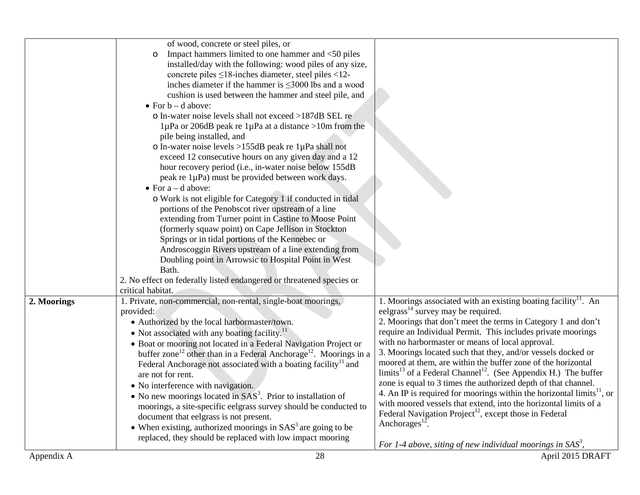|             | of wood, concrete or steel piles, or<br>Impact hammers limited to one hammer and <50 piles<br>installed/day with the following: wood piles of any size,<br>concrete piles $\leq$ 18-inches diameter, steel piles $<$ 12-<br>inches diameter if the hammer is $\leq$ 3000 lbs and a wood<br>cushion is used between the hammer and steel pile, and<br>$\bullet$ For $b - d$ above:<br>o In-water noise levels shall not exceed >187dB SEL re<br>1µPa or 206dB peak re 1µPa at a distance > 10m from the<br>pile being installed, and<br>$\circ$ In-water noise levels >155dB peak re 1µPa shall not<br>exceed 12 consecutive hours on any given day and a 12<br>hour recovery period (i.e., in-water noise below 155dB<br>peak re 1µPa) must be provided between work days.<br>$\bullet$ For a – d above:<br>o Work is not eligible for Category 1 if conducted in tidal<br>portions of the Penobscot river upstream of a line<br>extending from Turner point in Castine to Moose Point<br>(formerly squaw point) on Cape Jellison in Stockton<br>Springs or in tidal portions of the Kennebec or<br>Androscoggin Rivers upstream of a line extending from<br>Doubling point in Arrowsic to Hospital Point in West<br>Bath.<br>2. No effect on federally listed endangered or threatened species or<br>critical habitat. |                                                                                                                                                                                                                                                                                                                                                                                                                                                                                                                                                                                                                                                                                                                                                                                                                                                                                                                                        |
|-------------|-------------------------------------------------------------------------------------------------------------------------------------------------------------------------------------------------------------------------------------------------------------------------------------------------------------------------------------------------------------------------------------------------------------------------------------------------------------------------------------------------------------------------------------------------------------------------------------------------------------------------------------------------------------------------------------------------------------------------------------------------------------------------------------------------------------------------------------------------------------------------------------------------------------------------------------------------------------------------------------------------------------------------------------------------------------------------------------------------------------------------------------------------------------------------------------------------------------------------------------------------------------------------------------------------------------------------|----------------------------------------------------------------------------------------------------------------------------------------------------------------------------------------------------------------------------------------------------------------------------------------------------------------------------------------------------------------------------------------------------------------------------------------------------------------------------------------------------------------------------------------------------------------------------------------------------------------------------------------------------------------------------------------------------------------------------------------------------------------------------------------------------------------------------------------------------------------------------------------------------------------------------------------|
| 2. Moorings | 1. Private, non-commercial, non-rental, single-boat moorings,<br>provided:<br>• Authorized by the local harbormaster/town.<br>• Not associated with any boating facility. $^{11}$<br>• Boat or mooring not located in a Federal Navigation Project or<br>buffer zone <sup>12</sup> other than in a Federal Anchorage <sup>12</sup> . Moorings in a<br>Federal Anchorage not associated with a boating facility <sup>11</sup> and<br>are not for rent.<br>• No interference with navigation.<br>• No new moorings located in $SAS3$ . Prior to installation of<br>moorings, a site-specific eelgrass survey should be conducted to<br>document that eelgrass is not present.<br>• When existing, authorized moorings in $SAS3$ are going to be<br>replaced, they should be replaced with low impact mooring                                                                                                                                                                                                                                                                                                                                                                                                                                                                                                              | 1. Moorings associated with an existing boating facility <sup>11</sup> . An<br>eelgrass <sup>14</sup> survey may be required.<br>2. Moorings that don't meet the terms in Category 1 and don't<br>require an Individual Permit. This includes private moorings<br>with no harbormaster or means of local approval.<br>3. Moorings located such that they, and/or vessels docked or<br>moored at them, are within the buffer zone of the horizontal<br>limits <sup>13</sup> of a Federal Channel <sup>12</sup> . (See Appendix H.) The buffer<br>zone is equal to 3 times the authorized depth of that channel.<br>4. An IP is required for moorings within the horizontal limits <sup>11</sup> , or<br>with moored vessels that extend, into the horizontal limits of a<br>Federal Navigation Project <sup>12</sup> , except those in Federal<br>Anchorages $^{12}$ .<br>For 1-4 above, siting of new individual moorings in $SAS^3$ , |
| Appendix A  | 28                                                                                                                                                                                                                                                                                                                                                                                                                                                                                                                                                                                                                                                                                                                                                                                                                                                                                                                                                                                                                                                                                                                                                                                                                                                                                                                      | April 2015 DRAFT                                                                                                                                                                                                                                                                                                                                                                                                                                                                                                                                                                                                                                                                                                                                                                                                                                                                                                                       |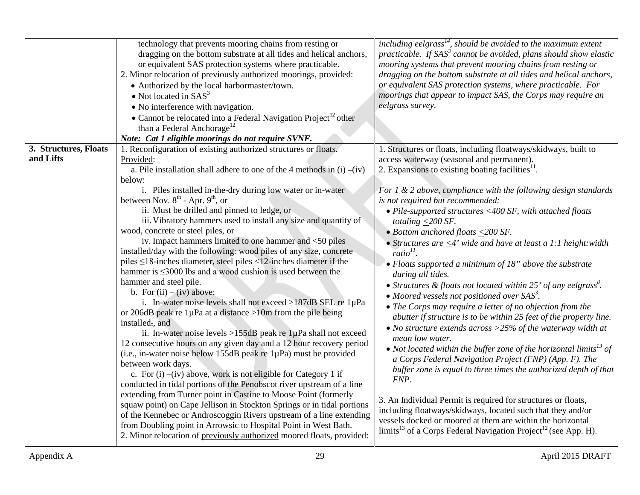|                                    | technology that prevents mooring chains from resting or<br>dragging on the bottom substrate at all tides and helical anchors,<br>or equivalent SAS protection systems where practicable.<br>2. Minor relocation of previously authorized moorings, provided:<br>• Authorized by the local harbormaster/town.<br>• Not located in $SAS3$<br>• No interference with navigation.<br>• Cannot be relocated into a Federal Navigation Project <sup>12</sup> other<br>than a Federal Anchorage <sup>12</sup><br>Note: Cat 1 eligible moorings do not require SVNF.                                                                                                                                                                                                                                                                                                                                                                                                                                                                                                                                                                                                                                                                                                                                                                                                                                | including eelgrass <sup>14</sup> , should be avoided to the maximum extent<br>practicable. If $SAS^3$ cannot be avoided, plans should show elastic<br>mooring systems that prevent mooring chains from resting or<br>dragging on the bottom substrate at all tides and helical anchors,<br>or equivalent SAS protection systems, where practicable. For<br>moorings that appear to impact SAS, the Corps may require an<br>eelgrass survey.                                                                                                                                                                                                                                                                                                                                                                                                                                                                                                                                                                                                                                                                                                                                                                                                                           |
|------------------------------------|---------------------------------------------------------------------------------------------------------------------------------------------------------------------------------------------------------------------------------------------------------------------------------------------------------------------------------------------------------------------------------------------------------------------------------------------------------------------------------------------------------------------------------------------------------------------------------------------------------------------------------------------------------------------------------------------------------------------------------------------------------------------------------------------------------------------------------------------------------------------------------------------------------------------------------------------------------------------------------------------------------------------------------------------------------------------------------------------------------------------------------------------------------------------------------------------------------------------------------------------------------------------------------------------------------------------------------------------------------------------------------------------|-----------------------------------------------------------------------------------------------------------------------------------------------------------------------------------------------------------------------------------------------------------------------------------------------------------------------------------------------------------------------------------------------------------------------------------------------------------------------------------------------------------------------------------------------------------------------------------------------------------------------------------------------------------------------------------------------------------------------------------------------------------------------------------------------------------------------------------------------------------------------------------------------------------------------------------------------------------------------------------------------------------------------------------------------------------------------------------------------------------------------------------------------------------------------------------------------------------------------------------------------------------------------|
| 3. Structures, Floats<br>and Lifts | 1. Reconfiguration of existing authorized structures or floats.<br>Provided:<br>a. Pile installation shall adhere to one of the 4 methods in (i) $-(iv)$<br>below:<br>i. Piles installed in-the-dry during low water or in-water<br>between Nov. $8^{th}$ - Apr. $9^{th}$ , or<br>ii. Must be drilled and pinned to ledge, or<br>iii. Vibratory hammers used to install any size and quantity of<br>wood, concrete or steel piles, or<br>iv. Impact hammers limited to one hammer and <50 piles<br>installed/day with the following: wood piles of any size, concrete<br>piles ≤18-inches diameter, steel piles <12-inches diameter if the<br>hammer is $\leq$ 3000 lbs and a wood cushion is used between the<br>hammer and steel pile.<br>b. For $(ii) - (iv)$ above:<br>i. In-water noise levels shall not exceed >187dB SEL re 1µPa<br>or 206dB peak re $1\mu$ Pa at a distance > 10m from the pile being<br>installed., and<br>ii. In-water noise levels $>155dB$ peak re 1 $\mu$ Pa shall not exceed<br>12 consecutive hours on any given day and a 12 hour recovery period<br>(i.e., in-water noise below 155dB peak re 1µPa) must be provided<br>between work days.<br>c. For $(i)$ –(iv) above, work is not eligible for Category 1 if<br>conducted in tidal portions of the Penobscot river upstream of a line<br>extending from Turner point in Castine to Moose Point (formerly | 1. Structures or floats, including floatways/skidways, built to<br>access waterway (seasonal and permanent).<br>2. Expansions to existing boating facilities $^{11}$ .<br>For $1 \& 2$ above, compliance with the following design standards<br>is not required but recommended:<br>$\bullet$ Pile-supported structures <400 SF, with attached floats<br>totaling $\leq$ 200 SF.<br>$\bullet$ Bottom anchored floats $\leq$ 200 SF.<br>• Structures are $\leq$ 4' wide and have at least a 1:1 height: width<br>$ratio11$ .<br>$\bullet$ Floats supported a minimum of 18" above the substrate<br>during all tides.<br>• Structures & floats not located within 25' of any eelgrass <sup>8</sup> .<br>• Moored vessels not positioned over $SAS^3$ .<br>• The Corps may require a letter of no objection from the<br>abutter if structure is to be within 25 feet of the property line.<br>• No structure extends across $>$ 25% of the waterway width at<br>mean low water.<br>• Not located within the buffer zone of the horizontal limits <sup>13</sup> of<br>a Corps Federal Navigation Project (FNP) (App. F). The<br>buffer zone is equal to three times the authorized depth of that<br>FNP.<br>3. An Individual Permit is required for structures or floats, |
|                                    | squaw point) on Cape Jellison in Stockton Springs or in tidal portions<br>of the Kennebec or Androscoggin Rivers upstream of a line extending<br>from Doubling point in Arrowsic to Hospital Point in West Bath.<br>2. Minor relocation of previously authorized moored floats, provided:                                                                                                                                                                                                                                                                                                                                                                                                                                                                                                                                                                                                                                                                                                                                                                                                                                                                                                                                                                                                                                                                                                   | including floatways/skidways, located such that they and/or<br>vessels docked or moored at them are within the horizontal<br>limits <sup>13</sup> of a Corps Federal Navigation Project <sup>12</sup> (see App. H).                                                                                                                                                                                                                                                                                                                                                                                                                                                                                                                                                                                                                                                                                                                                                                                                                                                                                                                                                                                                                                                   |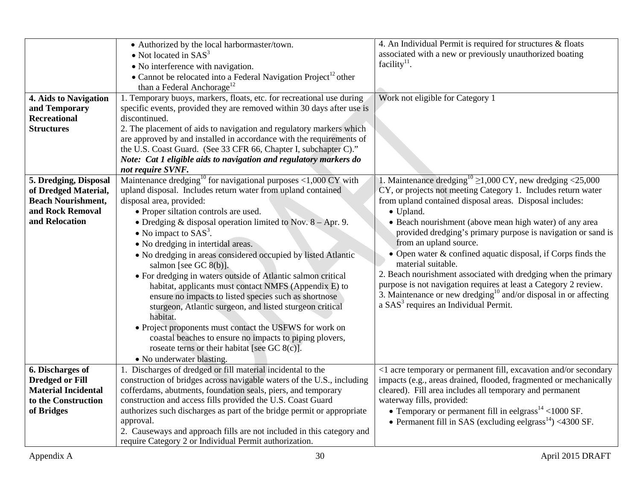|                            | • Authorized by the local harbormaster/town.                                | 4. An Individual Permit is required for structures & floats                  |
|----------------------------|-----------------------------------------------------------------------------|------------------------------------------------------------------------------|
|                            | • Not located in $SAS3$                                                     | associated with a new or previously unauthorized boating                     |
|                            | • No interference with navigation.                                          | facility <sup>11</sup> .                                                     |
|                            | • Cannot be relocated into a Federal Navigation Project <sup>12</sup> other |                                                                              |
|                            | than a Federal Anchorage <sup>12</sup>                                      |                                                                              |
| 4. Aids to Navigation      | 1. Temporary buoys, markers, floats, etc. for recreational use during       | Work not eligible for Category 1                                             |
| and Temporary              | specific events, provided they are removed within 30 days after use is      |                                                                              |
| <b>Recreational</b>        | discontinued.                                                               |                                                                              |
| <b>Structures</b>          | 2. The placement of aids to navigation and regulatory markers which         |                                                                              |
|                            | are approved by and installed in accordance with the requirements of        |                                                                              |
|                            | the U.S. Coast Guard. (See 33 CFR 66, Chapter I, subchapter C)."            |                                                                              |
|                            | Note: Cat 1 eligible aids to navigation and regulatory markers do           |                                                                              |
|                            | not require SVNF.                                                           |                                                                              |
| 5. Dredging, Disposal      | Maintenance dredging <sup>10</sup> for navigational purposes <1,000 CY with | 1. Maintenance dredging <sup>10</sup> $\geq$ 1,000 CY, new dredging <25,000  |
| of Dredged Material,       | upland disposal. Includes return water from upland contained                | CY, or projects not meeting Category 1. Includes return water                |
| <b>Beach Nourishment,</b>  | disposal area, provided:                                                    | from upland contained disposal areas. Disposal includes:                     |
| and Rock Removal           | • Proper siltation controls are used.                                       | • Upland.                                                                    |
| and Relocation             | • Dredging & disposal operation limited to Nov. $8 -$ Apr. 9.               | • Beach nourishment (above mean high water) of any area                      |
|                            | • No impact to $SAS3$ .                                                     | provided dredging's primary purpose is navigation or sand is                 |
|                            | • No dredging in intertidal areas.                                          | from an upland source.                                                       |
|                            | • No dredging in areas considered occupied by listed Atlantic               | • Open water $&$ confined aquatic disposal, if Corps finds the               |
|                            | salmon [see GC $8(b)$ ].                                                    | material suitable.                                                           |
|                            | • For dredging in waters outside of Atlantic salmon critical                | 2. Beach nourishment associated with dredging when the primary               |
|                            | habitat, applicants must contact NMFS (Appendix E) to                       | purpose is not navigation requires at least a Category 2 review.             |
|                            | ensure no impacts to listed species such as shortnose                       | 3. Maintenance or new dredging <sup>10</sup> and/or disposal in or affecting |
|                            | sturgeon, Atlantic surgeon, and listed sturgeon critical                    | a SAS <sup>3</sup> requires an Individual Permit.                            |
|                            | habitat.                                                                    |                                                                              |
|                            | • Project proponents must contact the USFWS for work on                     |                                                                              |
|                            | coastal beaches to ensure no impacts to piping plovers,                     |                                                                              |
|                            | roseate terns or their habitat [see GC $8(c)$ ].                            |                                                                              |
|                            | • No underwater blasting.                                                   |                                                                              |
| 6. Discharges of           | 1. Discharges of dredged or fill material incidental to the                 | <1 acre temporary or permanent fill, excavation and/or secondary             |
| <b>Dredged or Fill</b>     | construction of bridges across navigable waters of the U.S., including      | impacts (e.g., areas drained, flooded, fragmented or mechanically            |
| <b>Material Incidental</b> | cofferdams, abutments, foundation seals, piers, and temporary               | cleared). Fill area includes all temporary and permanent                     |
| to the Construction        | construction and access fills provided the U.S. Coast Guard                 | waterway fills, provided:                                                    |
| of Bridges                 | authorizes such discharges as part of the bridge permit or appropriate      | • Temporary or permanent fill in eelgrass $14$ < 1000 SF.                    |
|                            | approval.                                                                   | • Permanent fill in SAS (excluding eelgrass <sup>14</sup> ) <4300 SF.        |
|                            | 2. Causeways and approach fills are not included in this category and       |                                                                              |
|                            | require Category 2 or Individual Permit authorization.                      |                                                                              |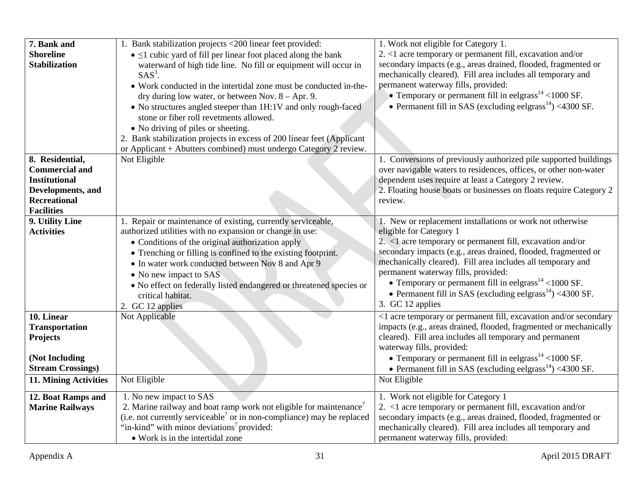| 7. Bank and              | 1. Bank stabilization projects <200 linear feet provided:                          | 1. Work not eligible for Category 1.                                  |
|--------------------------|------------------------------------------------------------------------------------|-----------------------------------------------------------------------|
| <b>Shoreline</b>         | $\bullet \leq 1$ cubic yard of fill per linear foot placed along the bank          | 2. <1 acre temporary or permanent fill, excavation and/or             |
| <b>Stabilization</b>     | waterward of high tide line. No fill or equipment will occur in                    | secondary impacts (e.g., areas drained, flooded, fragmented or        |
|                          | $SAS3$ .                                                                           | mechanically cleared). Fill area includes all temporary and           |
|                          | • Work conducted in the intertidal zone must be conducted in-the-                  | permanent waterway fills, provided:                                   |
|                          | dry during low water, or between Nov. $8 -$ Apr. 9.                                | • Temporary or permanent fill in eelgrass $^{14}$ < 1000 SF.          |
|                          | • No structures angled steeper than 1H:1V and only rough-faced                     | • Permanent fill in SAS (excluding eelgrass <sup>14</sup> ) <4300 SF. |
|                          | stone or fiber roll revetments allowed.                                            |                                                                       |
|                          | • No driving of piles or sheeting.                                                 |                                                                       |
|                          | 2. Bank stabilization projects in excess of 200 linear feet (Applicant             |                                                                       |
|                          | or Applicant + Abutters combined) must undergo Category 2 review.                  |                                                                       |
| 8. Residential,          | Not Eligible                                                                       | 1. Conversions of previously authorized pile supported buildings      |
| <b>Commercial and</b>    |                                                                                    | over navigable waters to residences, offices, or other non-water      |
| <b>Institutional</b>     |                                                                                    | dependent uses require at least a Category 2 review.                  |
| Developments, and        |                                                                                    | 2. Floating house boats or businesses on floats require Category 2    |
| <b>Recreational</b>      |                                                                                    | review.                                                               |
| <b>Facilities</b>        |                                                                                    |                                                                       |
| 9. Utility Line          | 1. Repair or maintenance of existing, currently serviceable,                       | 1. New or replacement installations or work not otherwise             |
| <b>Activities</b>        | authorized utilities with no expansion or change in use:                           | eligible for Category 1                                               |
|                          | • Conditions of the original authorization apply                                   | 2. <1 acre temporary or permanent fill, excavation and/or             |
|                          | • Trenching or filling is confined to the existing footprint.                      | secondary impacts (e.g., areas drained, flooded, fragmented or        |
|                          | • In water work conducted between Nov 8 and Apr 9                                  | mechanically cleared). Fill area includes all temporary and           |
|                          | • No new impact to SAS                                                             | permanent waterway fills, provided:                                   |
|                          | • No effect on federally listed endangered or threatened species or                | • Temporary or permanent fill in eelgrass $14$ < 1000 SF.             |
|                          | critical habitat.                                                                  | • Permanent fill in SAS (excluding eelgrass <sup>14</sup> ) <4300 SF. |
|                          | 2. GC 12 applies                                                                   | 3. GC 12 applies                                                      |
| 10. Linear               | Not Applicable                                                                     | <1 acre temporary or permanent fill, excavation and/or secondary      |
| <b>Transportation</b>    |                                                                                    | impacts (e.g., areas drained, flooded, fragmented or mechanically     |
| <b>Projects</b>          |                                                                                    | cleared). Fill area includes all temporary and permanent              |
|                          |                                                                                    | waterway fills, provided:                                             |
| (Not Including           |                                                                                    | • Temporary or permanent fill in eelgrass $14$ < 1000 SF.             |
| <b>Stream Crossings)</b> |                                                                                    | • Permanent fill in SAS (excluding eelgrass <sup>14</sup> ) <4300 SF. |
| 11. Mining Activities    | Not Eligible                                                                       | Not Eligible                                                          |
| 12. Boat Ramps and       | 1. No new impact to SAS                                                            | 1. Work not eligible for Category 1                                   |
| <b>Marine Railways</b>   | 2. Marine railway and boat ramp work not eligible for maintenance <sup>7</sup>     | 2. <1 acre temporary or permanent fill, excavation and/or             |
|                          | (i.e. not currently serviceable <sup>7</sup> or in non-compliance) may be replaced | secondary impacts (e.g., areas drained, flooded, fragmented or        |
|                          | "in-kind" with minor deviations <sup>7</sup> provided:                             | mechanically cleared). Fill area includes all temporary and           |
|                          | • Work is in the intertidal zone                                                   | permanent waterway fills, provided:                                   |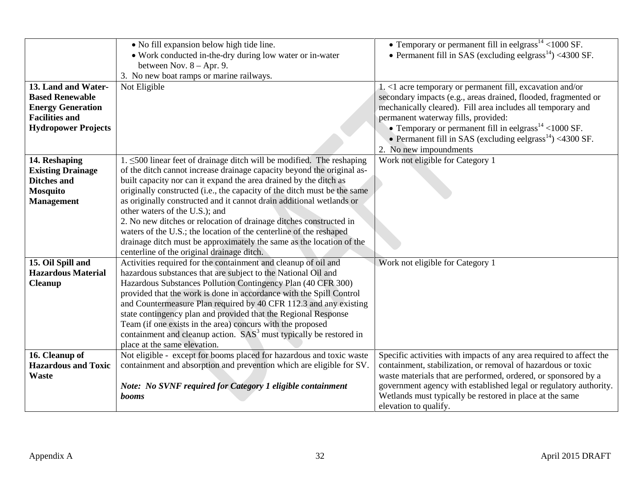|                                              | • No fill expansion below high tide line.                                                                                                    | • Temporary or permanent fill in eelgrass $^{14}$ < 1000 SF.                                                                        |
|----------------------------------------------|----------------------------------------------------------------------------------------------------------------------------------------------|-------------------------------------------------------------------------------------------------------------------------------------|
|                                              | • Work conducted in-the-dry during low water or in-water                                                                                     | • Permanent fill in SAS (excluding eelgrass <sup>14</sup> ) <4300 SF.                                                               |
|                                              | between Nov. $8 -$ Apr. 9.                                                                                                                   |                                                                                                                                     |
|                                              | 3. No new boat ramps or marine railways.                                                                                                     |                                                                                                                                     |
| 13. Land and Water-                          | Not Eligible                                                                                                                                 | 1. <1 acre temporary or permanent fill, excavation and/or                                                                           |
| <b>Based Renewable</b>                       |                                                                                                                                              | secondary impacts (e.g., areas drained, flooded, fragmented or                                                                      |
| <b>Energy Generation</b>                     |                                                                                                                                              | mechanically cleared). Fill area includes all temporary and                                                                         |
| <b>Facilities and</b>                        |                                                                                                                                              | permanent waterway fills, provided:                                                                                                 |
| <b>Hydropower Projects</b>                   |                                                                                                                                              | • Temporary or permanent fill in eelgrass <sup>14</sup> <1000 SF.                                                                   |
|                                              |                                                                                                                                              | • Permanent fill in SAS (excluding eelgrass <sup>14</sup> ) <4300 SF.                                                               |
|                                              |                                                                                                                                              | 2. No new impoundments                                                                                                              |
| 14. Reshaping                                | 1. $\leq$ 500 linear feet of drainage ditch will be modified. The reshaping                                                                  | Work not eligible for Category 1                                                                                                    |
| <b>Existing Drainage</b>                     | of the ditch cannot increase drainage capacity beyond the original as-                                                                       |                                                                                                                                     |
| <b>Ditches and</b>                           | built capacity nor can it expand the area drained by the ditch as                                                                            |                                                                                                                                     |
| <b>Mosquito</b>                              | originally constructed (i.e., the capacity of the ditch must be the same                                                                     |                                                                                                                                     |
| <b>Management</b>                            | as originally constructed and it cannot drain additional wetlands or                                                                         |                                                                                                                                     |
|                                              | other waters of the U.S.); and                                                                                                               |                                                                                                                                     |
|                                              | 2. No new ditches or relocation of drainage ditches constructed in                                                                           |                                                                                                                                     |
|                                              | waters of the U.S.; the location of the centerline of the reshaped                                                                           |                                                                                                                                     |
|                                              | drainage ditch must be approximately the same as the location of the                                                                         |                                                                                                                                     |
|                                              | centerline of the original drainage ditch.                                                                                                   |                                                                                                                                     |
| 15. Oil Spill and                            | Activities required for the containment and cleanup of oil and                                                                               | Work not eligible for Category 1                                                                                                    |
| <b>Hazardous Material</b>                    | hazardous substances that are subject to the National Oil and                                                                                |                                                                                                                                     |
| <b>Cleanup</b>                               | Hazardous Substances Pollution Contingency Plan (40 CFR 300)                                                                                 |                                                                                                                                     |
|                                              | provided that the work is done in accordance with the Spill Control                                                                          |                                                                                                                                     |
|                                              | and Countermeasure Plan required by 40 CFR 112.3 and any existing                                                                            |                                                                                                                                     |
|                                              | state contingency plan and provided that the Regional Response                                                                               |                                                                                                                                     |
|                                              | Team (if one exists in the area) concurs with the proposed                                                                                   |                                                                                                                                     |
|                                              | containment and cleanup action. SAS <sup>3</sup> must typically be restored in                                                               |                                                                                                                                     |
|                                              | place at the same elevation.                                                                                                                 |                                                                                                                                     |
| 16. Cleanup of<br><b>Hazardous and Toxic</b> | Not eligible - except for booms placed for hazardous and toxic waste<br>containment and absorption and prevention which are eligible for SV. | Specific activities with impacts of any area required to affect the<br>containment, stabilization, or removal of hazardous or toxic |
| <b>Waste</b>                                 |                                                                                                                                              | waste materials that are performed, ordered, or sponsored by a                                                                      |
|                                              | Note: No SVNF required for Category 1 eligible containment                                                                                   | government agency with established legal or regulatory authority.                                                                   |
|                                              | <i>booms</i>                                                                                                                                 | Wetlands must typically be restored in place at the same                                                                            |
|                                              |                                                                                                                                              | elevation to qualify.                                                                                                               |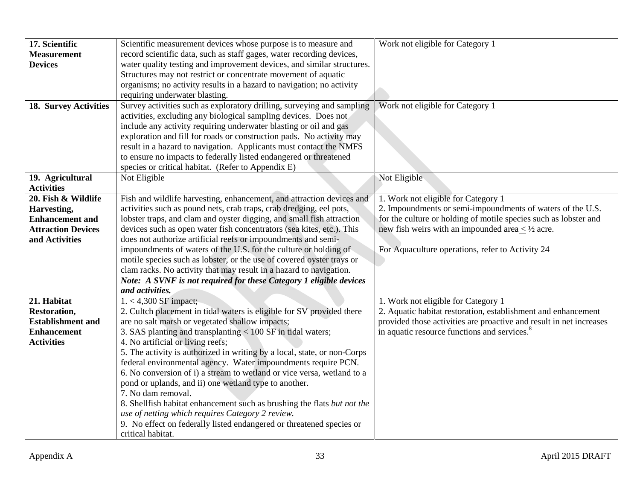| 17. Scientific            | Scientific measurement devices whose purpose is to measure and           | Work not eligible for Category 1                                    |  |
|---------------------------|--------------------------------------------------------------------------|---------------------------------------------------------------------|--|
| <b>Measurement</b>        | record scientific data, such as staff gages, water recording devices,    |                                                                     |  |
| <b>Devices</b>            | water quality testing and improvement devices, and similar structures.   |                                                                     |  |
|                           | Structures may not restrict or concentrate movement of aquatic           |                                                                     |  |
|                           | organisms; no activity results in a hazard to navigation; no activity    |                                                                     |  |
|                           | requiring underwater blasting.                                           |                                                                     |  |
| 18. Survey Activities     | Survey activities such as exploratory drilling, surveying and sampling   | Work not eligible for Category 1                                    |  |
|                           | activities, excluding any biological sampling devices. Does not          |                                                                     |  |
|                           | include any activity requiring underwater blasting or oil and gas        |                                                                     |  |
|                           | exploration and fill for roads or construction pads. No activity may     |                                                                     |  |
|                           | result in a hazard to navigation. Applicants must contact the NMFS       |                                                                     |  |
|                           | to ensure no impacts to federally listed endangered or threatened        |                                                                     |  |
|                           | species or critical habitat. (Refer to Appendix E)                       |                                                                     |  |
| 19. Agricultural          | Not Eligible                                                             | Not Eligible                                                        |  |
| <b>Activities</b>         |                                                                          |                                                                     |  |
| 20. Fish & Wildlife       | Fish and wildlife harvesting, enhancement, and attraction devices and    | 1. Work not eligible for Category 1                                 |  |
| Harvesting,               | activities such as pound nets, crab traps, crab dredging, eel pots,      | 2. Impoundments or semi-impoundments of waters of the U.S.          |  |
| <b>Enhancement and</b>    | lobster traps, and clam and oyster digging, and small fish attraction    | for the culture or holding of motile species such as lobster and    |  |
| <b>Attraction Devices</b> | devices such as open water fish concentrators (sea kites, etc.). This    | new fish weirs with an impounded area $\leq \frac{1}{2}$ acre.      |  |
| and Activities            | does not authorize artificial reefs or impoundments and semi-            |                                                                     |  |
|                           | impoundments of waters of the U.S. for the culture or holding of         | For Aquaculture operations, refer to Activity 24                    |  |
|                           | motile species such as lobster, or the use of covered oyster trays or    |                                                                     |  |
|                           | clam racks. No activity that may result in a hazard to navigation.       |                                                                     |  |
|                           | Note: A SVNF is not required for these Category 1 eligible devices       |                                                                     |  |
|                           | and activities.                                                          |                                                                     |  |
| 21. Habitat               | $1. < 4,300$ SF impact;                                                  | 1. Work not eligible for Category 1                                 |  |
| Restoration,              | 2. Cultch placement in tidal waters is eligible for SV provided there    | 2. Aquatic habitat restoration, establishment and enhancement       |  |
| <b>Establishment and</b>  | are no salt marsh or vegetated shallow impacts;                          | provided those activities are proactive and result in net increases |  |
| <b>Enhancement</b>        | 3. SAS planting and transplanting $\leq$ 100 SF in tidal waters;         | in aquatic resource functions and services. <sup>8</sup>            |  |
| <b>Activities</b>         | 4. No artificial or living reefs;                                        |                                                                     |  |
|                           | 5. The activity is authorized in writing by a local, state, or non-Corps |                                                                     |  |
|                           | federal environmental agency. Water impoundments require PCN.            |                                                                     |  |
|                           | 6. No conversion of i) a stream to wetland or vice versa, wetland to a   |                                                                     |  |
|                           | pond or uplands, and ii) one wetland type to another.                    |                                                                     |  |
|                           | 7. No dam removal.                                                       |                                                                     |  |
|                           | 8. Shellfish habitat enhancement such as brushing the flats but not the  |                                                                     |  |
|                           | use of netting which requires Category 2 review.                         |                                                                     |  |
|                           | 9. No effect on federally listed endangered or threatened species or     |                                                                     |  |
|                           | critical habitat.                                                        |                                                                     |  |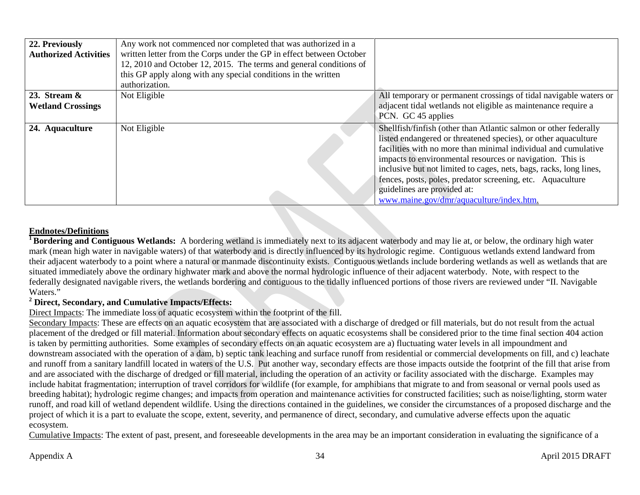| 22. Previously               | Any work not commenced nor completed that was authorized in a        |                                                                    |
|------------------------------|----------------------------------------------------------------------|--------------------------------------------------------------------|
| <b>Authorized Activities</b> | written letter from the Corps under the GP in effect between October |                                                                    |
|                              | 12, 2010 and October 12, 2015. The terms and general conditions of   |                                                                    |
|                              | this GP apply along with any special conditions in the written       |                                                                    |
|                              | authorization.                                                       |                                                                    |
| 23. Stream $\&$              | Not Eligible                                                         | All temporary or permanent crossings of tidal navigable waters or  |
| <b>Wetland Crossings</b>     |                                                                      | adjacent tidal wetlands not eligible as maintenance require a      |
|                              |                                                                      | PCN. GC 45 applies                                                 |
| 24. Aquaculture              | Not Eligible                                                         | Shellfish/finfish (other than Atlantic salmon or other federally   |
|                              |                                                                      | listed endangered or threatened species), or other aquaculture     |
|                              |                                                                      | facilities with no more than minimal individual and cumulative     |
|                              |                                                                      | impacts to environmental resources or navigation. This is          |
|                              |                                                                      | inclusive but not limited to cages, nets, bags, racks, long lines, |
|                              |                                                                      | fences, posts, poles, predator screening, etc. Aquaculture         |
|                              |                                                                      | guidelines are provided at:                                        |
|                              |                                                                      | www.maine.gov/dmr/aquaculture/index.htm.                           |

#### **Endnotes/Definitions**

**1Bordering and Contiguous Wetlands:** A bordering wetland is immediately next to its adjacent waterbody and may lie at, or below, the ordinary high water mark (mean high water in navigable waters) of that waterbody and is directly influenced by its hydrologic regime. Contiguous wetlands extend landward from their adjacent waterbody to a point where a natural or manmade discontinuity exists. Contiguous wetlands include bordering wetlands as well as wetlands that are situated immediately above the ordinary highwater mark and above the normal hydrologic influence of their adjacent waterbody. Note, with respect to the federally designated navigable rivers, the wetlands bordering and contiguous to the tidally influenced portions of those rivers are reviewed under "II. Navigable Waters."

### **<sup>2</sup> Direct, Secondary, and Cumulative Impacts/Effects:**

Direct Impacts: The immediate loss of aquatic ecosystem within the footprint of the fill.

Secondary Impacts: These are effects on an aquatic ecosystem that are associated with a discharge of dredged or fill materials, but do not result from the actual placement of the dredged or fill material. Information about secondary effects on aquatic ecosystems shall be considered prior to the time final section 404 action is taken by permitting authorities. Some examples of secondary effects on an aquatic ecosystem are a) fluctuating water levels in all impoundment and downstream associated with the operation of a dam, b) septic tank leaching and surface runoff from residential or commercial developments on fill, and c) leachate and runoff from a sanitary landfill located in waters of the U.S. Put another way, secondary effects are those impacts outside the footprint of the fill that arise from and are associated with the discharge of dredged or fill material, including the operation of an activity or facility associated with the discharge. Examples may include habitat fragmentation; interruption of travel corridors for wildlife (for example, for amphibians that migrate to and from seasonal or vernal pools used as breeding habitat); hydrologic regime changes; and impacts from operation and maintenance activities for constructed facilities; such as noise/lighting, storm water runoff, and road kill of wetland dependent wildlife. Using the directions contained in the guidelines, we consider the circumstances of a proposed discharge and the project of which it is a part to evaluate the scope, extent, severity, and permanence of direct, secondary, and cumulative adverse effects upon the aquatic ecosystem.

Cumulative Impacts: The extent of past, present, and foreseeable developments in the area may be an important consideration in evaluating the significance of a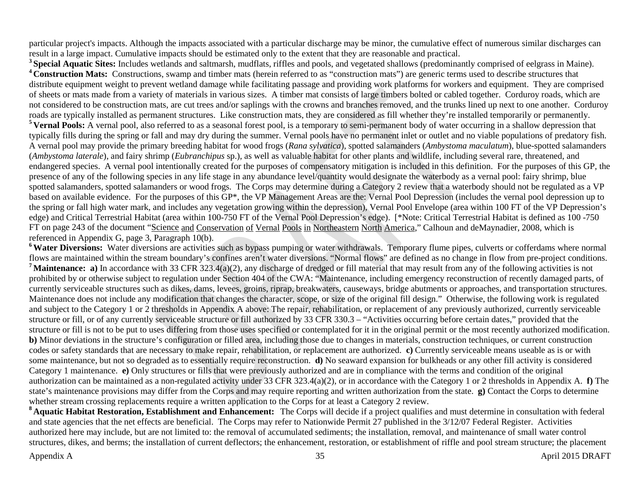particular project's impacts. Although the impacts associated with a particular discharge may be minor, the cumulative effect of numerous similar discharges can result in a large impact. Cumulative impacts should be estimated only to the extent that they are reasonable and practical.

<sup>3</sup> Special Aquatic Sites: Includes wetlands and saltmarsh, mudflats, riffles and pools, and vegetated shallows (predominantly comprised of eelgrass in Maine). <sup>4</sup> Construction Mats: Constructions, swamp and timber mats (herein referred to as "construction mats") are generic terms used to describe structures that distribute equipment weight to prevent wetland damage while facilitating passage and providing work platforms for workers and equipment. They are comprised of sheets or mats made from a variety of materials in various sizes. A timber mat consists of large timbers bolted or cabled together. Corduroy roads, which are not considered to be construction mats, are cut trees and/or saplings with the crowns and branches removed, and the trunks lined up next to one another. Corduroy roads are typically installed as permanent structures. Like construction mats, they are considered as fill whether they're installed temporarily or permanently. <sup>5</sup> Vernal Pools: A vernal pool, also referred to as a seasonal forest pool, is a temporary to semi-permanent body of water occurring in a shallow depression that typically fills during the spring or fall and may dry during the summer. Vernal pools have no permanent inlet or outlet and no viable populations of predatory fish. A vernal pool may provide the primary breeding habitat for wood frogs (*Rana sylvatica*), spotted salamanders (*Ambystoma maculatum*), blue-spotted salamanders (*Ambystoma laterale*), and fairy shrimp (*Eubranchipus* sp.), as well as valuable habitat for other plants and wildlife, including several rare, threatened, and endangered species. A vernal pool intentionally created for the purposes of compensatory mitigation is included in this definition. For the purposes of this GP, the presence of any of the following species in any life stage in any abundance level/quantity would designate the waterbody as a vernal pool: fairy shrimp, blue spotted salamanders, spotted salamanders or wood frogs. The Corps may determine during a Category 2 review that a waterbody should not be regulated as a VP based on available evidence. For the purposes of this GP\*, the VP Management Areas are the: Vernal Pool Depression (includes the vernal pool depression up to the spring or fall high water mark, and includes any vegetation growing within the depression), Vernal Pool Envelope (area within 100 FT of the VP Depression's edge) and Critical Terrestrial Habitat (area within 100-750 FT of the Vernal Pool Depression's edge). [\*Note: Critical Terrestrial Habitat is defined as 100 -750 FT on page 243 of the document "Science and Conservation of Vernal Pools in Northeastern North America," Calhoun and deMaynadier, 2008, which is referenced in Appendix G, page 3, Paragraph 10(b).

<sup>6</sup> Water Diversions: Water diversions are activities such as bypass pumping or water withdrawals. Temporary flume pipes, culverts or cofferdams where normal flows are maintained within the stream boundary's confines aren't water diversions. "Normal flows" are defined as no change in flow from pre-project conditions. <sup>7</sup> Maintenance: a) In accordance with 33 CFR 323.4(a)(2), any discharge of dredged or fill material that may result from any of the following activities is not prohibited by or otherwise subject to regulation under Section 404 of the CWA: "Maintenance, including emergency reconstruction of recently damaged parts, of currently serviceable structures such as dikes, dams, levees, groins, riprap, breakwaters, causeways, bridge abutments or approaches, and transportation structures. Maintenance does not include any modification that changes the character, scope, or size of the original fill design." Otherwise, the following work is regulated and subject to the Category 1 or 2 thresholds in Appendix A above: The repair, rehabilitation, or replacement of any previously authorized, currently serviceable structure or fill, or of any currently serviceable structure or fill authorized by 33 CFR 330.3 – "Activities occurring before certain dates," provided that the structure or fill is not to be put to uses differing from those uses specified or contemplated for it in the original permit or the most recently authorized modification. **b)** Minor deviations in the structure's configuration or filled area, including those due to changes in materials, construction techniques, or current construction codes or safety standards that are necessary to make repair, rehabilitation, or replacement are authorized. **c)** Currently serviceable means useable as is or with some maintenance, but not so degraded as to essentially require reconstruction. **d)** No seaward expansion for bulkheads or any other fill activity is considered Category 1 maintenance. **e)** Only structures or fills that were previously authorized and are in compliance with the terms and condition of the original authorization can be maintained as a non-regulated activity under 33 CFR 323.4(a)(2), or in accordance with the Category 1 or 2 thresholds in Appendix A. **f)** The state's maintenance provisions may differ from the Corps and may require reporting and written authorization from the state. **g)** Contact the Corps to determine whether stream crossing replacements require a written application to the Corps for at least a Category 2 review.

<sup>8</sup> Aquatic Habitat Restoration, Establishment and Enhancement: The Corps will decide if a project qualifies and must determine in consultation with federal and state agencies that the net effects are beneficial. The Corps may refer to Nationwide Permit 27 published in the 3/12/07 Federal Register. Activities authorized here may include, but are not limited to: the removal of accumulated sediments; the installation, removal, and maintenance of small water control structures, dikes, and berms; the installation of current deflectors; the enhancement, restoration, or establishment of riffle and pool stream structure; the placement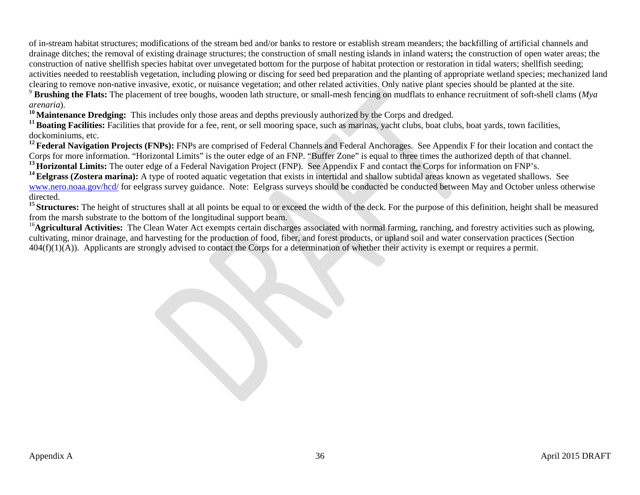of in-stream habitat structures; modifications of the stream bed and/or banks to restore or establish stream meanders; the backfilling of artificial channels and drainage ditches; the removal of existing drainage structures; the construction of small nesting islands in inland waters**;** the construction of open water areas; the construction of native shellfish species habitat over unvegetated bottom for the purpose of habitat protection or restoration in tidal waters; shellfish seeding; activities needed to reestablish vegetation, including plowing or discing for seed bed preparation and the planting of appropriate wetland species; mechanized land clearing to remove non-native invasive, exotic, or nuisance vegetation; and other related activities. Only native plant species should be planted at the site. <sup>9</sup> **Brushing the Flats:** The placement of tree boughs, wooden lath structure, or small-mesh fencing on mudflats to enhance recruitment of soft-shell clams (*Mya arenaria*).

<sup>10</sup> Maintenance Dredging: This includes only those areas and depths previously authorized by the Corps and dredged.

<sup>11</sup> Boating Facilities: Facilities that provide for a fee, rent, or sell mooring space, such as marinas, yacht clubs, boat clubs, boat yards, town facilities, dockominiums, etc.

<sup>12</sup> Federal Navigation Projects (FNPs): FNPs are comprised of Federal Channels and Federal Anchorages. See Appendix F for their location and contact the Corps for more information. "Horizontal Limits" is the outer edge of an FNP. "Buffer Zone" is equal to three times the authorized depth of that channel. <sup>13</sup> **Horizontal Limits:** The outer edge of a Federal Navigation Project (FNP). See Appendix F and contact the Corps for information on FNP's.

<sup>14</sup> Eelgrass (Zostera marina): A type of rooted aquatic vegetation that exists in intertidal and shallow subtidal areas known as vegetated shallows. See

[www.nero.noaa.gov/hcd/](http://www.nero.noaa.gov/hcd/) for eelgrass survey guidance. Note: Eelgrass surveys should be conducted be conducted between May and October unless otherwise directed.

<sup>15</sup> **Structures:** The height of structures shall at all points be equal to or exceed the width of the deck. For the purpose of this definition, height shall be measured from the marsh substrate to the bottom of the longitudinal support beam.

<sup>16</sup>**Agricultural Activities:** The Clean Water Act exempts certain discharges associated with normal farming, ranching, and forestry activities such as plowing, cultivating, minor drainage, and harvesting for the production of food, fiber, and forest products, or upland soil and water conservation practices (Section  $404(f)(1)(A)$ ). Applicants are strongly advised to contact the Corps for a determination of whether their activity is exempt or requires a permit.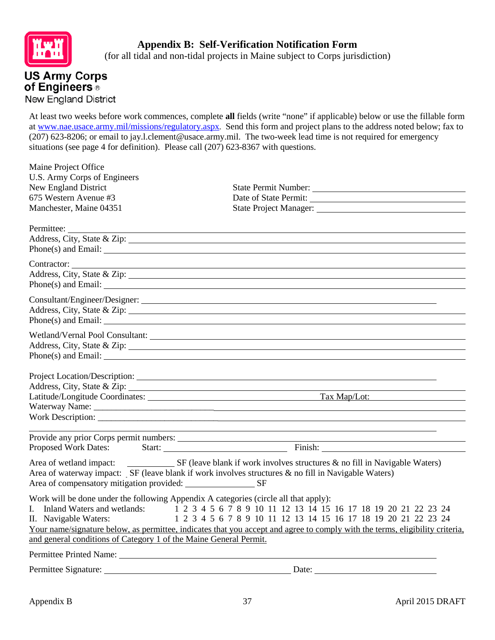

**Appendix B: Self-Verification Notification Form**

(for all tidal and non-tidal projects in Maine subject to Corps jurisdiction)

## **US Army Corps** of Engineers ® **New England District**

At least two weeks before work commences, complete **all** fields (write "none" if applicable) below or use the fillable form at [www.nae.usace.army.mil/missions/regulatory.aspx.](http://www.nae.usace.army.mil/missions/regulatory.aspx) Send this form and project plans to the address noted below; fax to (207) 623-8206; or email to jay.l.clement@usace.army.mil. The two-week lead time is not required for emergency situations (see page 4 for definition). Please call (207) 623-8367 with questions.

| Maine Project Office                                                                                |                                                                                                                              |
|-----------------------------------------------------------------------------------------------------|------------------------------------------------------------------------------------------------------------------------------|
| U.S. Army Corps of Engineers<br>New England District                                                |                                                                                                                              |
| 675 Western Avenue #3                                                                               |                                                                                                                              |
| Manchester, Maine 04351                                                                             |                                                                                                                              |
|                                                                                                     |                                                                                                                              |
| Permittee:                                                                                          |                                                                                                                              |
|                                                                                                     | Address, City, State & Zip: 2008. [2016] Address, City, State & Zip:                                                         |
|                                                                                                     |                                                                                                                              |
|                                                                                                     |                                                                                                                              |
|                                                                                                     | Address, City, State & Zip: 1988. March 2014. The State of City of The State of City. State & Zip:                           |
|                                                                                                     |                                                                                                                              |
|                                                                                                     |                                                                                                                              |
|                                                                                                     | Address, City, State & Zip:                                                                                                  |
|                                                                                                     |                                                                                                                              |
|                                                                                                     |                                                                                                                              |
|                                                                                                     |                                                                                                                              |
|                                                                                                     |                                                                                                                              |
|                                                                                                     |                                                                                                                              |
|                                                                                                     |                                                                                                                              |
| Address, City, State & Zip: 2008. Experience of the State of Zip:                                   |                                                                                                                              |
|                                                                                                     | Tax Map/Lot:                                                                                                                 |
|                                                                                                     |                                                                                                                              |
|                                                                                                     | Work Description:                                                                                                            |
|                                                                                                     | <u> 1989 - Johann Stoff, amerikansk politiker (* 1908)</u>                                                                   |
|                                                                                                     |                                                                                                                              |
|                                                                                                     |                                                                                                                              |
|                                                                                                     | Area of wetland impact: SF (leave blank if work involves structures & no fill in Navigable Waters)                           |
| Area of waterway impact: SF (leave blank if work involves structures & no fill in Navigable Waters) |                                                                                                                              |
| Area of compensatory mitigation provided: SF                                                        |                                                                                                                              |
| Work will be done under the following Appendix A categories (circle all that apply):                |                                                                                                                              |
|                                                                                                     | I. Inland Waters and wetlands: 1 2 3 4 5 6 7 8 9 10 11 12 13 14 15 16 17 18 19 20 21 22 23 24                                |
|                                                                                                     | II. Navigable Waters: 1 2 3 4 5 6 7 8 9 10 11 12 13 14 15 16 17 18 19 20 21 22 23 24                                         |
|                                                                                                     | Your name/signature below, as permittee, indicates that you accept and agree to comply with the terms, eligibility criteria, |
| and general conditions of Category 1 of the Maine General Permit.                                   |                                                                                                                              |
|                                                                                                     |                                                                                                                              |
|                                                                                                     |                                                                                                                              |
|                                                                                                     |                                                                                                                              |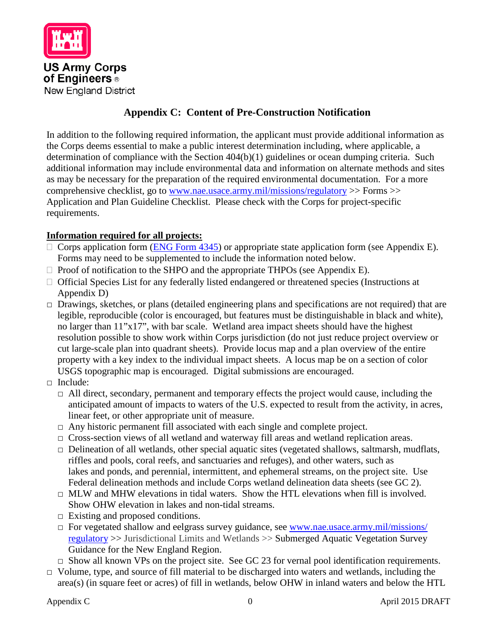

# **Appendix C: Content of Pre-Construction Notification**

In addition to the following required information, the applicant must provide additional information as the Corps deems essential to make a public interest determination including, where applicable, a determination of compliance with the Section 404(b)(1) guidelines or ocean dumping criteria. Such additional information may include environmental data and information on alternate methods and sites as may be necessary for the preparation of the required environmental documentation. For a more comprehensive checklist, go to [www.nae.usace.army.mil/missions/regulatory](http://www.nae.usace.army.mil/missions/regulatory) >> Forms >> Application and Plan Guideline Checklist. Please check with the Corps for project-specific requirements.

## **Information required for all projects:**

- $\Box$  Corps application form [\(ENG Form 4345\)](http://www.nae.usace.army.mil/reg/Application.pdf) or appropriate state application form (see Appendix E). Forms may need to be supplemented to include the information noted below.
- $\Box$  Proof of notification to the SHPO and the appropriate THPOs (see Appendix E).
- $\Box$  Official Species List for any federally listed endangered or threatened species (Instructions at Appendix D)
- $\Box$  Drawings, sketches, or plans (detailed engineering plans and specifications are not required) that are legible, reproducible (color is encouraged, but features must be distinguishable in black and white), no larger than 11"x17", with bar scale. Wetland area impact sheets should have the highest resolution possible to show work within Corps jurisdiction (do not just reduce project overview or cut large-scale plan into quadrant sheets). Provide locus map and a plan overview of the entire property with a key index to the individual impact sheets. A locus map be on a section of color USGS topographic map is encouraged. Digital submissions are encouraged.
- □ Include:
	- $\Box$  All direct, secondary, permanent and temporary effects the project would cause, including the anticipated amount of impacts to waters of the U.S. expected to result from the activity, in acres, linear feet, or other appropriate unit of measure.
	- $\Box$  Any historic permanent fill associated with each single and complete project.
	- $\Box$  Cross-section views of all wetland and waterway fill areas and wetland replication areas.
	- □ Delineation of all wetlands, other special aquatic sites (vegetated shallows, saltmarsh, mudflats, riffles and pools, coral reefs, and sanctuaries and refuges), and other waters, such as lakes and ponds, and perennial, intermittent, and ephemeral streams, on the project site. Use Federal delineation methods and include Corps wetland delineation data sheets (see GC 2).
	- $\Box$  MLW and MHW elevations in tidal waters. Show the HTL elevations when fill is involved. Show OHW elevation in lakes and non-tidal streams.
	- $\Box$  Existing and proposed conditions.
	- □ For vegetated shallow and eelgrass survey guidance, see www.nae.usace.army.mil/missions/ [regulatory](http://www.nae.usace.army.mil/missions/%20regulatory) >> Jurisdictional Limits and Wetlands >> Submerged Aquatic Vegetation Survey Guidance for the New England Region.
	- □ Show all known VPs on the project site. See GC 23 for vernal pool identification requirements.
- □ Volume, type, and source of fill material to be discharged into waters and wetlands, including the area(s) (in square feet or acres) of fill in wetlands, below OHW in inland waters and below the HTL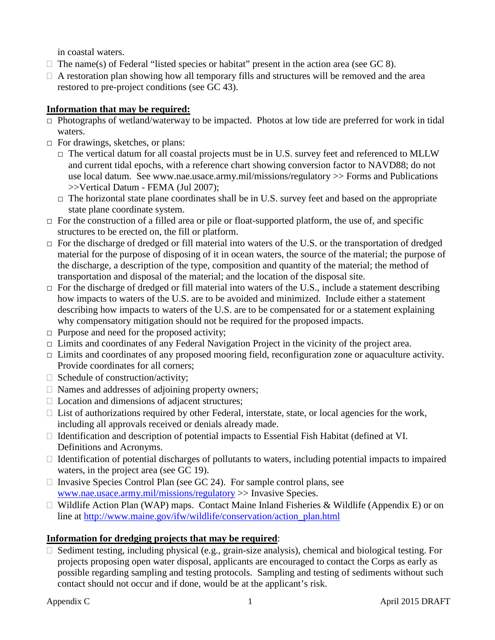in coastal waters.

- $\Box$  The name(s) of Federal "listed species or habitat" present in the action area (see GC 8).
- $\Box$  A restoration plan showing how all temporary fills and structures will be removed and the area restored to pre-project conditions (see GC 43).

## **Information that may be required:**

- $\Box$  Photographs of wetland/waterway to be impacted. Photos at low tide are preferred for work in tidal waters.
- $\Box$  For drawings, sketches, or plans:
	- $\square$  The vertical datum for all coastal projects must be in U.S. survey feet and referenced to MLLW and current tidal epochs, with a reference chart showing conversion factor to NAVD88; do not use local datum. See www.nae.usace.army.mil/missions/regulatory >> Forms and Publications >>Vertical Datum - FEMA (Jul 2007);
	- $\Box$  The horizontal state plane coordinates shall be in U.S. survey feet and based on the appropriate state plane coordinate system.
- $\Box$  For the construction of a filled area or pile or float-supported platform, the use of, and specific structures to be erected on, the fill or platform.
- $\Box$  For the discharge of dredged or fill material into waters of the U.S. or the transportation of dredged material for the purpose of disposing of it in ocean waters, the source of the material; the purpose of the discharge, a description of the type, composition and quantity of the material; the method of transportation and disposal of the material; and the location of the disposal site.
- $\Box$  For the discharge of dredged or fill material into waters of the U.S., include a statement describing how impacts to waters of the U.S. are to be avoided and minimized. Include either a statement describing how impacts to waters of the U.S. are to be compensated for or a statement explaining why compensatory mitigation should not be required for the proposed impacts.
- $\Box$  Purpose and need for the proposed activity;
- $\Box$  Limits and coordinates of any Federal Navigation Project in the vicinity of the project area.
- □ Limits and coordinates of any proposed mooring field, reconfiguration zone or aquaculture activity. Provide coordinates for all corners;
- $\Box$  Schedule of construction/activity;
- $\Box$  Names and addresses of adjoining property owners;
- $\Box$  Location and dimensions of adjacent structures;
- $\Box$  List of authorizations required by other Federal, interstate, state, or local agencies for the work, including all approvals received or denials already made.
- $\Box$  Identification and description of potential impacts to Essential Fish Habitat (defined at VI. Definitions and Acronyms.
- $\Box$  Identification of potential discharges of pollutants to waters, including potential impacts to impaired waters, in the project area (see GC 19).
- $\Box$  Invasive Species Control Plan (see GC 24). For sample control plans, see [www.nae.usace.army.mil/missions/regulatory](http://www.nae.usace.army.mil/missions/regulatory) >> Invasive Species.
- $\Box$  Wildlife Action Plan (WAP) maps. Contact Maine Inland Fisheries & Wildlife (Appendix E) or on line at [http://www.maine.gov/ifw/wildlife/conservation/action\\_plan.html](http://www.maine.gov/ifw/wildlife/conservation/action_plan.html)

## **Information for dredging projects that may be required**:

 $\Box$  Sediment testing, including physical (e.g., grain-size analysis), chemical and biological testing. For projects proposing open water disposal, applicants are encouraged to contact the Corps as early as possible regarding sampling and testing protocols. Sampling and testing of sediments without such contact should not occur and if done, would be at the applicant's risk.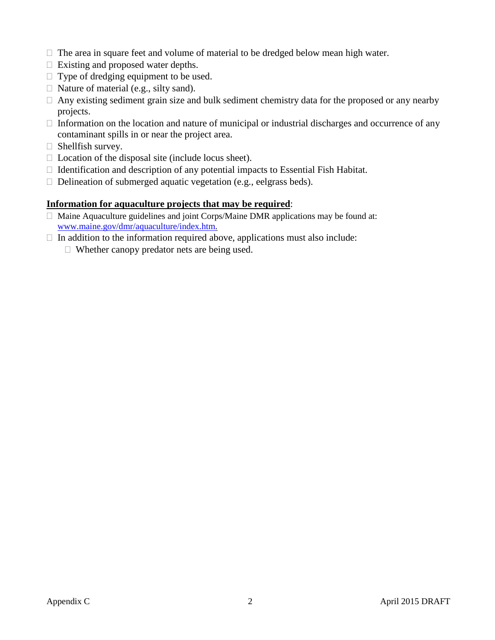- $\Box$  The area in square feet and volume of material to be dredged below mean high water.
- $\Box$  Existing and proposed water depths.
- $\Box$  Type of dredging equipment to be used.
- $\Box$  Nature of material (e.g., silty sand).
- $\Box$  Any existing sediment grain size and bulk sediment chemistry data for the proposed or any nearby projects.
- $\Box$  Information on the location and nature of municipal or industrial discharges and occurrence of any contaminant spills in or near the project area.
- $\Box$  Shellfish survey.
- $\Box$  Location of the disposal site (include locus sheet).
- $\Box$  Identification and description of any potential impacts to Essential Fish Habitat.
- $\Box$  Delineation of submerged aquatic vegetation (e.g., eelgrass beds).

## **Information for aquaculture projects that may be required**:

- $\Box$  Maine Aquaculture guidelines and joint Corps/Maine DMR applications may be found at: [www.maine.gov/dmr/aquaculture/index.htm.](http://www.maine.gov/dmr/aquaculture/index.htm)
- $\Box$  In addition to the information required above, applications must also include:  $\Box$  Whether canopy predator nets are being used.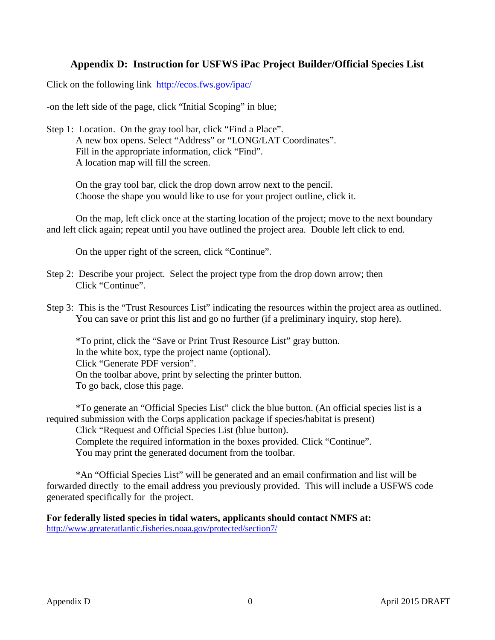## **Appendix D: Instruction for USFWS iPac Project Builder/Official Species List**

Click on the following link <http://ecos.fws.gov/ipac/>

-on the left side of the page, click "Initial Scoping" in blue;

Step 1: Location. On the gray tool bar, click "Find a Place". A new box opens. Select "Address" or "LONG/LAT Coordinates". Fill in the appropriate information, click "Find". A location map will fill the screen.

On the gray tool bar, click the drop down arrow next to the pencil. Choose the shape you would like to use for your project outline, click it.

On the map, left click once at the starting location of the project; move to the next boundary and left click again; repeat until you have outlined the project area. Double left click to end.

On the upper right of the screen, click "Continue".

- Step 2: Describe your project. Select the project type from the drop down arrow; then Click "Continue".
- Step 3: This is the "Trust Resources List" indicating the resources within the project area as outlined. You can save or print this list and go no further (if a preliminary inquiry, stop here).

\*To print, click the "Save or Print Trust Resource List" gray button. In the white box, type the project name (optional). Click "Generate PDF version". On the toolbar above, print by selecting the printer button. To go back, close this page.

\*To generate an "Official Species List" click the blue button. (An official species list is a required submission with the Corps application package if species/habitat is present) Click "Request and Official Species List (blue button).

Complete the required information in the boxes provided. Click "Continue". You may print the generated document from the toolbar.

\*An "Official Species List" will be generated and an email confirmation and list will be forwarded directly to the email address you previously provided. This will include a USFWS code generated specifically for the project.

**For federally listed species in tidal waters, applicants should contact NMFS at:** <http://www.greateratlantic.fisheries.noaa.gov/protected/section7/>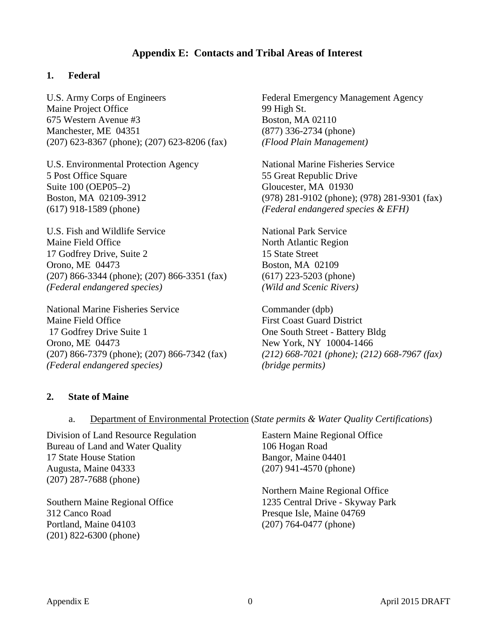## **Appendix E: Contacts and Tribal Areas of Interest**

### **1. Federal**

U.S. Army Corps of Engineers Maine Project Office 675 Western Avenue #3 Manchester, ME 04351 (207) 623-8367 (phone); (207) 623-8206 (fax)

U.S. Environmental Protection Agency 5 Post Office Square Suite 100 (OEP05–2) Boston, MA 02109-3912 (617) 918-1589 (phone)

U.S. Fish and Wildlife Service Maine Field Office 17 Godfrey Drive, Suite 2 Orono, ME 04473 (207) 866-3344 (phone); (207) 866-3351 (fax) *(Federal endangered species)*

National Marine Fisheries Service Maine Field Office 17 Godfrey Drive Suite 1 Orono, ME 04473 (207) 866-7379 (phone); (207) 866-7342 (fax) *(Federal endangered species)*

Federal Emergency Management Agency 99 High St. Boston, MA 02110 (877) 336-2734 (phone) *(Flood Plain Management)*

National Marine Fisheries Service 55 Great Republic Drive Gloucester, MA 01930 (978) 281-9102 (phone); (978) 281-9301 (fax) *(Federal endangered species & EFH)*

National Park Service North Atlantic Region 15 State Street Boston, MA 02109 (617) 223-5203 (phone) *(Wild and Scenic Rivers)*

Commander (dpb) First Coast Guard District One South Street - Battery Bldg New York, NY 10004-1466 *(212) 668-7021 (phone); (212) 668-7967 (fax) (bridge permits)*

## **2. State of Maine**

### a. Department of Environmental Protection (*State permits & Water Quality Certifications*)

Division of Land Resource Regulation Bureau of Land and Water Quality 17 State House Station Augusta, Maine 04333 (207) 287**-**7688 (phone)

Southern Maine Regional Office 312 Canco Road Portland, Maine 04103 (201) 822**-**6300 (phone)

Eastern Maine Regional Office 106 Hogan Road Bangor, Maine 04401 (207) 941**-**4570 (phone)

Northern Maine Regional Office 1235 Central Drive - Skyway Park Presque Isle, Maine 04769 (207) 764**-**0477 (phone)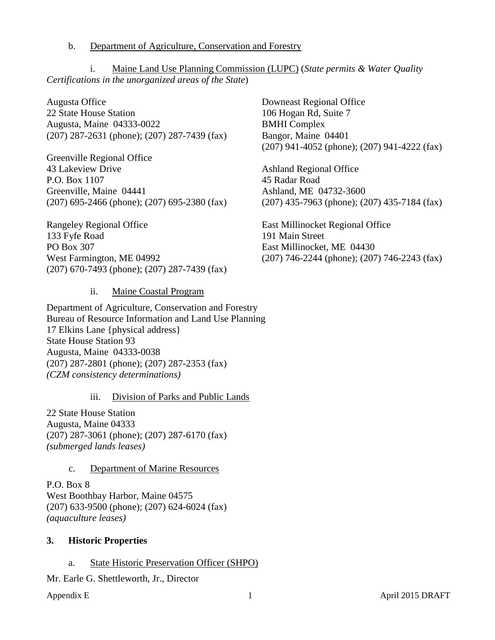### b. Department of Agriculture, Conservation and Forestry

i. Maine Land Use Planning Commission (LUPC) (*State permits & Water Quality Certifications in the unorganized areas of the State*)

Augusta Office 22 State House Station Augusta, Maine 04333-0022 (207) 287-2631 (phone); (207) 287-7439 (fax)

Greenville Regional Office 43 Lakeview Drive P.O. Box 1107 Greenville, Maine 04441 (207) 695-2466 (phone); (207) 695-2380 (fax)

Rangeley Regional Office 133 Fyfe Road PO Box 307 West Farmington, ME 04992 (207) 670-7493 (phone); (207) 287-7439 (fax)

### ii. Maine Coastal Program

Department of Agriculture, Conservation and Forestry Bureau of Resource Information and Land Use Planning 17 Elkins Lane {physical address} State House Station 93 Augusta, Maine 04333**-**0038 (207) 287-2801 (phone); (207) 287-2353 (fax) *(CZM consistency determinations)*

### iii. Division of Parks and Public Lands

22 State House Station Augusta, Maine 04333 (207) 287-3061 (phone); (207) 287-6170 (fax) *(submerged lands leases)*

### c. Department of Marine Resources

P.O. Box 8 West Boothbay Harbor, Maine 04575 (207) 633-9500 (phone); (207) 624-6024 (fax) *(aquaculture leases)*

## **3. Historic Properties**

## a. State Historic Preservation Officer (SHPO)

Mr. Earle G. Shettleworth, Jr., Director

Downeast Regional Office 106 Hogan Rd, Suite 7 BMHI Complex Bangor, Maine 04401 (207) 941-4052 (phone); (207) 941-4222 (fax)

Ashland Regional Office 45 Radar Road Ashland, ME 04732-3600 (207) 435-7963 (phone); (207) 435-7184 (fax)

East Millinocket Regional Office 191 Main Street East Millinocket, ME 04430 (207) 746-2244 (phone); (207) 746-2243 (fax)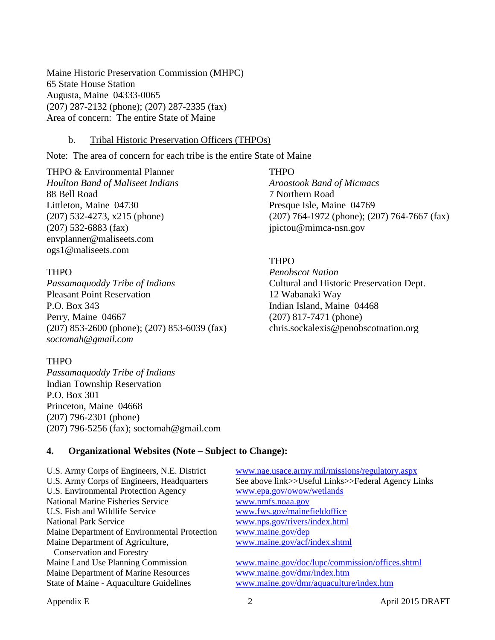Maine Historic Preservation Commission (MHPC) 65 State House Station Augusta, Maine 04333-0065 (207) 287-2132 (phone); (207) 287-2335 (fax) Area of concern: The entire State of Maine

#### b. Tribal Historic Preservation Officers (THPOs)

Note: The area of concern for each tribe is the entire State of Maine

THPO & Environmental Planner

*Houlton Band of Maliseet Indians* 88 Bell Road Littleton, Maine 04730 (207) 532-4273, x215 (phone) (207) 532-6883 (fax) [envplanner@maliseets.com](mailto:envplanner@maliseets.com) [ogs1@maliseets.com](mailto:ogs1@maliseets.com)

### THPO

*Passamaquoddy Tribe of Indians* Pleasant Point Reservation P.O. Box 343 Perry, Maine 04667 (207) 853-2600 (phone); (207) 853-6039 (fax) *soctomah@gmail.com*

### **THPO**

*Passamaquoddy Tribe of Indians* Indian Township Reservation P.O. Box 301 Princeton, Maine 04668 (207) 796-2301 (phone) (207) 796-5256 (fax); [soctomah@gmail.com](mailto:soctomah@ainop.com)

### **4. Organizational Websites (Note – Subject to Change):**

U.S. Army Corps of Engineers, N.E. District [www.nae.usace.army.mil/missions/regulatory.aspx](http://www.nae.usace.army.mil/missions/regulatory.aspx) U.S. Army Corps of Engineers, Headquarters See above link>>Useful Links>>Federal Agency Links U.S. Environmental Protection Agency [www.epa.gov/owow/wetlands](http://www.epa.gov/owow/wetlands/) National Marine Fisheries Service [www.nmfs.noaa.gov](http://www.nmfs.noaa.gov/) U.S. Fish and Wildlife Service [www.fws.gov/mainefieldoffice](http://www.fws.gov/mainefieldoffice) National Park Service [www.nps.gov/rivers/index.html](http://www.nps.gov/rivers/index.html) Maine Department of Environmental Protection [www.maine.gov/dep](http://www.maine.gov/dep/) Maine Department of Agriculture, [www.maine.gov/acf/index.shtml](http://www.maine.gov/acf/index.shtml) Conservation and Forestry Maine Land Use Planning Commission [www.maine.gov/doc/lupc/commission/offices.shtml](http://www.maine.gov/doc/lupc/commission/offices.shtml) Maine Department of Marine Resources [www.maine.gov/dmr/index.htm](http://www.maine.gov/dmr/index.htm) State of Maine - Aquaculture Guidelines [www.maine.gov/dmr/aquaculture/index.htm](http://www.maine.gov/dmr/aquaculture/index.htm)

THPO *Aroostook Band of Micmacs* 7 Northern Road Presque Isle, Maine 04769 (207) 764-1972 (phone); (207) 764-7667 (fax) jpictou@mimca-nsn.gov

### **THPO**

*Penobscot Nation* Cultural and Historic Preservation Dept. 12 Wabanaki Way Indian Island, Maine 04468 (207) 817-7471 (phone) chris.sockalexis@penobscotnation.org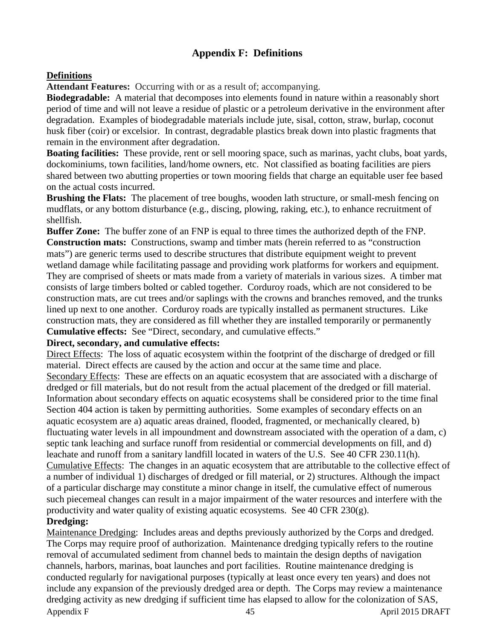# **Appendix F: Definitions**

### **Definitions**

**Attendant Features:** Occurring with or as a result of; accompanying.

**Biodegradable:** A material that decomposes into elements found in nature within a reasonably short period of time and will not leave a residue of plastic or a petroleum derivative in the environment after degradation. Examples of biodegradable materials include jute, sisal, cotton, straw, burlap, coconut husk fiber (coir) or excelsior. In contrast, degradable plastics break down into plastic fragments that remain in the environment after degradation.

**Boating facilities:** These provide, rent or sell mooring space, such as marinas, yacht clubs, boat yards, dockominiums, town facilities, land/home owners, etc. Not classified as boating facilities are piers shared between two abutting properties or town mooring fields that charge an equitable user fee based on the actual costs incurred.

**Brushing the Flats:** The placement of tree boughs, wooden lath structure, or small-mesh fencing on mudflats, or any bottom disturbance (e.g., discing, plowing, raking, etc.), to enhance recruitment of shellfish.

**Buffer Zone:** The buffer zone of an FNP is equal to three times the authorized depth of the FNP. **Construction mats:** Constructions, swamp and timber mats (herein referred to as "construction mats") are generic terms used to describe structures that distribute equipment weight to prevent wetland damage while facilitating passage and providing work platforms for workers and equipment. They are comprised of sheets or mats made from a variety of materials in various sizes. A timber mat consists of large timbers bolted or cabled together. Corduroy roads, which are not considered to be construction mats, are cut trees and/or saplings with the crowns and branches removed, and the trunks lined up next to one another. Corduroy roads are typically installed as permanent structures. Like construction mats, they are considered as fill whether they are installed temporarily or permanently **Cumulative effects:** See "Direct, secondary, and cumulative effects."

### **Direct, secondary, and cumulative effects:**

Direct Effects: The loss of aquatic ecosystem within the footprint of the discharge of dredged or fill material. Direct effects are caused by the action and occur at the same time and place. Secondary Effects: These are effects on an aquatic ecosystem that are associated with a discharge of dredged or fill materials, but do not result from the actual placement of the dredged or fill material. Information about secondary effects on aquatic ecosystems shall be considered prior to the time final Section 404 action is taken by permitting authorities. Some examples of secondary effects on an aquatic ecosystem are a) aquatic areas drained, flooded, fragmented, or mechanically cleared, b) fluctuating water levels in all impoundment and downstream associated with the operation of a dam, c) septic tank leaching and surface runoff from residential or commercial developments on fill, and d) leachate and runoff from a sanitary landfill located in waters of the U.S. See 40 CFR 230.11(h). Cumulative Effects: The changes in an aquatic ecosystem that are attributable to the collective effect of a number of individual 1) discharges of dredged or fill material, or 2) structures. Although the impact of a particular discharge may constitute a minor change in itself, the cumulative effect of numerous such piecemeal changes can result in a major impairment of the water resources and interfere with the productivity and water quality of existing aquatic ecosystems. See 40 CFR 230(g).

### **Dredging:**

Appendix F 45 Appendix F 45 April 2015 DRAFT Maintenance Dredging:Includes areas and depths previously authorized by the Corps and dredged. The Corps may require proof of authorization. Maintenance dredging typically refers to the routine removal of accumulated sediment from channel beds to maintain the design depths of navigation channels, harbors, marinas, boat launches and port facilities. Routine maintenance dredging is conducted regularly for navigational purposes (typically at least once every ten years) and does not include any expansion of the previously dredged area or depth. The Corps may review a maintenance dredging activity as new dredging if sufficient time has elapsed to allow for the colonization of SAS,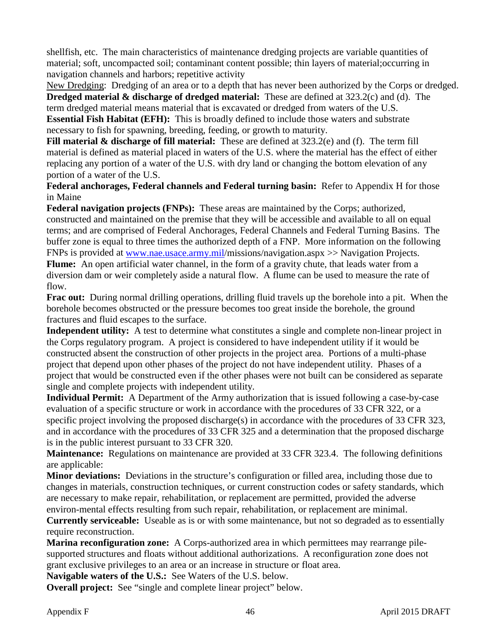shellfish, etc. The main characteristics of maintenance dredging projects are variable quantities of material; soft, uncompacted soil; contaminant content possible; thin layers of material;occurring in navigation channels and harbors; repetitive activity

New Dredging: Dredging of an area or to a depth that has never been authorized by the Corps or dredged. **Dredged material & discharge of dredged material:** These are defined at 323.2(c) and (d). The term dredged material means material that is excavated or dredged from waters of the U.S.

**Essential Fish Habitat (EFH):** This is broadly defined to include those waters and substrate necessary to fish for spawning, breeding, feeding, or growth to maturity.

**Fill material & discharge of fill material:** These are defined at 323.2(e) and (f). The term fill material is defined as material placed in waters of the U.S. where the material has the effect of either replacing any portion of a water of the U.S. with dry land or changing the bottom elevation of any portion of a water of the U.S.

### **Federal anchorages, Federal channels and Federal turning basin:** Refer to Appendix H for those in Maine

**Federal navigation projects (FNPs):** These areas are maintained by the Corps; authorized, constructed and maintained on the premise that they will be accessible and available to all on equal terms; and are comprised of Federal Anchorages, Federal Channels and Federal Turning Basins. The buffer zone is equal to three times the authorized depth of a FNP. More information on the following FNPs is provided at [www.nae.usace.army.mil/](http://www.nae.usace.army.mil/)missions/navigation.aspx >> Navigation Projects. **Flume:** An open artificial water channel, in the form of a gravity chute, that leads water from a diversion dam or weir completely aside a natural flow. A flume can be used to measure the rate of flow.

Frac out: During normal drilling operations, drilling fluid travels up the borehole into a pit. When the borehole becomes obstructed or the pressure becomes too great inside the borehole, the ground fractures and fluid escapes to the surface.

**Independent utility:** A test to determine what constitutes a single and complete non-linear project in the Corps regulatory program. A project is considered to have independent utility if it would be constructed absent the construction of other projects in the project area. Portions of a multi-phase project that depend upon other phases of the project do not have independent utility. Phases of a project that would be constructed even if the other phases were not built can be considered as separate single and complete projects with independent utility.

**Individual Permit:** A Department of the Army authorization that is issued following a case-by-case evaluation of a specific structure or work in accordance with the procedures of 33 CFR 322, or a specific project involving the proposed discharge(s) in accordance with the procedures of 33 CFR 323, and in accordance with the procedures of 33 CFR 325 and a determination that the proposed discharge is in the public interest pursuant to 33 CFR 320.

**Maintenance:** Regulations on maintenance are provided at 33 CFR 323.4. The following definitions are applicable:

**Minor deviations:** Deviations in the structure's configuration or filled area, including those due to changes in materials, construction techniques, or current construction codes or safety standards, which are necessary to make repair, rehabilitation, or replacement are permitted, provided the adverse environ-mental effects resulting from such repair, rehabilitation, or replacement are minimal.

**Currently serviceable:** Useable as is or with some maintenance, but not so degraded as to essentially require reconstruction.

**Marina reconfiguration zone:** A Corps-authorized area in which permittees may rearrange pilesupported structures and floats without additional authorizations. A reconfiguration zone does not grant exclusive privileges to an area or an increase in structure or float area.

**Navigable waters of the U.S.:** See Waters of the U.S. below.

**Overall project:** See "single and complete linear project" below.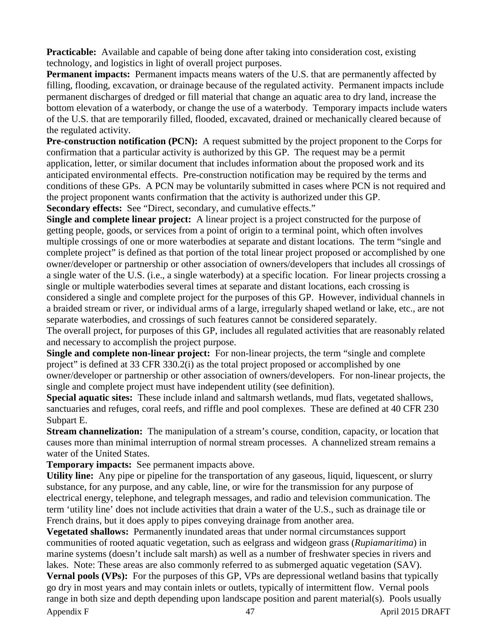**Practicable:** Available and capable of being done after taking into consideration cost, existing technology, and logistics in light of overall project purposes.

**Permanent impacts:** Permanent impacts means waters of the U.S. that are permanently affected by filling, flooding, excavation, or drainage because of the regulated activity. Permanent impacts include permanent discharges of dredged or fill material that change an aquatic area to dry land, increase the bottom elevation of a waterbody, or change the use of a waterbody. Temporary impacts include waters of the U.S. that are temporarily filled, flooded, excavated, drained or mechanically cleared because of the regulated activity.

**Pre-construction notification (PCN):** A request submitted by the project proponent to the Corps for confirmation that a particular activity is authorized by this GP. The request may be a permit application, letter, or similar document that includes information about the proposed work and its anticipated environmental effects. Pre-construction notification may be required by the terms and conditions of these GPs. A PCN may be voluntarily submitted in cases where PCN is not required and the project proponent wants confirmation that the activity is authorized under this GP. **Secondary effects:** See "Direct, secondary, and cumulative effects."

**Single and complete linear project:** A linear project is a project constructed for the purpose of getting people, goods, or services from a point of origin to a terminal point, which often involves multiple crossings of one or more waterbodies at separate and distant locations. The term "single and complete project" is defined as that portion of the total linear project proposed or accomplished by one owner/developer or partnership or other association of owners/developers that includes all crossings of a single water of the U.S. (i.e., a single waterbody) at a specific location. For linear projects crossing a single or multiple waterbodies several times at separate and distant locations, each crossing is considered a single and complete project for the purposes of this GP. However, individual channels in a braided stream or river, or individual arms of a large, irregularly shaped wetland or lake, etc., are not separate waterbodies, and crossings of such features cannot be considered separately.

The overall project, for purposes of this GP, includes all regulated activities that are reasonably related and necessary to accomplish the project purpose.

**Single and complete non-linear project:** For non-linear projects, the term "single and complete project" is defined at 33 CFR 330.2(i) as the total project proposed or accomplished by one owner/developer or partnership or other association of owners/developers. For non-linear projects, the single and complete project must have independent utility (see definition).

**Special aquatic sites:** These include inland and saltmarsh wetlands, mud flats, vegetated shallows, sanctuaries and refuges, coral reefs, and riffle and pool complexes. These are defined at 40 CFR 230 Subpart E.

**Stream channelization:** The manipulation of a stream's course, condition, capacity, or location that causes more than minimal interruption of normal stream processes. A channelized stream remains a water of the United States.

**Temporary impacts:** See permanent impacts above.

**Utility line:** Any pipe or pipeline for the transportation of any gaseous, liquid, liquescent, or slurry substance, for any purpose, and any cable, line, or wire for the transmission for any purpose of electrical energy, telephone, and telegraph messages, and radio and television communication. The term 'utility line' does not include activities that drain a water of the U.S., such as drainage tile or French drains, but it does apply to pipes conveying drainage from another area.

Appendix F 47 47 Appendix F 47 April 2015 DRAFT **Vegetated shallows:** Permanently inundated areas that under normal circumstances support communities of rooted aquatic vegetation, such as eelgrass and widgeon grass (*Rupiamaritima*) in marine systems (doesn't include salt marsh) as well as a number of freshwater species in rivers and lakes. Note: These areas are also commonly referred to as submerged aquatic vegetation (SAV). **Vernal pools (VPs):** For the purposes of this GP, VPs are depressional wetland basins that typically go dry in most years and may contain inlets or outlets, typically of intermittent flow. Vernal pools range in both size and depth depending upon landscape position and parent material(s). Pools usually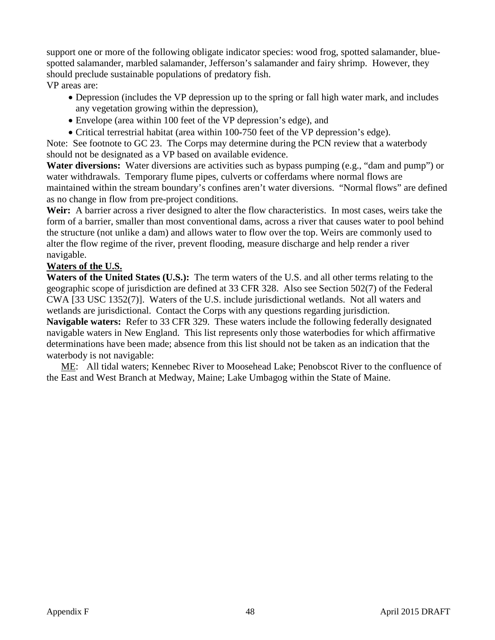support one or more of the following obligate indicator species: wood frog, spotted salamander, bluespotted salamander, marbled salamander, Jefferson's salamander and fairy shrimp. However, they should preclude sustainable populations of predatory fish. VP areas are:

- Depression (includes the VP depression up to the spring or fall high water mark, and includes any vegetation growing within the depression),
- Envelope (area within 100 feet of the VP depression's edge), and
- Critical terrestrial habitat (area within 100**-**750 feet of the VP depression's edge).

Note: See footnote to GC 23. The Corps may determine during the PCN review that a waterbody should not be designated as a VP based on available evidence.

**Water diversions:** Water diversions are activities such as bypass pumping (e.g., "dam and pump") or water withdrawals. Temporary flume pipes, culverts or cofferdams where normal flows are maintained within the stream boundary's confines aren't water diversions. "Normal flows" are defined as no change in flow from pre-project conditions.

Weir: A barrier across a river designed to alter the flow characteristics. In most cases, weirs take the form of a barrier, smaller than most conventional dams, across a river that causes water to pool behind the structure (not unlike a dam) and allows water to flow over the top. Weirs are commonly used to alter the flow regime of the river, prevent flooding, measure discharge and help render a river navigable.

## **Waters of the U.S.**

**Waters of the United States (U.S.):** The term waters of the U.S. and all other terms relating to the geographic scope of jurisdiction are defined at 33 CFR 328. Also see Section 502(7) of the Federal CWA [33 USC 1352(7)]. Waters of the U.S. include jurisdictional wetlands. Not all waters and wetlands are jurisdictional. Contact the Corps with any questions regarding jurisdiction.

**Navigable waters:** Refer to 33 CFR 329. These waters include the following federally designated navigable waters in New England. This list represents only those waterbodies for which affirmative determinations have been made; absence from this list should not be taken as an indication that the waterbody is not navigable:

ME: All tidal waters; Kennebec River to Moosehead Lake; Penobscot River to the confluence of the East and West Branch at Medway, Maine; Lake Umbagog within the State of Maine.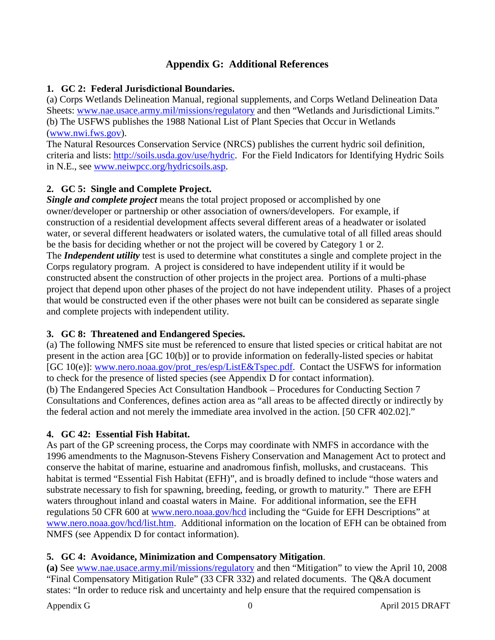# **Appendix G: Additional References**

## **1. GC 2: Federal Jurisdictional Boundaries.**

(a) Corps Wetlands Delineation Manual, regional supplements, and Corps Wetland Delineation Data Sheets: [www.nae.usace.army.mil/missions/regulatory](http://www.nae.usace.army.mil/missions/regulatory) and then "Wetlands and Jurisdictional Limits." (b) The USFWS publishes the 1988 National List of Plant Species that Occur in Wetlands [\(www.nwi.fws.gov\)](http://www.nwi.fws.gov/).

The Natural Resources Conservation Service (NRCS) publishes the current hydric soil definition, criteria and lists: http://soils.usda.gov/use/hydric. For the Field Indicators for Identifying Hydric Soils in N.E., see [www.neiwpcc.org/hydricsoils.asp.](http://www.neiwpcc.org/hydricsoils.asp)

# **2. GC 5: Single and Complete Project.**

*Single and complete project* means the total project proposed or accomplished by one owner/developer or partnership or other association of owners/developers. For example, if construction of a residential development affects several different areas of a headwater or isolated water, or several different headwaters or isolated waters, the cumulative total of all filled areas should be the basis for deciding whether or not the project will be covered by Category 1 or 2. The *Independent utility* test is used to determine what constitutes a single and complete project in the Corps regulatory program. A project is considered to have independent utility if it would be constructed absent the construction of other projects in the project area. Portions of a multi-phase project that depend upon other phases of the project do not have independent utility. Phases of a project that would be constructed even if the other phases were not built can be considered as separate single and complete projects with independent utility.

# **3. GC 8: Threatened and Endangered Species.**

(a) The following NMFS site must be referenced to ensure that listed species or critical habitat are not present in the action area [GC 10(b)] or to provide information on federally-listed species or habitat [GC 10(e)]: [www.nero.noaa.gov/prot\\_res/esp/ListE&Tspec.pdf.](http://www.nero.noaa.gov/prot_res/esp/ListE&Tspec.pdf) Contact the USFWS for information to check for the presence of listed species (see Appendix D for contact information). (b) The Endangered Species Act Consultation Handbook – Procedures for Conducting Section 7 Consultations and Conferences, defines action area as "all areas to be affected directly or indirectly by the federal action and not merely the immediate area involved in the action. [50 CFR 402.02]."

# **4. GC 42: Essential Fish Habitat.**

As part of the GP screening process, the Corps may coordinate with NMFS in accordance with the 1996 amendments to the Magnuson-Stevens Fishery Conservation and Management Act to protect and conserve the habitat of marine, estuarine and anadromous finfish, mollusks, and crustaceans. This habitat is termed "Essential Fish Habitat (EFH)", and is broadly defined to include "those waters and substrate necessary to fish for spawning, breeding, feeding, or growth to maturity." There are EFH waters throughout inland and coastal waters in Maine. For additional information, see the EFH regulations 50 CFR 600 at [www.nero.noaa.gov/hcd](http://www.nero.noaa.gov/hcd/) including the "Guide for EFH Descriptions" at [www.nero.noaa.gov/hcd/list.htm.](http://www.nero.noaa.gov/hcd/list.htm) Additional information on the location of EFH can be obtained from NMFS (see Appendix D for contact information).

# **5. GC 4: Avoidance, Minimization and Compensatory Mitigation**.

**(a)** See [www.nae.usace.army.mil/missions/regulatory](http://www.nae.usace.army.mil/missions/regulatory) and then "Mitigation" to view the April 10, 2008 "Final Compensatory Mitigation Rule" (33 CFR 332) and related documents. The Q&A document states: "In order to reduce risk and uncertainty and help ensure that the required compensation is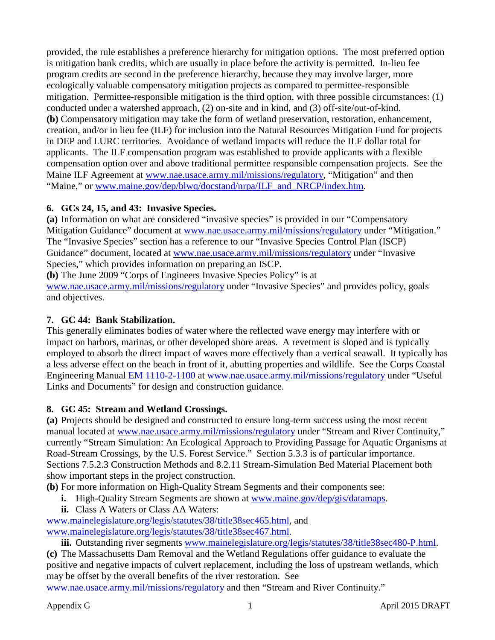provided, the rule establishes a preference hierarchy for mitigation options. The most preferred option is mitigation bank credits, which are usually in place before the activity is permitted. In-lieu fee program credits are second in the preference hierarchy, because they may involve larger, more ecologically valuable compensatory mitigation projects as compared to permittee-responsible mitigation. Permittee-responsible mitigation is the third option, with three possible circumstances: (1) conducted under a watershed approach, (2) on-site and in kind, and (3) off-site/out-of-kind. **(b)** Compensatory mitigation may take the form of wetland preservation, restoration, enhancement, creation, and/or in lieu fee (ILF) for inclusion into the Natural Resources Mitigation Fund for projects in DEP and LURC territories. Avoidance of wetland impacts will reduce the ILF dollar total for applicants. The ILF compensation program was established to provide applicants with a flexible compensation option over and above traditional permittee responsible compensation projects. See the Maine ILF Agreement at [www.nae.usace.army.mil/missions/regulatory,](http://www.nae.usace.army.mil/missions/regulatory) "Mitigation" and then "Maine," or [www.maine.gov/dep/blwq/docstand/nrpa/ILF\\_and\\_NRCP/index.htm.](http://www.maine.gov/dep/blwq/docstand/nrpa/ILF_and_NRCP/index.htm)

## **6. GCs 24, 15, and 43: Invasive Species.**

**(a)** Information on what are considered "invasive species" is provided in our "Compensatory Mitigation Guidance" document at [www.nae.usace.army.mil/missions/regulatory](http://www.nae.usace.army.mil/missions/regulatory) under "Mitigation." The "Invasive Species" section has a reference to our "Invasive Species Control Plan (ISCP) Guidance" document, located at [www.nae.usace.army.mil/missions/regulatory](http://www.nae.usace.army.mil/missions/regulatory) under "Invasive Species," which provides information on preparing an ISCP.

**(b)** The June 2009 "Corps of Engineers Invasive Species Policy" is at [www.nae.usace.army.mil/missions/regulatory](http://www.nae.usace.army.mil/missions/regulatory) under "Invasive Species" and provides policy, goals and objectives.

## **7. GC 44: Bank Stabilization.**

This generally eliminates bodies of water where the reflected wave energy may interfere with or impact on harbors, marinas, or other developed shore areas. A revetment is sloped and is typically employed to absorb the direct impact of waves more effectively than a vertical seawall. It typically has a less adverse effect on the beach in front of it, abutting properties and wildlife. See the Corps Coastal Engineering Manual [EM 1110-2-1100](http://140.194.76.129/publications/eng-manuals/) at [www.nae.usace.army.mil/missions/regulatory](http://www.nae.usace.army.mil/missions/regulatory) under "Useful Links and Documents" for design and construction guidance.

## **8. GC 45: Stream and Wetland Crossings.**

**(a)** Projects should be designed and constructed to ensure long-term success using the most recent manual located at [www.nae.usace.army.mil/missions/regulatory](http://www.nae.usace.army.mil/missions/regulatory) under "Stream and River Continuity," currently "Stream Simulation: An Ecological Approach to Providing Passage for Aquatic Organisms at Road-Stream Crossings, by the U.S. Forest Service." Section 5.3.3 is of particular importance. Sections 7.5.2.3 Construction Methods and 8.2.11 Stream-Simulation Bed Material Placement both show important steps in the project construction.

**(b)** For more information on High-Quality Stream Segments and their components see:

**i.** High-Quality Stream Segments are shown at www.maine.gov/dep/gis/datamaps.

**ii.** Class A Waters or Class AA Waters:

[www.mainelegislature.org/legis/statutes/38/title38sec465.html,](http://www.mainelegislature.org/legis/statutes/38/title38sec465.html) and [www.mainelegislature.org/legis/statutes/38/title38sec467.html.](http://www.mainelegislature.org/legis/statutes/38/title38sec467.html)

iii. Outstanding river segments [www.mainelegislature.org/legis/statutes/38/title38sec480-P.html.](http://www.mainelegislature.org/legis/statutes/38/title38sec480-P.html)

**(c)** The Massachusetts Dam Removal and the Wetland Regulations offer guidance to evaluate the positive and negative impacts of culvert replacement, including the loss of upstream wetlands, which may be offset by the overall benefits of the river restoration. See

[www.nae.usace.army.mil/missions/regulatory](http://www.nae.usace.army.mil/missions/regulatory) and then "Stream and River Continuity."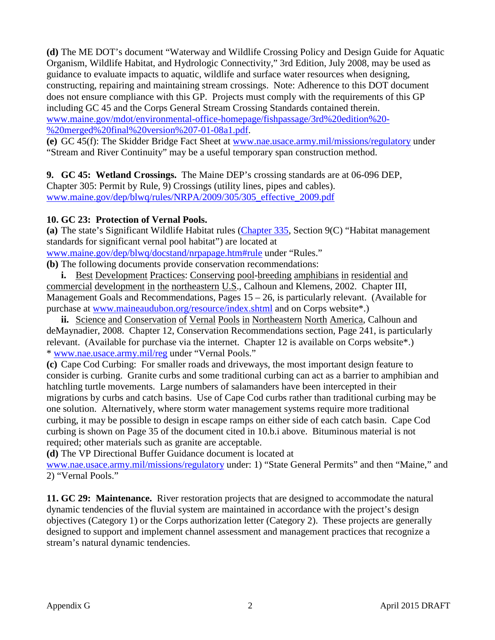**(d)** The ME DOT's document "Waterway and Wildlife Crossing Policy and Design Guide for Aquatic Organism, Wildlife Habitat, and Hydrologic Connectivity," 3rd Edition, July 2008, may be used as guidance to evaluate impacts to aquatic, wildlife and surface water resources when designing, constructing, repairing and maintaining stream crossings. Note: Adherence to this DOT document does not ensure compliance with this GP. Projects must comply with the requirements of this GP including GC 45 and the Corps General Stream Crossing Standards contained therein.

[www.maine.gov/mdot/environmental-office-homepage/fishpassage/3rd%20edition%20-](http://www.maine.gov/mdot/environmental-office-homepage/fishpassage/3rd%20edition%20-%20merged%20final%20version%207-01-08a1.pdf) [%20merged%20final%20version%207-01-08a1.pdf.](http://www.maine.gov/mdot/environmental-office-homepage/fishpassage/3rd%20edition%20-%20merged%20final%20version%207-01-08a1.pdf)

**(e)** GC 45(f): The Skidder Bridge Fact Sheet at [www.nae.usace.army.mil/missions/regulatory](http://www.nae.usace.army.mil/missions/regulatory) under "Stream and River Continuity" may be a useful temporary span construction method.

**9. GC 45: Wetland Crossings.** The Maine DEP's crossing standards are at 06-096 DEP, Chapter 305: Permit by Rule, 9) Crossings (utility lines, pipes and cables). [www.maine.gov/dep/blwq/rules/NRPA/2009/305/305\\_effective\\_2009.pdf](http://www.maine.gov/dep/blwq/rules/NRPA/2009/305/305_effective_2009.pdf)

## **10. GC 23: Protection of Vernal Pools.**

**(a)** The state's Significant Wildlife Habitat rules [\(Chapter 335,](http://www.maine.gov/dep/blwq/docstand/nrpa/335_2009.pdf) Section 9(C) "Habitat management standards for significant vernal pool habitat") are located at

[www.maine.gov/dep/blwq/docstand/nrpapage.htm#rule](http://www.maine.gov/dep/blwq/docstand/nrpapage.htm#rule) under "Rules."

**(b)** The following documents provide conservation recommendations:

**i.** Best Development Practices: Conserving pool-breeding amphibians in residential and commercial development in the northeastern U.S., Calhoun and Klemens, 2002. Chapter III, Management Goals and Recommendations, Pages  $15 - 26$ , is particularly relevant. (Available for purchase at [www.maineaudubon.org/resource/index.shtml](http://www.maineaudubon.org/resource/index.shtml) and on Corps website\*.)

**ii.** Science and Conservation of Vernal Pools in Northeastern North America, Calhoun and deMaynadier, 2008. Chapter 12, Conservation Recommendations section, Page 241, is particularly relevant. (Available for purchase via the internet. Chapter 12 is available on Corps website\*.) \* [www.nae.usace.army.mil/reg](http://www.nae.usace.army.mil/reg) under "Vernal Pools."

**(c)** Cape Cod Curbing: For smaller roads and driveways, the most important design feature to consider is curbing. Granite curbs and some traditional curbing can act as a barrier to amphibian and hatchling turtle movements. Large numbers of salamanders have been intercepted in their migrations by curbs and catch basins. Use of Cape Cod curbs rather than traditional curbing may be one solution. Alternatively, where storm water management systems require more traditional curbing, it may be possible to design in escape ramps on either side of each catch basin. Cape Cod curbing is shown on Page 35 of the document cited in 10.b.i above. Bituminous material is not required; other materials such as granite are acceptable.

**(d)** The VP Directional Buffer Guidance document is located at

[www.nae.usace.army.mil/missions/regulatory](http://www.nae.usace.army.mil/reg) under: 1) "State General Permits" and then "Maine," and 2) "Vernal Pools."

**11. GC 29: Maintenance.** River restoration projects that are designed to accommodate the natural dynamic tendencies of the fluvial system are maintained in accordance with the project's design objectives (Category 1) or the Corps authorization letter (Category 2). These projects are generally designed to support and implement channel assessment and management practices that recognize a stream's natural dynamic tendencies.